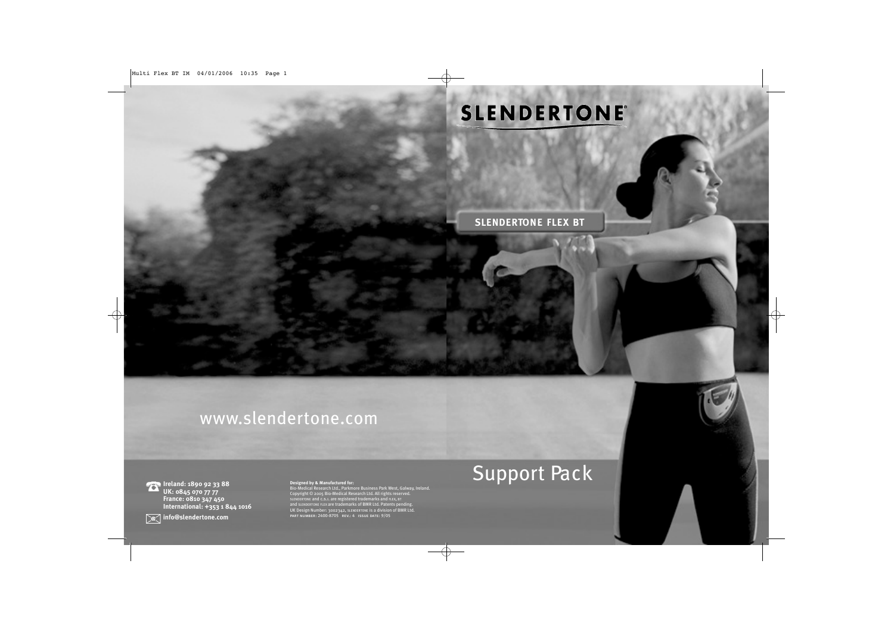# **SLENDERTONE®**

**S LE N D E RTO N E FLEX BT**

# www.slendertone.com

**Ireland: 1890 92 33 88 UK: 0845 070 77 77 France: 0810 347 450 International: +353 1 844 1016**

**Designed by & Manufactured for:**<br>Bio-Medical Research Ltd., Parkmore Business Park West, Galway, Ireland.<br>Copyright © 2005 Bio-Medical Research Ltd. All rights reserved.<br>SLENDERTONE and C.S.I. are registered trademarks an

# Support Pack

**info@slendertone.com**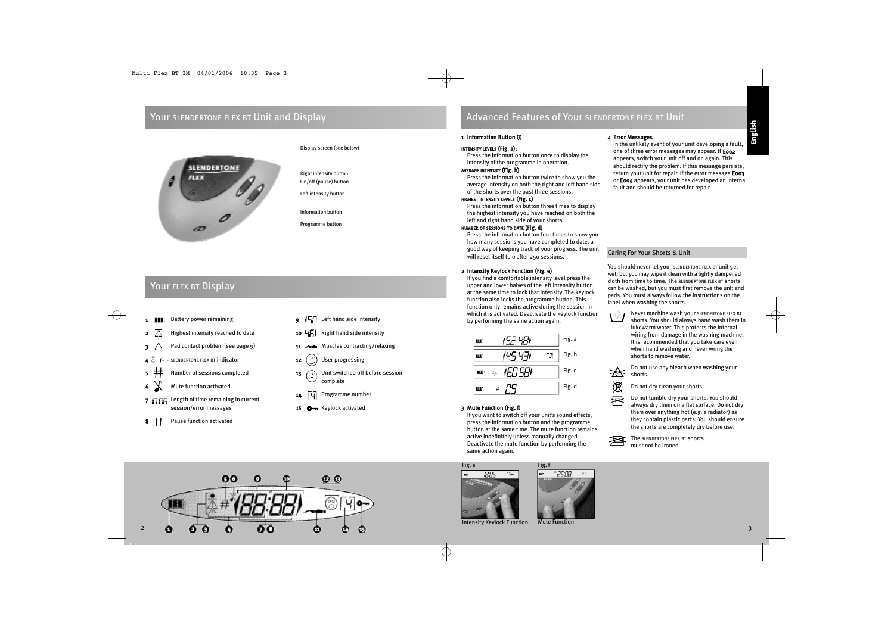### Your SLENDERTONE FLEX BT Unit and Display



## Your FLEX BT Display

- 1 **Battery power remaining**
- **2**  $\overline{\wedge}$  Highest intensity reached to date
- Pad contact problem (see page 9)
- SLENDERTONE FLEX BT indicator
- Number of sessions completed
- Mute function activated
- 7 **COP** Length of time remaining in current session/error messages
- 8 | Pause function activated
- $\overline{9}$  (5) Left hand side intensity
- 10  $\sqrt{5}$  Right hand side intensity
- 11 AMUSCLES contracting/relaxing
- **12**  $\binom{00}{1}$  User progressing
- 13  $\oslash$  Unit switched off before session complete
- 14 **4 Programme number**
- 15 **O**m Keylock activated

## Advanced Features of Your SLENDERTONE FLEX BT Unit

### 1 Information Button (i)

### INTENSITY LEVELS (Fig. a):

Press the information button once to display the intensity of the programme in operation.

### AVERAGE INTENSITY (Fig. b)

Press the information button twice to show you the average intensity on both the right and left hand side of the shorts over the past three sessions.

### HIGHEST INTENSITY LEVELS (Fig. c)

Press the information button three times to display the highest intensity you have reached on both the left and right hand side of your shorts.

### NUMBER OF SESSIONS TO DATE (Fig. d)

Press the information button four times to show you how many sessions you have completed to date, a good way of keeping track of your progress. The unit will reset itself to 0 after 250 sessions.

### 2 Intensity Keylock Function (Fig. e)

If you find a comfortable intensity level press the upper and lower halves of the left intensity button at the same time to lock that intensity. The keylock function also locks the programme button. This function only remains active during the session in which it is activated. Deactivate the keylock function by performing the same action again.

|   |   | Fig. a |
|---|---|--------|
|   | Ы | Fig.b  |
| 4 |   | Fig. c |
| 큐 |   | Fig. d |

### 3 Mute Function (Fig. f)

If you want to switch off your unit's sound effects, press the information button and the programme button at the same time. The mute function remains active indefinitely unless manually changed. Deactivate the mute function by performing the same action again.

Fig. f

25:08

### 4 Error Messages

In the unlikely event of your unit developing a fault, one of three error messages may appear. If **E002** appears, switch your unit off and on again. This should rectify the problem. If this message persists, return your unit for repair. If the error message **E003** or E004 appears, your unit has developed an internal fault and should be returned for repair.

### Caring For Your Shorts & Unit

You should never let your SLENDERTONE FLEX BT unit get wet, but you may wipe it clean with a lightly dampened cloth from time to time. The SLENDERTONE FLEX BT shorts can be washed, but you must first remove the unit and pads. You must always follow the instructions on the label when washing the shorts.

Never machine wash your SLENDERTONE FLEX BT  $\Gamma^{\mathbb{N}}$ shorts. You should always hand wash them in lukewarm water. This protects the internal wiring from damage in the washing machine. It is recommended that you take care even when hand washing and never wring the shorts to remove water.

Do not use any bleach when washing your ₩ shorts.

- 阅 Do not dry clean your shorts.
- 母 Do not tumble dry your shorts. You should always dry them on a flat surface. Do not dry them over anything hot (e.g. a radiator) as they contain plastic parts. You should ensure the shorts are completely dry before use.







Intensity Keylock Function Mute Function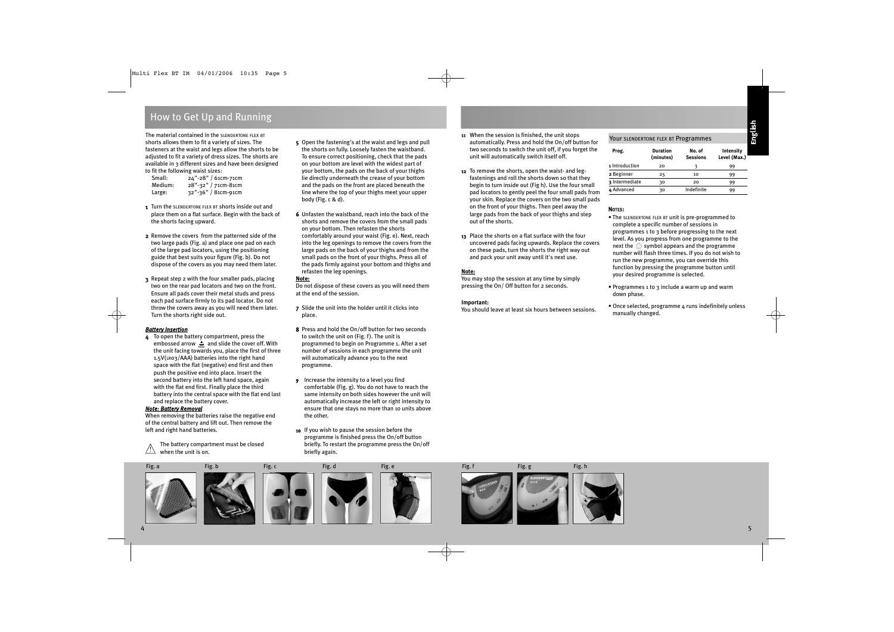### How to Get Up and Running

The material contained in the SLENDERTONE FLEX BT shorts allows them to fit a variety of sizes. The fasteners at the waist and legs allow the shorts to be adjusted to fit a variety of dress sizes. The shorts are available in 3 different sizes and have been designed to fit the following waist sizes:

| Small:  | 24"-28" / 61cm-71cm |
|---------|---------------------|
| Medium: | 28"-32" / 71cm-81cm |
| Large:  | 32"-36" / 81cm-91cm |

- 1 Turn the SLENDERTONE FLEX BT shorts inside out and place them on a flat surface. Begin with the back of the shorts facing upward.
- 2 Remove the covers from the patterned side of the two large pads (Fig. a) and place one pad on each of the large pad locators, using the positioning guide that best suits your figure (Fig. b). Do not dispose of the covers as you may need them later.
- 3 Repeat step 2 with the four smaller pads, placing two on the rear pad locators and two on the front. Ensure all pads cover their metal studs and press each pad surface firmly to its pad locator. Do not throw the covers away as you will need them later. Turn the shorts right side out.

### *Battery Insertion*

4 To open the battery compartment, press the embossed arrow  $\triangle$  and slide the cover off. With the unit facing towards you, place the first of three 1.5V(LR03/AAA) batteries into the right hand space with the flat (negative) end first and then push the positive end into place. Insert the second battery into the left hand space, again with the flat end first. Finally place the third battery into the central space with the flat end last and replace the battery cover.

### *Note: Battery Removal*

When removing the batteries raise the negative end of the central battery and lift out. Then remove the left and right hand batteries.

The battery compartment must be closed  $\sum$  when the unit is on.  $\sum$ 

- 5 Open the fastening's at the waist and legs and pull the shorts on fully. Loosely fasten the waistband. To ensure correct positioning, check that the pads on your bottom are level with the widest part of your bottom, the pads on the back of your thighs lie directly underneath the crease of your bottom and the pads on the front are placed beneath the line where the top of your thighs meet your upper body (Fig. c & d).
- 6 Unfasten the waistband, reach into the back of the shorts and remove the covers from the small pads on your bottom. Then refasten the shorts comfortably around your waist (Fig. e). Next, reach into the leg openings to remove the covers from the large pads on the back of your thighs and from the small pads on the front of your thighs. Press all of the pads firmly against your bottom and thighs and refasten the leg openings.

### **Note:**

Do not dispose of these covers as you will need them at the end of the session.

7 Slide the unit into the holder until it clicks into place.

- 8 Press and hold the On/off button for two seconds to switch the unit on (Fig. f). The unit is programmed to begin on Programme 1. After a set number of sessions in each programme the unit will automatically advance you to the next programme.
- 9 Increase the intensity to a level you find comfortable (Fig. g). You do not have to reach the same intensity on both sides however the unit will automatically increase the left or right intensity to ensure that one stays no more than 10 units above the other.
- 10 If you wish to pause the session before the programme is finished press the On/off button briefly. To restart the programme press the On/off
- 11 When the session is finished, the unit stops automatically. Press and hold the On/off button for two seconds to switch the unit off, if you forget the unit will automatically switch itself off.
- 12 To remove the shorts, open the waist- and legfastenings and roll the shorts down so that they begin to turn inside out (Fig h). Use the four small pad locators to gently peel the four small pads from your skin. Replace the covers on the two small pads on the front of your thighs. Then peel away the large pads from the back of your thighs and step out of the shorts.
- 13 Place the shorts on a flat surface with the four uncovered pads facing upwards. Replace the covers on these pads, turn the shorts the right way out and pack your unit away until it's next use.

### **Note:**

You may stop the session at any time by simply pressing the On/ Off button for 2 seconds.

### **Important:**

You should leave at least six hours between sessions.

### Your SLENDERTONE FLEX BT Programmes

| Prog.          | <b>Duration</b><br>(minutes) | No. of<br><b>Sessions</b> | Intensity<br>Level (Max.) |
|----------------|------------------------------|---------------------------|---------------------------|
| 1 Introduction | 20                           | ٦                         | 99                        |
| 2 Beginner     | 25                           | 10                        | 99                        |
| 3 Intermediate | 30                           | 20                        | 99                        |
| 4 Advanced     | 30                           | Indefinite                | 99                        |

### NOTES:

- The SLENDERTONE FLEX BT unit is pre-programmed to complete a specific number of sessions in programmes 1 to 3 before progressing to the next level. As you progress from one programme to the next the  $\mathcal{O}_2$  symbol appears and the programme number will flash three times. If you do not wish to run the new programme, you can override this function by pressing the programme button until your desired programme is selected.
- Programmes 1 to 3 include a warm up and warm down phase.
- Once selected, programme 4 runs indefinitely unless manually changed.

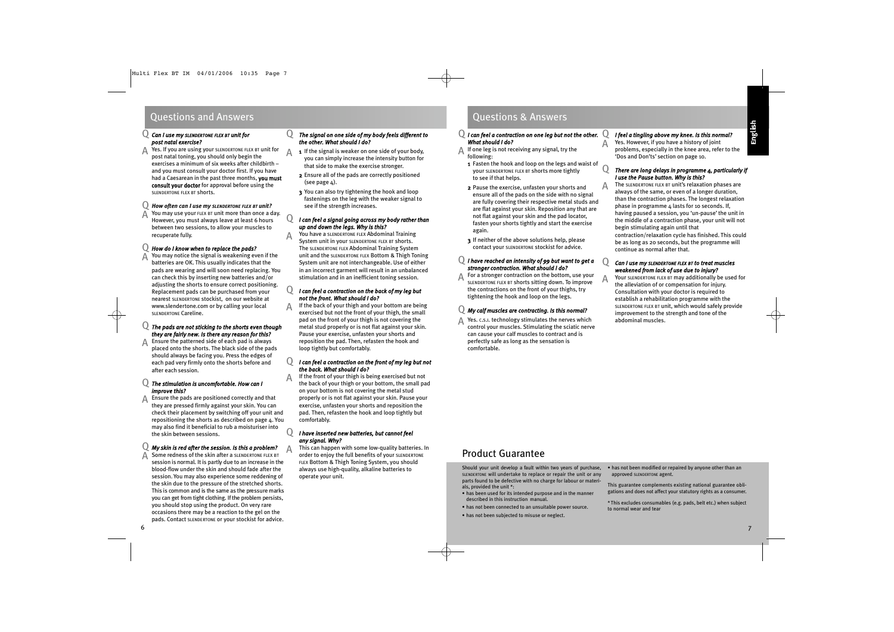### Questions and Answers **Questions & Answers**

### *Can I use my SLENDERTONE FLEX BT unit for*  Q *post natal exercise?*

A Yes. If you are using your SLENDERTONE FLEX BT unit for<br>A post natal toning you should only begin the post natal toning, you should only begin the exercises a minimum of six weeks after childbirth – and you must consult your doctor first. If you have had a Caesarean in the past three months, you must consult your doctor for approval before using the SLENDERTONE FLEX BT shorts.

#### *How often can I use my SLENDERTONE FLEX BT unit?* Q

You may use your FLEX BT unit more than once a day.  $\bm{A}$  You may use your FLEX BT unit more than once a day.<br>However, you must always leave at least 6 hours between two sessions, to allow your muscles to recuperate fully.

#### *How do I know when to replace the pads?* Q

You may notice the signal is weakening even if the batteries are OK. This usually indicates that the pads are wearing and will soon need replacing. You can check this by inserting new batteries and/or adjusting the shorts to ensure correct positioning. Replacement pads can be purchased from your nearest SLENDERTONE stockist, on our website at www.slendertone.com or by calling your local SLENDERTONE Careline. A

### *The pads are not sticking to the shorts even though* Q *they are fairly new. Is there any reason for this?*

Ensure the patterned side of each pad is always placed onto the shorts. The black side of the pads should always be facing you. Press the edges of each pad very firmly onto the shorts before and after each session. A

### *The stimulation is uncomfortable. How can I* Q *improve this?*

Ensure the pads are positioned correctly and that they are pressed firmly against your skin. You can check their placement by switching off your unit and repositioning the shorts as described on page  $\Delta$ . You may also find it beneficial to rub a moisturiser into the skin between sessions. A

#### *My skin is red after the session. Is this a problem?* Q

Some redness of the skin after a SLENDERTONE FLEX BT session is normal. It is partly due to an increase in the blood-flow under the skin and should fade after the session. You may also experience some reddening of the skin due to the pressure of the stretched shorts. This is common and is the same as the pressure marks you can get from tight clothing. If the problem persists, you should stop using the product. On very rare occasions there may be a reaction to the gel on the pads. Contact SLENDERTONE or your stockist for advice. A A

### *The signal on one side of my body feels different to the other. What should I do?*

- 1 If the signal is weaker on one side of your body, you can simply increase the intensity button for that side to make the exercise stronger.
- 2 Ensure all of the pads are correctly positioned (see page  $\Delta$ ).
- 3 You can also try tightening the hook and loop fastenings on the leg with the weaker signal to see if the strength increases.

A

A

 $\overline{O}$ 

 $\Omega$ 

 $\Omega$ 

A

### *I can feel a signal going across my body rather than up and down the legs. Why is this?*

You have a SLENDERTONE FLEX Abdominal Training System unit in your SLENDERTONE FLEX BT shorts. The SLENDERTONE FLEX Abdominal Training System unit and the SLENDERTONE FLEX Bottom & Thigh Toning System unit are not interchangeable. Use of either in an incorrect garment will result in an unbalanced stimulation and in an inefficient toning session.

#### *I can feel a contraction on the back of my leg but not the front. What should I do?*  $\overline{O}$

If the back of your thigh and your bottom are being exercised but not the front of your thigh, the small pad on the front of your thigh is not covering the metal stud properly or is not flat against your skin. Pause your exercise, unfasten your shorts and reposition the pad. Then, refasten the hook and loop tightly but comfortably.

### *I can feel a contraction on the front of my leg but not the back. What should I do?*

If the front of your thigh is being exercised but not the back of your thigh or your bottom, the small pad on your bottom is not covering the metal stud properly or is not flat against your skin. Pause your exercise, unfasten your shorts and reposition the pad. Then, refasten the hook and loop tightly but comfortably. A

### *I have inserted new batteries, but cannot feel any signal. Why?*

This can happen with some low-quality batteries. In order to enjoy the full benefits of your SLENDERTONE FLEX Bottom & Thigh Toning System, you should always use high-quality, alkaline batteries to operate your unit.

### *I can feel a contraction 0n one leg but not the other.* Q *What should I do?*

- If one leg is not receiving any signal, try the following: A
- 1 Fasten the hook and loop on the legs and waist of your SLENDERTONE FLEX BT shorts more tightly to see if that helps.
- 2 Pause the exercise, unfasten your shorts and ensure all of the pads on the side with no signal are fully covering their respective metal studs and are flat against your skin. Reposition any that are not flat against your skin and the pad locator, fasten your shorts tightly and start the exercise again.
- 3 If neither of the above solutions help, please contact your SLENDERTONE stockist for advice.

### *I have reached an intensity of 99 but want to get a* Q *stronger contraction. What should I do?*

For a stronger contraction on the bottom, use your SLENDERTONE FLEX BT shorts sitting down. To improve the contractions on the front of your thighs, try tightening the hook and loop on the legs. A

### *My calf muscles are contracting. Is this normal?* Q

A Yes. c.s.i. technology stimulates the nerves which<br>
control your muscles. Stimulating the sciatic noncontrol your muscles. Stimulating the sciatic nerve can cause your calf muscles to contract and is perfectly safe as long as the sensation is comfortable.

#### *I feel a tingling above my knee. Is this normal?* Q

Yes. However, if you have a history of joint problems, especially in the knee area, refer to the 'Dos and Don'ts' section on page 10.

### *There are long delays in programme 4, particularly if I use the Pause button. Why is this?*

The SLENDERTONE FLEX BT unit's relaxation phases are always of the same, or even of a longer duration, than the contraction phases. The longest relaxation phase in programme 4 lasts for 10 seconds. If, having paused a session, you 'un-pause' the unit in the middle of a contraction phase, your unit will not begin stimulating again until that contraction/relaxation cycle has finished. This could be as long as 20 seconds, but the programme will continue as normal after that.

### *Can I use my SLENDERTONE FLEX BT to treat muscles weakened from lack of use due to injury?*

Q

 $\Omega$ 

A

A

A

Your SLENDERTONE FLEX BT may additionally be used for the alleviation of or compensation for injury. Consultation with your doctor is required to establish a rehabilitation programme with the SLENDERTONE FLEX BT unit, which would safely provide improvement to the strength and tone of the abdominal muscles.

## Product Guarantee

Should your unit develop a fault within two years of purchase, SLENDERTONE will undertake to replace or repair the unit or any parts found to be defective with no charge for labour or materials, provided the unit \*:

- has been used for its intended purpose and in the manner described in this instruction manual.
- has not been connected to an unsuitable power source.
- has not been subjected to misuse or neglect.

• has not been modified or repaired by anyone other than an approved SLENDERTONE agent.

This guarantee complements existing national guarantee obligations and does not affect your statutory rights as a consumer.

\* This excludes consumables (e.g. pads, belt etc.) when subject to normal wear and tear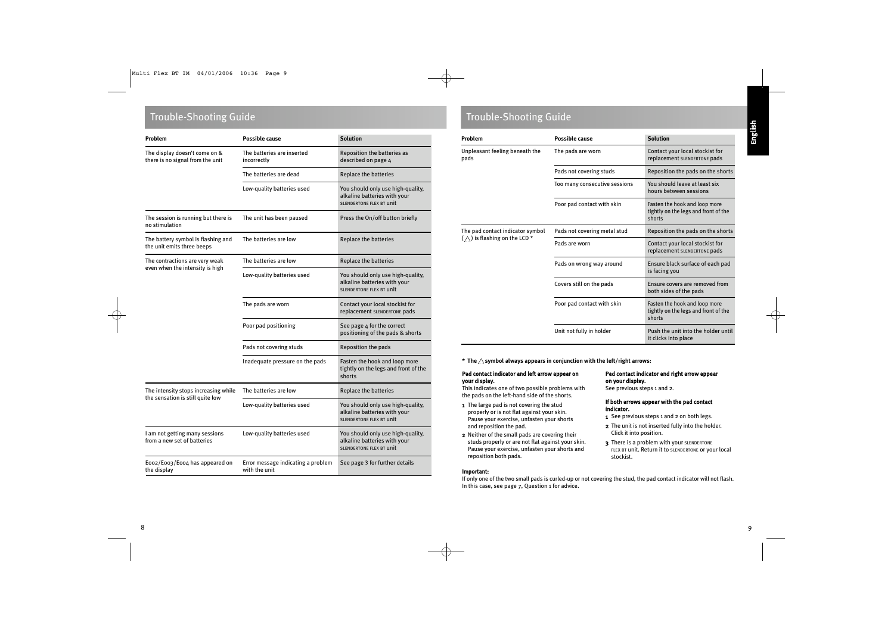| Problem                                                           | <b>Possible cause</b>                               | <b>Solution</b>                                                                                      |
|-------------------------------------------------------------------|-----------------------------------------------------|------------------------------------------------------------------------------------------------------|
| The display doesn't come on &<br>there is no signal from the unit | The batteries are inserted<br>incorrectly           | Reposition the batteries as<br>described on page 4                                                   |
|                                                                   | The batteries are dead                              | Replace the batteries                                                                                |
|                                                                   | Low-quality batteries used                          | You should only use high-quality,<br>alkaline batteries with your<br><b>SLENDERTONE FLEX BT UNIT</b> |
| The session is running but there is<br>no stimulation             | The unit has been paused                            | Press the On/off button briefly                                                                      |
| The battery symbol is flashing and<br>the unit emits three beeps  | The batteries are low                               | Replace the batteries                                                                                |
| The contractions are very weak                                    | The batteries are low                               | <b>Replace the batteries</b>                                                                         |
| even when the intensity is high                                   | Low-quality batteries used                          | You should only use high-quality,<br>alkaline batteries with your<br>SLENDERTONE FLEX BT UNIT        |
|                                                                   | The pads are worn                                   | Contact your local stockist for<br>replacement SLENDERTONE pads                                      |
|                                                                   | Poor pad positioning                                | See page 4 for the correct<br>positioning of the pads & shorts                                       |
|                                                                   | Pads not covering studs                             | Reposition the pads                                                                                  |
|                                                                   | Inadequate pressure on the pads                     | Fasten the hook and loop more<br>tightly on the legs and front of the<br>shorts                      |
| The intensity stops increasing while                              | The batteries are low                               | Replace the batteries                                                                                |
| the sensation is still quite low                                  | Low-quality batteries used                          | You should only use high-quality,<br>alkaline batteries with your<br><b>SLENDERTONE FLEX BT UNIT</b> |
| I am not getting many sessions<br>from a new set of batteries     | Low-quality batteries used                          | You should only use high-quality,<br>alkaline batteries with your<br><b>SLENDERTONE FLEX BT UNIT</b> |
| Eoo2/Eoo3/Eoo4 has appeared on<br>the display                     | Error message indicating a problem<br>with the unit | See page 3 for further details                                                                       |

## Trouble-Shooting Guide Trouble-Shooting Guide

| Problem                                | <b>Possible cause</b>         | <b>Solution</b>                                                                 |
|----------------------------------------|-------------------------------|---------------------------------------------------------------------------------|
| Unpleasant feeling beneath the<br>pads | The pads are worn             | Contact your local stockist for<br>replacement SLENDERTONE pads                 |
|                                        | Pads not covering studs       | Reposition the pads on the shorts                                               |
|                                        | Too many consecutive sessions | You should leave at least six<br>hours between sessions                         |
|                                        | Poor pad contact with skin    | Fasten the hook and loop more<br>tightly on the legs and front of the<br>shorts |
| The pad contact indicator symbol       | Pads not covering metal stud  | Reposition the pads on the shorts                                               |
| $(\wedge)$ is flashing on the LCD *    | Pads are worn                 | Contact your local stockist for<br>replacement SLENDERTONE pads                 |
|                                        | Pads on wrong way around      | Ensure black surface of each pad<br>is facing you                               |
|                                        | Covers still on the pads      | Ensure covers are removed from<br>both sides of the pads                        |
|                                        | Poor pad contact with skin    | Fasten the hook and loop more<br>tightly on the legs and front of the<br>shorts |
|                                        | Unit not fully in holder      | Push the unit into the holder until<br>it clicks into place                     |

**\*** The  $\wedge$  symbol always appears in conjunction with the left/right arrows:

### Pad contact indicator and left arrow appear on your display.

This indicates one of two possible problems with the pads on the left-hand side of the shorts.

- 1 The large pad is not covering the stud properly or is not flat against your skin. Pause your exercise, unfasten your shorts and reposition the pad.
- 2 Neither of the small pads are covering their studs properly or are not flat against your skin. Pause your exercise, unfasten your shorts and reposition both pads.

### Important:

If only one of the two small pads is curled-up or not covering the stud, the pad contact indicator will not flash. In this case, see page 7, Question 1 for advice.

Pad contact indicator and right arrow appear

If both arrows appear with the pad contact

1 See previous steps 1 and 2 on both legs. 2 The unit is not inserted fully into the holder.

3 There is a problem with your SLENDERTONE FLEX BT unit. Return it to SLENDERTONE or your local

on your display.

indicator.

stockist.

See previous steps 1 and 2.

Click it into position.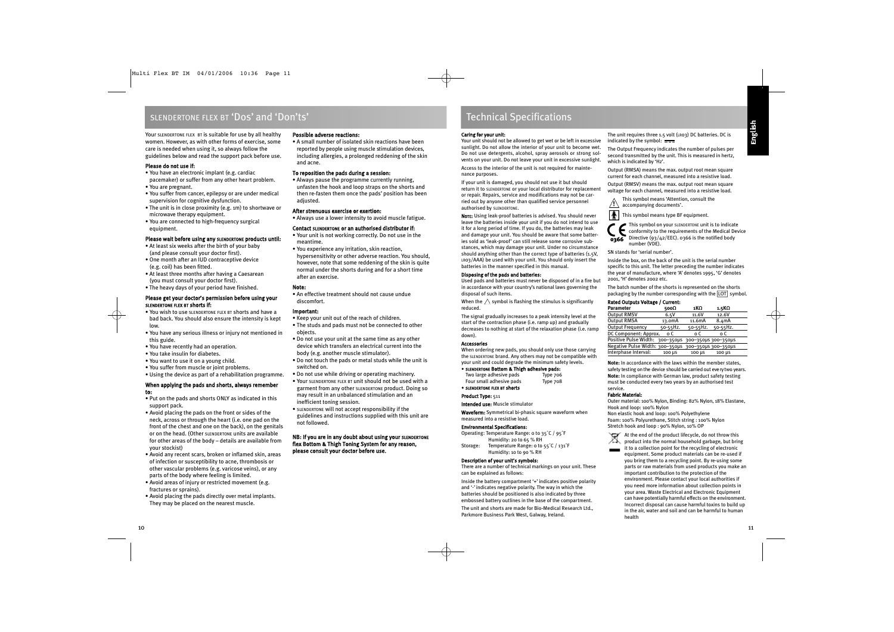### SLENDERTONE FLEX BT 'Dos' and 'Don'ts'

Your SLENDERTONE FLEX BT is suitable for use by all healthy women. However, as with other forms of exercise, some care is needed when using it, so always follow the guidelines below and read the support pack before use.

### Please do not use if:

- You have an electronic implant (e.g. cardiac pacemaker) or suffer from any other heart problem.
- You are pregnant.
- You suffer from cancer, epilepsy or are under medical supervision for cognitive dysfunction.
- The unit is in close proximity (e.g. 1m) to shortwave or microwave therapy equipment.
- You are connected to high-frequency surgical equipment.

### Please wait before using any SLENDERTONE products until:

- At least six weeks after the birth of your baby (and please consult your doctor first).
- One month after an IUD contraceptive device (e.g. coil) has been fitted.
- At least three months after having a Caesarean (you must consult your doctor first).
- The heavy days of your period have finished.

### Please get your doctor's permission before using your SLENDERTONE FLEX BT shorts if:

- You wish to use SLENDERTONE FLEX BT shorts and have a bad back. You should also ensure the intensity is kept low.
- You have any serious illness or injury not mentioned in this guide.
- You have recently had an operation.
- You take insulin for diabetes.
- You want to use it on a young child.
- You suffer from muscle or joint problems.
- Using the device as part of a rehabilitation programme.

### When applying the pads and shorts, always remember to:

- Put on the pads and shorts ONLY as indicated in this support pack.
- Avoid placing the pads on the front or sides of the neck, across or through the heart (i.e. one pad on the front of the chest and one on the back), on the genitals or on the head. (Other SLENDERTONE units are available for other areas of the body – details are available from your stockist)
- Avoid any recent scars, broken or inflamed skin, areas of infection or susceptibility to acne, thrombosis or other vascular problems (e.g. varicose veins), or any parts of the body where feeling is limited.
- Avoid areas of injury or restricted movement (e.g. fractures or sprains).
- Avoid placing the pads directly over metal implants. They may be placed on the nearest muscle.

### Possible adverse reactions:

• A small number of isolated skin reactions have been reported by people using muscle stimulation devices, including allergies, a prolonged reddening of the skin and acne.

### To reposition the pads during a session:

• Always pause the programme currently running, unfasten the hook and loop straps on the shorts and then re-fasten them once the pads' position has been adjusted.

### After strenuous exercise or exertion:

• Always use a lower intensity to avoid muscle fatigue.

### Contact SLENDERTONE or an authorised distributor if:

- Your unit is not working correctly. Do not use in the meantime.
- You experience any irritation, skin reaction, hypersensitivity or other adverse reaction. You should, however, note that some reddening of the skin is quite normal under the shorts during and for a short time after an exercise.

### Note:

• An effective treatment should not cause undue discomfort.

### Important:

- Keep your unit out of the reach of children.
- The studs and pads must not be connected to other objects.
- Do not use your unit at the same time as any other device which transfers an electrical current into the body (e.g. another muscle stimulator).
- Do not touch the pads or metal studs while the unit is switched on.
- Do not use while driving or operating machinery.
- Your SLENDERTONE FLEX BT unit should not be used with a garment from any other SLENDERTONE product. Doing so may result in an unbalanced stimulation and an inefficient toning session.
- SLENDERTONE will not accept responsibility if the guidelines and instructions supplied with this unit are not followed.

### NB: If you are in any doubt about using your SLENDERTONE flex Bottom & Thigh Toning System for any reason, please consult your doctor before use.

### Technical Specifications

### Caring for your unit:

Your unit should not be allowed to get wet or be left in excessive sunlight. Do not allow the interior of your unit to become wet. Do not use detergents, alcohol, spray aerosols or strong solvents on your unit. Do not leave your unit in excessive sunlight.

Access to the interior of the unit is not required for maintenance purposes.

If your unit is damaged, you should not use it but should return it to SLENDERTONE or your local distributor for replacement or repair. Repairs, service and modifications may not be carried out by anyone other than qualified service personnel authorised by SLENDERTONE.

NOTE: Using leak-proof batteries is advised. You should never leave the batteries inside your unit if you do not intend to use it for a long period of time. If you do, the batteries may leak and damage your unit. You should be aware that some batteries sold as 'leak-proof' can still release some corrosive substances, which may damage your unit. Under no circumstance should anything other than the correct type of batteries (1.5V, LR03/AAA) be used with your unit. You should only insert the batteries in the manner specified in this manual.

### Disposing of the pads and batteries:

Used pads and batteries must never be disposed of in a fire but in accordance with your country's national laws governing the disposal of such items.

When the  $\triangle$  symbol is flashing the stimulus is significantly reduced.

The signal gradually increases to a peak intensity level at the start of the contraction phase (i.e. ramp up) and gradually decreases to nothing at start of the relaxation phase (i.e. ramp down).

### Accessories

When ordering new pads, you should only use those carrying the SLENDERTONE brand. Any others may not be compatible with your unit and could degrade the minimum safety levels.

• SLENDERTONE Bottom & Thigh adhesive pads:

Two large adhesive pads Type 706 Four small adhesive pads Type 708

• SLENDERTONE FLEX BT shorts

### Product Type: 511

Intended use: Muscle stimulator

Waveform: Symmetrical bi-phasic square waveform when measured into a resistive load.

### Environmental Specifications:

Operating: Temperature Range: 0 to 35˚C / 95˚F Humidity: 20 to 65 % RH Storage: Temperature Range: 0 to 55˚C / 131˚F Humidity: 10 to 90 % RH

### Description of your unit's symbols:

There are a number of technical markings on your unit. These can be explained as follows:

Inside the battery compartment '+' indicates positive polarity and '-' indicates negative polarity. The way in which the batteries should be positioned is also indicated by three embossed battery outlines in the base of the compartment. The unit and shorts are made for Bio-Medical Research Ltd., Parkmore Business Park West, Galway, Ireland.

The unit requires three 1.5 volt (LR03) DC batteries. DC is indicated by the symbol:  $\frac{1}{1}$ 

The Output Frequency indicates the number of pulses per second transmitted by the unit. This is measured in hertz, which is indicated by 'Hz'.

Output (RMSA) means the max. output root mean square current for each channel, measured into a resistive load. Output (RMSV) means the max. output root mean square voltage for each channel, measured into a resistive load.

This symbol means 'Attention, consult the accompanying documents'. **!**

**This symbol means type BF equipment.** 

This symbol on your SLENDERTONE unit is to indicate conformity to the requirements of the Medical Device  $\overline{0366}$  Directive (93/42/EEC). 0366 is the notified body number (VDE).

SN stands for 'serial number'.

Inside the box, on the back of the unit is the serial number specific to this unit. The letter preceding the number indicates the year of manufacture, where 'A' denotes 1995, 'G' denotes 2001, 'H' denotes 2002 etc.

The batch number of the shorts is represented on the shorts packaging by the number corresponding with the LOT symbol.

### Rated Outputs Voltage / Current:

| Parameter                                           | 500Ω                | 1KO      | 1.5KΩ    |
|-----------------------------------------------------|---------------------|----------|----------|
| <b>Output RMSV</b>                                  | 6.5V                | 11.6V    | 12.6V    |
| <b>Output RMSA</b>                                  | 13.0 <sub>m</sub> A | 11.6mA   | 8.4mA    |
| <b>Output Frequency</b>                             | 50-55Hz.            | 50-55Hz. | 50-55Hz. |
| DC Component: Approx. o C                           |                     | o C      | o C      |
| Positive Pulse Width: 300-350µs 300-350µs 300-350µs |                     |          |          |
| Negative Pulse Width: 300-350µs 300-350µs 300-350µs |                     |          |          |
| Interphase Interval:                                | $100 \mu s$         | 100 µS   | 100 µS   |

**Note:** In accordance with the laws within the member states, safety testing on the device should be carried out eve rytwo years. **Note:** In compliance with German law, product safety testing must be conducted every two years by an authorised test service.

### Fabric Material:

Outer material: 100% Nylon, Binding: 82% Nylon, 18% Elastane, Hook and loop: 100% Nylon

Non elastic hook and loop: 100% Polyethylene Foam: 100% Polyurethane, Stitch string : 100% Nylon Stretch hook and loop : 90% Nylon, 10% OP

At the end of the product lifecycle, do not throw this product into the normal household garbage, but bring

it to a collection point for the recycling of electronic equipment. Some product materials can be re-used if you bring them to a recycling point. By re-using some parts or raw materials from used products you make an important contribution to the protection of the environment. Please contact your local authorities if you need more information about collection points in your area. Waste Electrical and Electronic Equipment can have potentially harmful effects on the environment. Incorrect disposal can cause harmful toxins to build up in the air, water and soil and can be harmful to human health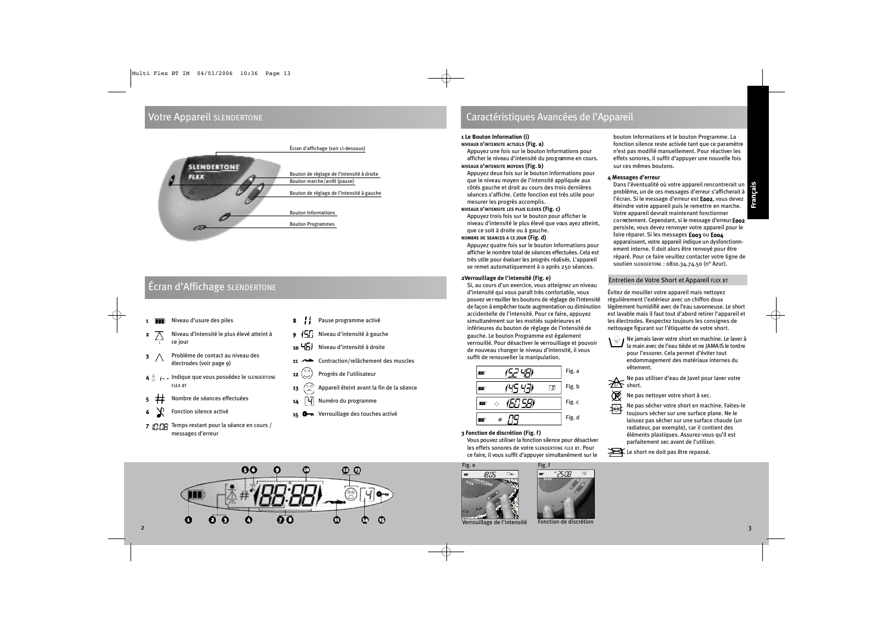### Votre Appareil SLENDERTONE



## Écran d'Affichage SLENDERTONE

- 1 Niveau d'usure des piles
- 2 Niveau d'intensité le plus élevé atteint à ce jour
- $3 \wedge$  Problème de contact au niveau des électrodes (voir page 9)
- $4 \stackrel{\circ}{\triangle}$   $\longleftarrow$  Indique que vous possédez le sLENDERTONE FLEX BT
- 5 Nombre de séances effectuées
- 6 Fonction silence activé
- 7 T: THE Temps restant pour la séance en cours / messages d'erreur
- 8 / Pause programme activé
- 9 Niveau d'intensité à gauche
- 10 Niveau d'intensité à droite
- 11 Contraction/relâchement des muscles
- 12 (C) Progrès de l'utilisateur
- 13  $\left(\begin{matrix} 0 & 0 \\ 0 & 0 \end{matrix}\right)$  Appareil éteint avant la fin de la séance
- 14 **4** Numéro du programme
	- Verrouillage des touches activé



### **1 Le Bouton Information (i)**

### **NIVEAUX D'INTENSITE ACTUELS (Fig. a)**

Appuyez une fois sur le bouton Informations pour afficher le niveau d'intensité du pro g ramme en cours. **NIVEAUX D'INTENSITE MOYENS (Fig. b)**

Appuyez deux fois sur le bouton Informations pour que le niveau moyen de l'intensité appliquée aux côtés gauche et droit au cours des trois dernières séances s'affiche. Cette fonction est très utile pour mesurer les progrès accomplis.

### **NIVEAUX D'INTENSITE LES PLUS ELEVES (Fig. c)**

Appuyez trois fois sur le bouton pour afficher le niveau d'intensité le plus élevé que vous ayez atteint, que ce soit à droite ou à gauche.

### **NOMBRE DE SEANCES A CE JOUR (Fig. d)**

Appuyez quatre fois sur le bouton Informations pour afficher le nombre total de séances effectuées. Cela est très utile pour évaluer les progrès réalisés. L'appareil se remet automatiquement à 0 après 250 séances.

### **2Verrouillage de l'intensité (Fig. e)**

Si, au cours d'un exercice, vous atteignez un niveau d'intensité qui vous paraît très confortable, vous pouvez ver rouiller les boutons de réglage de l'intensité de façon à empêcher toute augmentation ou diminution accidentelle de l'intensité. Pour ce faire, appuyez simultanément sur les moitiés supérieures et inférieures du bouton de réglage de l'intensité de gauche. Le bouton Programme est également verrouillé. Pour désactiver le verrouillage et pouvoir de nouveau changer le niveau d'intensité, il vous suffit de renouveller la manipulation.

|   |    | Fig. a |
|---|----|--------|
|   | J. | Fig.b  |
| Ą |    | Fig. c |
|   |    | Fig. d |

**3 Fonction de discrétion (Fig. f)**

Vous pouvez utiliser la fonction silence pour désactiver les effets sonores de votre SLENDERTONE FLEX BT. Pour ce faire, il vous suffit d'appuyer simultanément sur le

Fig. f



bouton Informations et le bouton Programme. La fonction silence reste activée tant que ce paramètre n'est pas modifié manuellement. Pour réactiver les effets sonores, il suffit d'appuyer une nouvelle fois sur ces mêmes boutons.

### **4 Messages d'erreur**

Dans l'éventualité où votre appareil rencontrerait un p roblème, un de ces messages d'erreur s'afficherait à l'écran. Si le message d'erreur est **Eoo2**, vous devez éteindre votre appareil puis le remettre en marche. Votre appareil devrait maintenant fonctionner correctement. Cependant, si le message d'erreur E002 persiste, vous devez renvoyer votre appareil pour le faire réparer. Si les messages E003 ou E004 apparaissent, votre appareil indique un dysfonctionnement interne. Il doit alors être renvoyé pour être réparé. Pour ce faire veuillez contacter votre ligne de soutien SLENDERTONE : 0810.34.74.50 (n° Azur).

### Entretien de Votre Short et Appareil FLEX BT

Évitez de mouiller votre appareil mais nettoyez régulièrement l'extérieur avec un chiffon doux légèrement humidifié avec de l'eau savonneuse. Le short est lavable mais il faut tout d'abord retirer l'appareil et les électrodes. Respectez toujours les consignes de nettoyage figurant sur l'étiquette de votre short.



 $\sim$  Ne jamais laver votre short en machine. Le laver à la main avec de l'eau tiède et ne JAMA IS le tord re pour l'essorer. Cela permet d'éviter tout endommagement des matériaux internes du vêtement.

Ne pas utiliser d'eau de Javel pour laver votre **Solve the Short.** 

Ø Ne pas nettoyer votre short à sec.

拇 Ne pas sécher votre short en machine. Faites-le toujours sécher sur une surface plane. Ne le laissez pas sécher sur une surface chaude (un radiateur, par exemple), car il contient des éléments plastiques. Assurez-vous qu'il est parfaitement sec avant de l'utiliser.





Verrouillage de l'intensité

25:08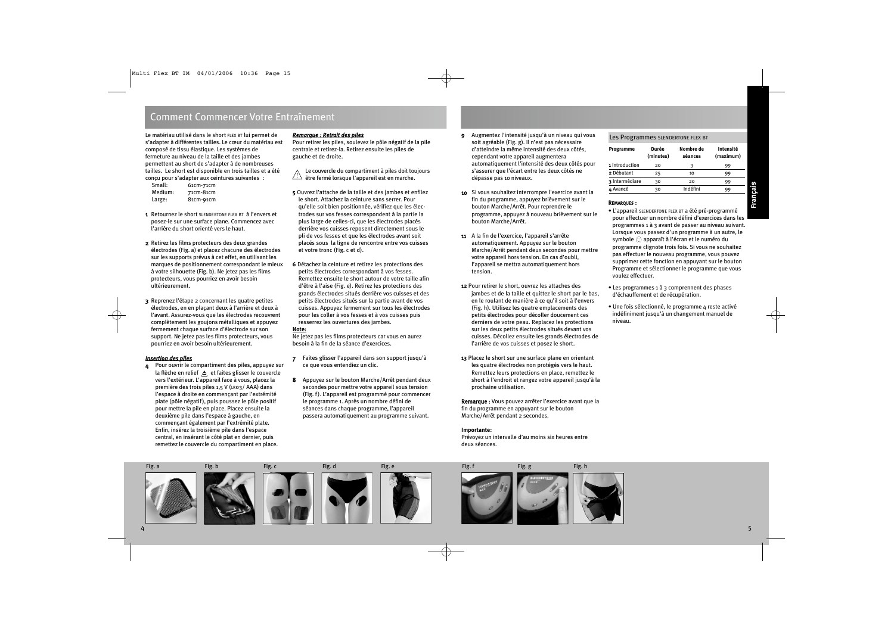### Comment Commencer Votre Entraînement

Le matériau utilisé dans le short FLEX BT lui permet de s'adapter à différentes tailles. Le cœur du matériau est composé de tissu élastique. Les systèmes de fermeture au niveau de la taille et des jambes permettent au short de s'adapter à de nombreuses tailles. Le short est disponible en trois tailles et a été conçu pour s'adapter aux ceintures suivantes :

| Small:  | And the state of the state of the state of the state of the state of the state of the state of the state of the<br>61cm-71cm |  |
|---------|------------------------------------------------------------------------------------------------------------------------------|--|
| Medium: | 71cm-81cm                                                                                                                    |  |
| Large:  | 81cm-91cm                                                                                                                    |  |

- 1 Retournez le short SLENDERTONE FLEX BT à l'envers et posez-le sur une surface plane. Commencez avec l'arrière du short orienté vers le haut.
- 2 Retirez les films protecteurs des deux grandes électrodes (Fig. a) et placez chacune des électrodes sur les supports prévus à cet effet, en utilisant les marques de positionnement correspondant le mieux à votre silhouette (Fig. b). Ne jetez pas les films protecteurs, vous pourriez en avoir besoin ultérieurement.
- 3 Reprenez l'étape 2 concernant les quatre petites électrodes, en en plaçant deux à l'arrière et deux à l'avant. Assurez-vous que les électrodes recouvrent complètement les goujons métalliques et appuyez fermement chaque surface d'électrode sur son support. Ne jetez pas les films protecteurs, vous pourriez en avoir besoin ultérieurement.

### *Insertion des piles*

4 Pour ouvrir le compartiment des piles, appuyez sur la flèche en relief  $\triangle$  et faites glisser le couvercle vers l'extérieur. L'appareil face à vous, placez la première des trois piles 1,5 V (LR03/ AAA) dans l'espace à droite en commençant par l'extrémité plate (pôle négatif), puis poussez le pôle positif pour mettre la pile en place. Placez ensuite la deuxième pile dans l'espace à gauche, en commençant également par l'extrémité plate. Enfin, insérez la troisième pile dans l'espace central, en insérant le côté plat en dernier, puis remettez le couvercle du compartiment en place.

### *Remarque : Retrait des piles*

Pour retirer les piles, soulevez le pôle négatif de la pile centrale et retirez-la. Retirez ensuite les piles de gauche et de droite.

Le couve rcle du compartiment à piles doit toujours être fermé lorsque l'appareil est en marche. !

- **5** Ouvrez l'attache de la taille et des jambes et enfilez le short. Attachez la ceinture sans serrer. Pour qu'elle soit bien positionnée, vérifiez que les électrodes sur vos fesses correspondent à la partie la plus large de celles-ci, que les électrodes placés derrière vos cuisses reposent directement sous le pli de vos fesses et que les électrodes avant soit placés sous la ligne de rencontre entre vos cuisses et votre tronc (Fig. c et d).
- **6** Détachez la ceinture et retirez les protections des petits électrodes correspondant à vos fesses. Remettez ensuite le short autour de votre taille afin d'être à l'aise (Fig. e). Retirez les protections des grands électrodes situés derrière vos cuisses et des petits électrodes situés sur la partie avant de vos cuisses. Appuyez fermement sur tous les électrodes pour les coller à vos fesses et à vos cuisses puis resserrez les ouvertures des jambes.

### **Note:**

Ne jetez pas les films protecteurs car vous en aurez besoin à la fin de la séance d'exercices.

- 7 Faites glisser l'appareil dans son support jusqu'à ce que vous entendiez un clic.
- 8 Appuyez sur le bouton Marche/Arrêt pendant deux secondes pour mettre votre appareil sous tension (Fig. f). L'appareil est programmé pour commencer le programme 1. Après un nombre défini de séances dans chaque programme, l'appareil passera automatiquement au programme suivant.

Fig. a Fig. b Fig. c Fig. d Fig. e Fig. e Fig. fig. f Fig. g Fig. h

- 9 Augmentez l'intensité jusqu'à un niveau qui vous soit agréable (Fig. g). Il n'est pas nécessaire d'atteindre la même intensité des deux côtés, cependant votre appareil augmentera automatiquement l'intensité des deux côtés pour s'assurer que l'écart entre les deux côtés ne dépasse pas 10 niveaux.
- 10 Si vous souhaitez interrompre l'exercice avant la fin du programme, appuyez brièvement sur le bouton Marche/Arrêt. Pour reprendre le programme, appuyez à nouveau brièvement sur le bouton Marche/Arrêt.
- 11 A la fin de l'exercice, l'appareil s'arrête automatiquement. Appuyez sur le bouton Marche/Arrêt pendant deux secondes pour mettre votre appareil hors tension. En cas d'oubli, l'appareil se mettra automatiquement hors tension.
- **12** Pour retirer le short, ouvrez les attaches des jambes et de la taille et quittez le short par le bas, en le roulant de manière à ce qu'il soit à l'envers (Fig. h). Utilisez les quatre emplacements des petits électrodes pour décoller doucement ces derniers de votre peau. Replacez les protections sur les deux petits électrodes situés devant vos cuisses. Décollez ensuite les grands électrodes de l'arrière de vos cuisses et posez le short.
- **13** Placez le short sur une surface plane en orientant les quatre électrodes non protégés vers le haut. Remettez leurs protections en place, remettez le short à l'endroit et rangez votre appareil jusqu'à la prochaine utilisation.

Remarque : Vous pouvez arrêter l'exercice avant que la fin du programme en appuyant sur le bouton Marche/Arrêt pendant 2 secondes.

### **Importante:**

Prévoyez un intervalle d'au moins six heures entre deux séances.

### Les Programmes SLENDERTONE FLEX BT

| Programme      | Durée<br>(minutes) | Nombre de<br>séances | Intensité<br>(maximum) |
|----------------|--------------------|----------------------|------------------------|
| 1 Introduction | 20                 | ٦                    | 99                     |
| 2 Débutant     | 25                 | 10                   | 99                     |
| 3 Intermédiare | 30                 | 20                   | 99                     |
| 4 Avancé       | 30                 | Indéfini             | 99                     |

### REMARQUES :

- L'appareil SLENDERTONE FLEX BT a été pré-programmé pour effectuer un nombre défini d'exercices dans les programmes 1 à 3 avant de passer au niveau suivant. Lorsque vous passez d'un programme à un autre, le symbole  $\mathcal{O}$  apparaît à l'écran et le numéro du programme clignote trois fois. Si vous ne souhaitez pas effectuer le nouveau programme, vous pouvez supprimer cette fonction en appuyant sur le bouton Programme et sélectionner le programme que vous voulez effectuer.
- Les programmes 1 à 3 comprennent des phases d'échauffement et de récupération.
- Une fois sélectionné, le programme 4 reste activé indéfiniment jusqu'à un changement manuel de niveau.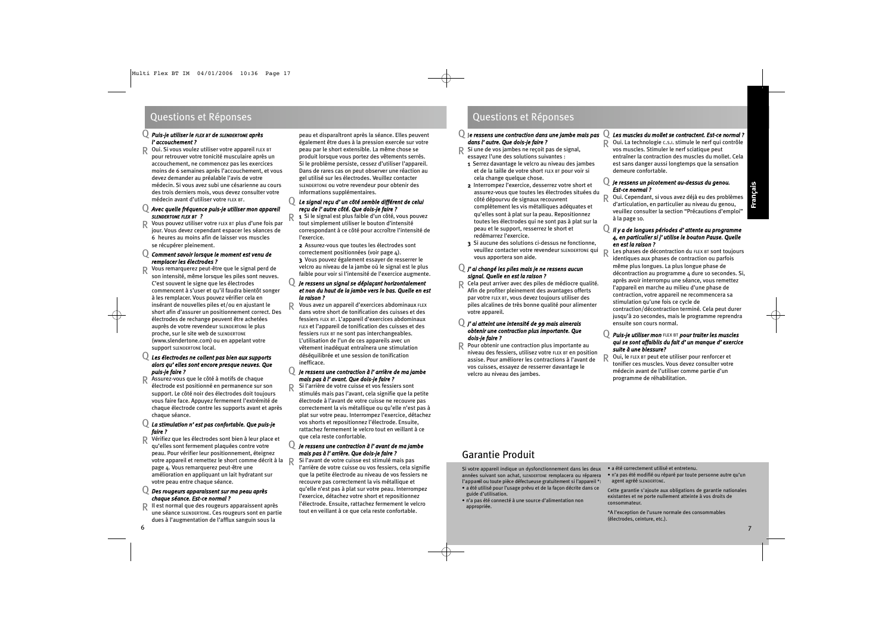#### *Puis-je utiliser le FLEX BT de SLENDERTONE après l'accouchement ?* Q

Oui. Si vous voulez utiliser votre appareil FLEX BT pour retrouver votre tonicité musculaire après un accouchement, ne commencez pas les exercices moins de 6 semaines après l'accouchement, et vous devez demander au préalable l'avis de votre médecin. Si vous avez subi une césarienne au cours des trois derniers mois, vous devez consulter votre médecin avant d'utiliser votre FLEX BT. R

### *Avec quelle fréquence puis-je utiliser mon appareil* Q *SLENDERTONE FLEX BT ?*

Vous pouvez utiliser votre FLEX BT plus d'une fois par jour. Vous devez cependant espacer les séances de 6 heures au moins afin de laisser vos muscles se récupérer pleinement. R

### *Comment savoir lorsque le moment est venu de* Q *remplacer les électrodes ?*

Vous remarquerez peut-être que le signal perd de son intensité, même lorsque les piles sont neuves. C'est souvent le signe que les électrodes commencent à s'user et qu'il faudra bientôt songer à les remplacer. Vous pouvez vérifier cela en insérant de nouvelles piles et/ou en ajustant le short afin d'assurer un positionnement correct. Des électrodes de rechange peuvent être achetées auprès de votre revendeur SLENDERTONE le plus proche, sur le site web de SLENDERTONE (www.slendertone.com) ou en appelant votre support SLENDERTONE local. R

### *Les électrodes ne collent pas bien aux supports* Q *alors qu'elles sont encore presque neuves. Que puis-je faire ?*

Assurez-vous que le côté à motifs de chaque électrode est positionné en permanence sur son support. Le côté noir des électrodes doit toujours vous faire face. Appuyez fermement l'extrémité de chaque électrode contre les supports avant et après chaque séance. R

### *La stimulation n'est pas confortable. Que puis-je* Q *faire ?*

R Vérifiez que les électrodes sont bien à leur place et<br>R qu'alles sont fermement plauées sontre votre qu'elles sont fermement plaquées contre votre peau. Pour vérifier leur positionnement, éteignez votre appareil et remettez le short comme décrit à la R<br>Regis : Vous remerquerez pout être une page 4. Vous remarquerez peut-être une amélioration en appliquant un lait hydratant sur votre peau entre chaque séance.

### *Des rougeurs apparaissent sur ma peau après* Q *chaque séance. Est-ce normal ?*

R Il est normal que des rougeurs apparaissent après une séance SLENDERTONE. Ces rougeurs sont en partie dues à l'augmentation de l'afflux sanguin sous la

peau et disparaîtront après la séance. Elles peuvent également être dues à la pression exercée sur votre peau par le short extensible. La même chose se produit lorsque vous portez des vêtements serrés. Si le problème persiste, cessez d'utiliser l'appareil. Dans de rares cas on peut observer une réaction au gel utilisé sur les électrodes. Veuillez contacter SLENDERTONE ou votre revendeur pour obtenir des informations supplémentaires.

### *Le signal reçu d'un côté semble différent de celui* Q *reçu de l'autre côté. Que dois-je faire ?*

1 Si le signal est plus faible d'un côté, vous pouvez tout simplement utiliser le bouton d'intensité correspondant à ce côté pour accroître l'intensité de l'exercice. R

2 Assurez-vous que toutes les électrodes sont correctement positionnées (voir page 4). 3 Vous pouvez également essayer de resserrer le velcro au niveau de la jambe où le signal est le plus faible pour voir si l'intensité de l'exercice augmente.

### *Je ressens un signal se déplaçant horizontalement et non du haut de la jambe vers le bas. Quelle en est la raison ?* Q

Vous avez un appareil d'exercices abdominaux FLEX dans votre short de tonification des cuisses et des fessiers FLEX BT. L'appareil d'exercices abdominaux FLEX et l'appareil de tonification des cuisses et des fessiers FLEX BT ne sont pas interchangeables. L'utilisation de l'un de ces appareils avec un vêtement inadéquat entraînera une stimulation déséquilibrée et une session de tonification inefficace. R

### *Je ressens une contraction à l'arrière de ma jambe* Q *mais pas à l'avant. Que dois-je faire ?*

R

Si l'arrière de votre cuisse et vos fessiers sont stimulés mais pas l'avant, cela signifie que la petite électrode à l'avant de votre cuisse ne recouvre pas correctement la vis métallique ou qu'elle n'est pas à plat sur votre peau. Interrompez l'exercice, détachez vos shorts et repositionnez l'électrode. Ensuite, rattachez fermement le velcro tout en veillant à ce que cela reste confortable.

### *Je ressens une contraction à l'avant de ma jambe* Q *mais pas à l'arrière. Que dois-je faire ?*

Si l'avant de votre cuisse est stimulé mais pas l'arrière de votre cuisse ou vos fessiers, cela signifie que la petite électrode au niveau de vos fessiers ne recouvre pas correctement la vis métallique et qu'elle n'est pas à plat sur votre peau. Interrompez l'exercice, détachez votre short et repositionnez l'électrode. Ensuite, rattachez fermement le velcro tout en veillant à ce que cela reste confortable.

### Questions et Réponses Questions et Réponses

### $Q$   $|e$  ressens une contraction dans une jambe mais pas  $Q$ *dans l'autre. Que dois-je faire ?*

- Si une de vos jambes ne reçoit pas de signal, essayez l'une des solutions suivantes : R
	- 1 Serrez davantage le velcro au niveau des jambes et de la taille de votre short FLEX BT pour voir si cela change quelque chose.
	- 2 Interrompez l'exercice, desserrez votre short et assurez-vous que toutes les électrodes situées du côté dépourvu de signaux recouvrent complètement les vis métalliques adéquates et qu'elles sont à plat sur la peau. Repositionnez toutes les électrodes qui ne sont pas à plat sur la peau et le support, resserrez le short et redémarrez l'exercice.
	- 3 Si aucune des solutions ci-dessus ne fonctionne, veuillez contacter votre revendeur SLENDERTONE qui vous apportera son aide.

### *J'ai changé les piles mais je ne ressens aucun* Q *signal. Quelle en est la raison ?*

Cela peut arriver avec des piles de médiocre qualité. Afin de profiter pleinement des avantages offerts par votre FLEX BT, vous devez toujours utiliser des piles alcalines de très bonne qualité pour alimenter votre appareil. R

### *J'ai atteint une intensité de 99 mais aimerais* Q *obtenir une contraction plus importante. Que dois-je faire ?*

R Pour obtenir une contraction plus importante au<br>religion des fossiers, utilises votre FIFX PLOP posit niveau des fessiers, utilisez votre FLEX BT en position assise. Pour améliorer les contractions à l'avant de vos cuisses, essayez de resserrer davantage le velcro au niveau des jambes.

### *Les muscles du mollet se contractent. Est-ce normal ?*

Oui. La technologie C.S.I. stimule le nerf qui contrôle vos muscles. Stimuler le nerf sciatique peut entraîner la contraction des muscles du mollet. Cela est sans danger aussi longtemps que la sensation demeure confortable. R

### *Je ressens un picotement au-dessus du genou.*  Q *Est-ce normal ?*

Oui. Cependant, si vous avez déjà eu des problèmes d'articulation, en particulier au niveau du genou, veuillez consulter la section "Précautions d'emploi" à la page 10. R

### *Il y a de longues périodes d'attente au programme* Q *4, en particulier si j'utilise le bouton Pause. Quelle en est la raison ?* R

Les phases de décontraction du FLEX BT sont toujours identiques aux phases de contraction ou parfois même plus longues. La plus longue phase de décontraction au programme 4 dure 10 secondes. Si, après avoir interrompu une séance, vous remettez l'appareil en marche au milieu d'une phase de contraction, votre appareil ne recommencera sa stimulation qu'une fois ce cycle de contraction/décontraction terminé. Cela peut durer jusqu'à 20 secondes, mais le programme reprendra ensuite son cours normal.

### *Puis-je utiliser mon* FLEX BT *pour traiter les muscles* Q *qui se sont affaiblis du fait d'un manque d'exercice suite à une blessure?*

Oui, le FLEX BT peut ete utiliser pour renforcer et tonifier ces muscles. Vous devez consulter votre médecin avant de l'utiliser comme partie d'un programme de réhabilitation. R

## Garantie Produit

Si votre appareil indique un dysfonctionnement dans les deux années suivant son achat, SLENDERTONE remplacera ou réparera l'appareil ou toute pièce défectueuse gratuitement si l'appareil \*:

- a été utilisé pour l'usage prévu et de la façon décrite dans ce guide d'utilisation.
- n'a pas été connecté à une source d'alimentation non appropriée.
- a été correctement utilisé et entretenu.
- n'a pas été modifié ou réparé par toute personne autre qu'un agent agréé SLENDERTONE.

Cette garantie s'ajoute aux obligations de garantie nationales existantes et ne porte nullement atteinte à vos droits de consommateur.

\*A l'exception de l'usure normale des consommables (électrodes, ceinture, etc.).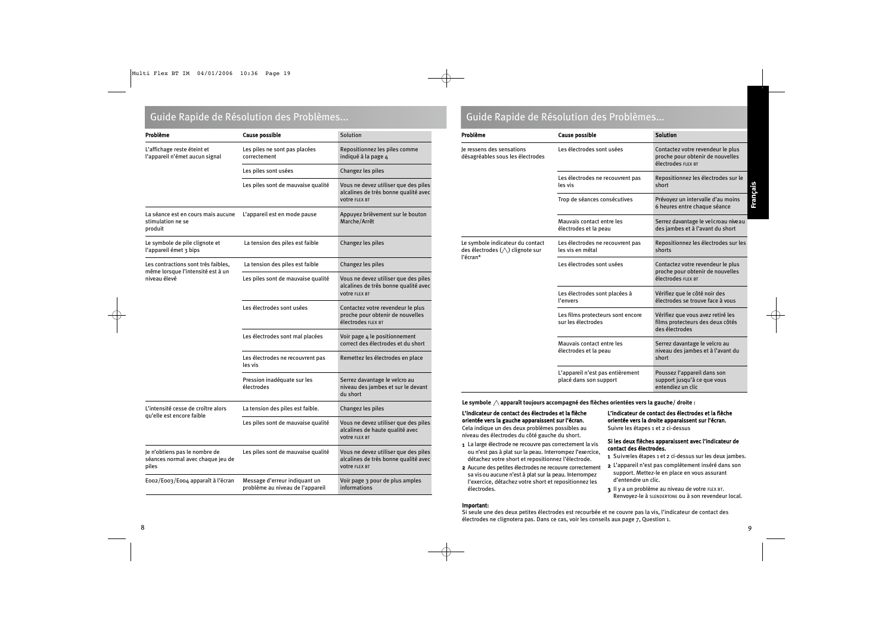### Guide Rapide de Résolution des Problèmes... Cuide Rapide de Résolution des Problèmes...

| Problème                                                                    | Cause possible                                                    | Solution                                                                                             |
|-----------------------------------------------------------------------------|-------------------------------------------------------------------|------------------------------------------------------------------------------------------------------|
| L'affichage reste éteint et<br>l'appareil n'émet aucun signal               | Les piles ne sont pas placées<br>correctement                     | Repositionnez les piles comme<br>indiqué à la page 4                                                 |
|                                                                             | Les piles sont usées                                              | Changez les piles                                                                                    |
|                                                                             | Les piles sont de mauvaise qualité                                | Vous ne devez utiliser que des piles<br>alcalines de très bonne qualité avec<br><b>votre FLEX BT</b> |
| La séance est en cours mais aucune<br>stimulation ne se<br>produit          | L'appareil est en mode pause                                      | Appuyez brièvement sur le bouton<br>Marche/Arrêt                                                     |
| Le symbole de pile clignote et<br>l'appareil émet 3 bips                    | La tension des piles est faible                                   | Changez les piles                                                                                    |
| Les contractions sont très faibles,                                         | La tension des piles est faible                                   | Changez les piles                                                                                    |
| même lorsque l'intensité est à un<br>niveau élevé                           | Les piles sont de mauvaise qualité                                | Vous ne devez utiliser que des piles<br>alcalines de très bonne qualité avec<br><b>votre FLEX BT</b> |
|                                                                             | Les électrodes sont usées                                         | Contactez votre revendeur le plus<br>proche pour obtenir de nouvelles<br>électrodes FLEX BT          |
|                                                                             | Les électrodes sont mal placées                                   | Voir page 4 le positionnement<br>correct des électrodes et du short                                  |
|                                                                             | Les électrodes ne recouvrent pas<br>les vis                       | Remettez les électrodes en place                                                                     |
|                                                                             | Pression inadéquate sur les<br>électrodes                         | Serrez davantage le velcro au<br>niveau des jambes et sur le devant<br>du short                      |
| L'intensité cesse de croître alors<br>qu'elle est encore faible             | La tension des piles est faible.                                  | Changez les piles                                                                                    |
|                                                                             | Les piles sont de mauvaise qualité                                | Vous ne devez utiliser que des piles<br>alcalines de haute qualité avec<br><b>votre FLEX BT</b>      |
| Je n'obtiens pas le nombre de<br>séances normal avec chaque jeu de<br>piles | Les piles sont de mauvaise qualité                                | Vous ne devez utiliser que des piles<br>alcalines de très bonne qualité avec<br><b>votre FLEX BT</b> |
| Eoo2/Eoo3/Eoo4 apparaît à l'écran                                           | Message d'erreur indiquant un<br>problème au niveau de l'appareil | Voir page 3 pour de plus amples<br>informations                                                      |

| Problème                                                                                  | Cause possible                                             | <b>Solution</b>                                                                             |
|-------------------------------------------------------------------------------------------|------------------------------------------------------------|---------------------------------------------------------------------------------------------|
| Je ressens des sensations<br>désagréables sous les électrodes                             | Les électrodes sont usées                                  | Contactez votre revendeur le plus<br>proche pour obtenir de nouvelles<br>électrodes FLEX BT |
|                                                                                           | Les électrodes ne recouvrent pas<br>les vis                | Repositionnez les électrodes sur le<br>short                                                |
|                                                                                           | Trop de séances consécutives                               | Prévoyez un intervalle d'au moins<br>6 heures entre chaque séance                           |
|                                                                                           | Mauvais contact entre les<br>électrodes et la peau         | Serrez davantage le velcroau niveau<br>des jambes et à l'avant du short                     |
| Le symbole indicateur du contact<br>des électrodes $(\triangle)$ clignote sur<br>l'écran* | Les électrodes ne recouvrent pas<br>les vis en métal       | Repositionnez les électrodes sur les<br>shorts                                              |
|                                                                                           | Les électrodes sont usées                                  | Contactez votre revendeur le plus<br>proche pour obtenir de nouvelles<br>électrodes FLEX BT |
|                                                                                           | Les électrodes sont placées à<br>l'envers                  | Vérifiez que le côté noir des<br>électrodes se trouve face à vous                           |
|                                                                                           | Les films protecteurs sont encore<br>sur les électrodes    | Vérifiez que vous avez retiré les<br>films protecteurs des deux côtés<br>des électrodes     |
|                                                                                           | Mauvais contact entre les<br>électrodes et la peau         | Serrez davantage le velcro au<br>niveau des jambes et à l'avant du<br>short                 |
|                                                                                           | L'appareil n'est pas entièrement<br>placé dans son support | Poussez l'appareil dans son<br>support jusqu'à ce que vous<br>entendiez un clic             |

Le symbole  $\wedge$  apparaît toujours accompagné des flèches orientées vers la gauche/ droite :

### L'indicateur de contact des électrodes et la flèche orientée vers la gauche apparaissent sur l'écran.

Cela indique un des deux problèmes possibles au niveau des électrodes du côté gauche du short.

- 1 La large électrode ne recouvre pas correctement la vis ou n'est pas à plat sur la peau. Interrompez l'exercice, détachez votre short et repositionnez l'électrode.
- 2 Aucune des petites électrodes ne recouvre correctement sa vis ou aucune n'est à plat sur la peau. Interrompez l'exercice, détachez votre short et repositionnez les électrodes.

### Important:

L'indicateur de contact des électrodes et la flèche orientée vers la droite apparaissent sur l'écran. Suivre les étapes 1 et 2 ci-dessus

### Si les deux flèches apparaissent avec l'indicateur de contact des électrodes.

- 1 Suivreles étapes 1 et 2 ci-dessus sur les deux jambes.
- 2 L'appareil n'est pas complètement inséré dans son support. Mettez-le en place en vous assurant d'entendre un clic.
- 3 Il y a un problème au niveau de votre FLEX BT. Renvoyez-le à SLENDERTONE ou à son revendeur local.

Si seule une des deux petites électrodes est recourbée et ne couvre pas la vis, l'indicateur de contact des électrodes ne clignotera pas. Dans ce cas, voir les conseils aux page 7, Question 1.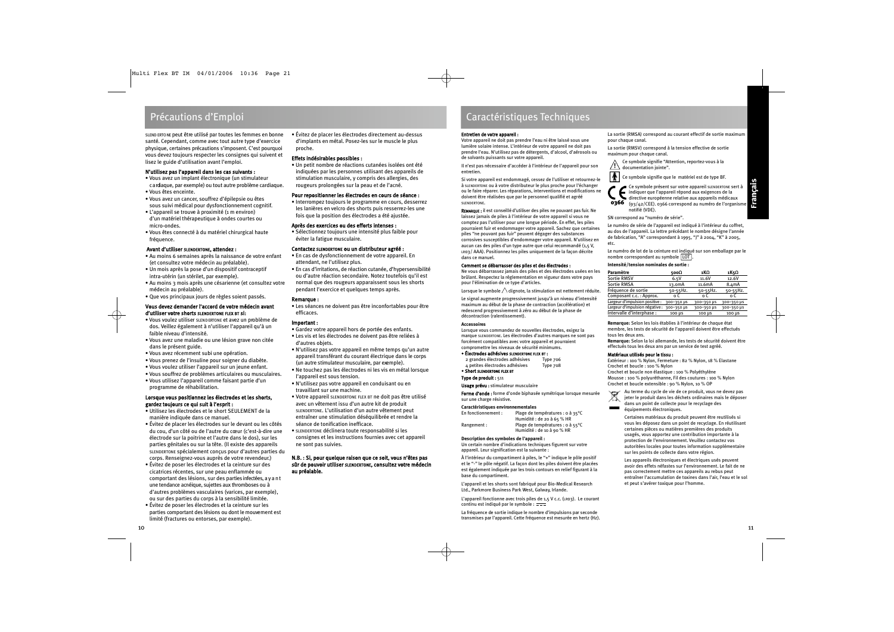SLEND ERTO NE peut être utilisé par toutes les femmes en bonne santé. Cependant, comme avec tout autre type d'exercice physique, certaines précautions s'imposent. C'est pourquoi vous devez toujours respecter les consignes qui suivent et lisez le guide d'utilisation avant l'emploi.

### N'utilisez pas l'appareil dans les cas suivants :

- Vous avez un implant électronique (un stimulateur c a rdiaque, par exemple) ou tout autre problème cardiaque.
- Vous êtes enceinte.
- Vous avez un cancer, souffrez d'épilepsie ou êtes sous suivi médical pour dysfonctionnement cognitif.
- L'appareil se trouve à proximité (1 m environ) d'un matériel thérapeutique à ondes courtes ou micro-ondes.
- Vous êtes connecté à du matériel chirurgical haute fréquence.

### Avant d'utiliser SLENDERTONE, attendez :

- Au moins 6 semaines après la naissance de votre enfant (et consultez votre médecin au préalable).
- Un mois après la pose d'un dispositif contraceptif intra-utérin (un stérilet, par exemple).
- Au moins 3 mois après une césarienne (et consultez votre médecin au préalable).
- Que vos principaux jours de règles soient passés.

### Vous devez demander l'accord de votre médecin avant d'utiliser votre shorts SLENDERTONE FLEX BT si:

- Vous voulez utiliser SLEND ERTONE et avez un problème de dos. Veillez également à n'utiliser l'appareil qu'à un faible niveau d'intensité.
- Vous avez une maladie ou une lésion grave non citée dans le présent guide.
- Vous avez récemment subi une opération.
- Vous prenez de l'insuline pour soigner du diabète.
- Vous voulez utiliser l'appareil sur un jeune enfant.
- Vous souffrez de problèmes articulaires ou musculaires.
- Vous utilisez l'appareil comme faisant partie d'un programme de réhabilitation.

### Lorsque vous positionnez les électrodes et les shorts, gardez toujours ce qui suit à l'esprit :

- Utilisez les électrodes et le short SEULEMENT de la manière indiquée dans ce manuel.
- Évitez de placer les électrodes sur le devant ou les côtés du cou, d'un côté ou de l'autre du cœur (c'est-à-dire une électrode sur la poitrine et l'autre dans le dos), sur les parties génitales ou sur la tête. (Il existe des appareils SLENDERTONE spécialement conçus pour d'autres parties du corps. Renseignez-vous auprès de votre revendeur.)
- Évitez de poser les électrodes et la ceinture sur des cicatrices récentes, sur une peau enflammée ou comportant des lésions, sur des parties infectées, a y a n t une tendance acnéique, sujettes aux thromboses ou à d'autres problèmes vasculaires (varices, par exemple), ou sur des parties du corps à la sensibilité limitée.
- Évitez de poser les électrodes et la ceinture sur les parties comportant des lésions ou dont le mouvement est limité (fractures ou entorses, par exemple).

• Évitez de placer les électrodes directement au-dessus d'implants en métal. Posez-les sur le muscle le plus proche.

### Effets indésirables possibles :

• Un petit nombre de réactions cutanées isolées ont été indiquées par les personnes utilisant des appareils de stimulation musculaire, y compris des allergies, des rougeurs prolongées sur la peau et de l'acné.

### Pour repositionner les électrodes en cours de séance :

• Interrompez toujours le programme en cours, desserrez les lanières en velcro des shorts puis resserrez-les une fois que la position des électrodes a été ajustée.

### Après des exercices ou des efforts intenses :

• Sélectionnez toujours une intensité plus faible pour éviter la fatigue musculaire.

### Contactez SLENDERTONE ou un distributeur agréé :

- En cas de dysfonctionnement de votre appareil. En attendant, ne l'utilisez plus.
- En cas d'irritations, de réaction cutanée, d'hypersensibilité ou d'autre réaction secondaire. Notez toutefois qu'il est normal que des rougeurs apparaissent sous les shorts pendant l'exercice et quelques temps après.

### Remarque :

• Les séances ne doivent pas être inconfortables pour être efficaces.

### Important :

- Gardez votre appareil hors de portée des enfants.
- Les vis et les électrodes ne doivent pas être reliées à d'autres objets.
- N'utilisez pas votre appareil en même temps qu'un autre appareil transférant du courant électrique dans le corps (un autre stimulateur musculaire, par exemple).
- Ne touchez pas les électrodes ni les vis en métal lorsque l'appareil est sous tension.
- N'utilisez pas votre appareil en conduisant ou en travaillant sur une machine.
- Votre appareil SLENDERTONE FLEX BT ne doit pas être utilisé avec un vêtement issu d'un autre kit de produit SLENDERTONE. L'utilisation d'un autre vêtement peut entraîner une stimulation déséquilibrée et rendre la séance de tonification inefficace.
- SLENDERTONE déclinera toute responsabilité si les consignes et les instructions fournies avec cet appareil ne sont pas suivies.

### N.B. : Si, pour quelque raison que ce soit, vous n'êtes pas sûr de pouvoir utiliser SLENDERTONE, consultez votre médecin au préalable.

### Caractéristiques Techniques

### Entretien de votre appareil :

Votre appareil ne doit pas prendre l'eau ni être laissé sous une lumière solaire intense. L'intérieur de votre appareil ne doit pas prendre l'eau. N'utilisez pas de détergents, d'alcool, d'aérosols ou de solvants puissants sur votre appareil.

Il n'est pas nécessaire d'accéder à l'intérieur de l'appareil pour son entretien.

Si votre appareil est endommagé, cessez de l'utiliser et retournez-le à SLENDERTONE ou à votre distributeur le plus proche pour l'échanger ou le faire réparer. Les réparations, interventions et modifications ne doivent être réalisées que par le personnel qualifié et agréé **SLENDERTONE** 

REMARQUE : il est conseillé d'utiliser des piles ne pouvant pas fuir. Ne laissez jamais de piles à l'intérieur de votre appareil si vous ne comptez pas l'utiliser pour une longue période. En effet, les piles pourraient fuir et endommager votre appareil. Sachez que certaines piles "ne pouvant pas fuir" peuvent dégager des substances corrosives susceptibles d'endommager votre appareil. N'utilisez en aucun cas des piles d'un type autre que celui recommandé (1,5 V, LR03/ AAA). Positionnez les piles uniquement de la façon décrite dans ce manuel.

### Comment se débarrasser des piles et des électrodes :

Ne vous débarrassez jamais des piles et des électrodes usées en les brûlant. Respectez la réglementation en vigueur dans votre pays pour l'élimination de ce type d'articles.

Lorsque le symbole  $\triangle$  clignote, la stimulation est nettement réduite.

Le signal augmente progressivement jusqu'à un niveau d'intensité maximum au début de la phase de contraction (accélération) et redescend progressivement à zéro au début de la phase de décontraction (ralentissement).

### **Accessoires**

Lorsque vous commandez de nouvelles électrodes, exigez la marque SLENDERTONE. Les électrodes d'autres marques ne sont pas forcément compatibles avec votre appareil et pourraient compromettre les niveaux de sécurité minimums.

### • Électrodes adhésives SLENDERTONE FLEX BT :

| 2 grandes électrodes adhésives       | Type 706 |
|--------------------------------------|----------|
| 4 petites électrodes adhésives<br>-- | Type 708 |

• Short SLENDERTONE FLEX BT

### Type de produit : 511

Rangement :

Usage prévu : stimulateur musculaire

Forme d'onde : forme d'onde biphasée symétrique lorsque mesurée sur une charge résistive.

#### **Caractéristiques environnementales** En fonctionne

| ement : | Plage de températures : o à 35°C<br>Humidité : de 20 à 65 % HR |
|---------|----------------------------------------------------------------|
|         | Plage de températures : o à 55°C                               |
|         | Humidité : de 10 à 90 % HR                                     |

### **Description des symboles de l'appareil :**

Un certain nombre d'indications techniques figurent sur votre appareil. Leur signification est la suivante :

À l'intérieur du compartiment à piles, le "+" indique le pôle positif et le "-" le pôle négatif. La façon dont les piles doivent être placées est également indiquée par les trois contours en relief figurant à la base du compartiment.

L'appareil et les shorts sont fabriqué pour Bio-Medical Research Ltd., Parkmore Business Park West, Galway, Irlande.

L'appareil fonctionne avec trois piles de 1,5 V c.c. (LR03). Le courant continu est indiqué par le symbole :  $\frac{1}{1}$ 

La fréquence de sortie indique le nombre d'impulsions par seconde transmises par l'appareil. Cette fréquence est mesurée en hertz (Hz). La sortie (RMSA) correspond au courant effectif de sortie maximum pour chaque canal.

La sortie (RMSV) correspond à la tension effective de sortie maximum pour chaque canal.

Ce symbole signifie "Attention, reportez-vous à la documentation jointe". **!**

Ce symbole signifie que le matériel est de type BF.

Ce symbole présent sur votre appareil SLENDERTONE sert à indiquer que l'appareil répond aux exigences de la directive européenne relative aux appareils médicaux **0366**  $(93/42/CEE)$ . 0366 correspond au numéro de l'organisme notifié (VDE).

SN correspond au "numéro de série".

Le numéro de série de l'appareil est indiqué à l'intérieur du coffret, au dos de l'appareil. La lettre précédant le nombre désigne l'année de fabrication, "A" correspondant à 1995, "J" à 2004, "K" à 2005, etc.

Le numéro de lot de la ceinture est indiqué sur son emballage par le nombre correspondant au symbole LOT .

### **Intensité/tension nominales de sortie :**

| Paramètre                      | 500Ω                | 1 ΚΩ                | 1K5Ω       |
|--------------------------------|---------------------|---------------------|------------|
| <b>Sortie RMSV</b>             | 6.5V                | 11.6V               | 12.6V      |
| Sortie RMSA                    | 13.0 <sub>m</sub> A | 11.6 <sub>m</sub> A | 8.4mA      |
| Fréquence de sortie            | 50-55Hz.            | 50-55Hz.            | 50-55Hz.   |
| Composant c.c.: Approx.        | n C                 | n C                 | n C        |
| Largeur d'impulsion positive : | 300-350 µS          | 300-350 µs          | 300-350 µs |
| Largeur d'impulsion négative : | 300-350 µS          | 300-350 µs          | 300-350 µS |
| Intervalle d'interphase :      | 100 µS              | 100 µS              | 100 µS     |

**Remarque:** Selon les lois établies à l'intérieur de chaque état membre, les tests de sécurité de l'appareil doivent être effectués tous les deux ans.

**Remarque:** Selon la loi allemande, les tests de sécurité doivent être effectués tous les deux ans par un service de test agréé.

### Matériaux utilisés pour le tissu :

Extérieur : 100 % Nylon, Fermeture : 82 % Nylon, 18 % Elastane Crochet et boucle : 100 % Nylon

Crochet et boucle non élastique : 100 % Polyéthylène Mousse : 100 % polyuréthanne, Fil des coutures : 100 % Nylon Crochet et boucle extensible : 90 % Nylon, 10 % OP

Au terme du cycle de vie de ce produit, vous ne devez pas 凕 jeter le produit dans les déchets ordinaires mais le déposer dans un point de collecte pour le recyclage des

**MARKET** équipements électroniques.

> Certaines matériaux du produit peuvent être reutilisés si vous les déposez dans un point de recyclage. En réutilisant certaines pièces ou matières premières des produits usagés, vous apportez une contribution importante à la protection de l'environnement. Veuillez contactez vos autoritées locales pour toutes information supplémentaire sur les points de collecte dans votre région.

Les appareils électroniques et électriques usés peuvent avoir des effets néfastes sur l'environnement. Le fait de ne pas correctement mettre ces appareils au rebus peut entraîner l'accumulation de toxines dans l'air, l'eau et le sol et peut s'avérer toxique pour l'homme.

Français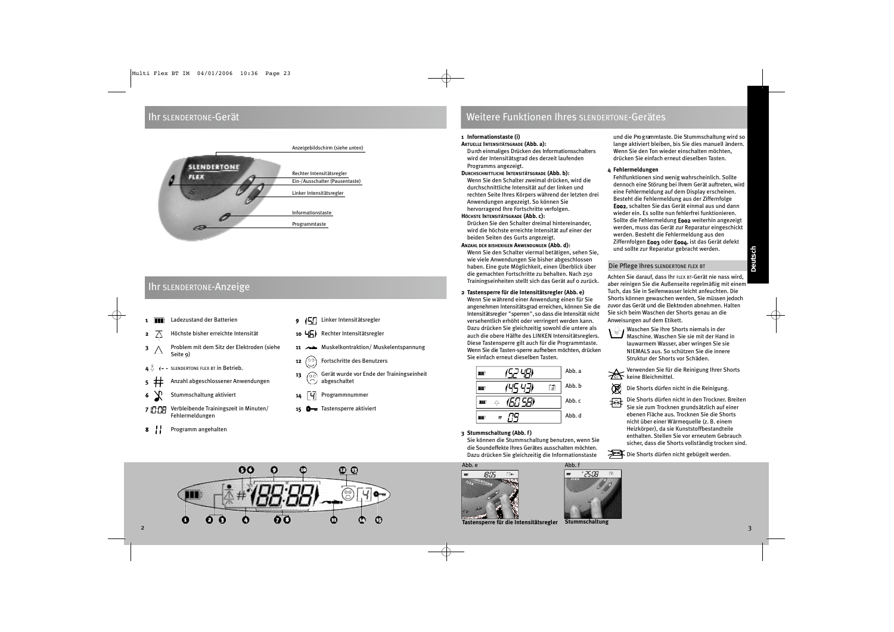### Ihr SLENDERTONE-Gerät



### Ihr SLENDERTONE-Anzeige

- 1 **II** Ladezustand der Batterien
- $2 \times 7$  Höchste bisher erreichte Intensität
- 3 A Problem mit dem Sitz der Elektroden (siehe Seite 9)
- SLENDERTONE FLEX BT in Betrieb.
- 5 Anzahl abgeschlossener Anwendungen
- 6 Stummschaltung aktiviert
- 7 **1378** Verbleibende Trainingszeit in Minuten/ Fehlermeldungen
- 8 Programm angehalten
- **9 (57)** Linker Intensitätsregler
- 10  $\sqrt{5}$  Rechter Intensitätsregler
- 11 Muskelkontraktion/ Muskelentspannung
- **12**  $\binom{00}{0}$  Fortschritte des Benutzers
- 13  $\bigcirc$  Gerät wurde vor Ende der Trainingseinheit abgeschaltet
	- Programmnummer
	- **0** Tastensperre aktiviert

### Weitere Funktionen Ihres SLENDERTONE-Gerätes

### **1 Informationstaste (i)**

### **AKTUELLE INTENSITÄTSGRADE (Abb. a):**

D u rch einmaliges Drücken des Informationsschalters wird der Intensitätsgrad des derzeit laufenden Programms angezeigt.

### **DURCHSCHNITTLICHE INTENSITÄTSGRADE (Abb. b):**

Wenn Sie den Schalter zweimal drücken, wird die durchschnittliche Intensität auf der linken und rechten Seite Ihres Körpers während der letzten drei Anwendungen angezeigt. So können Sie hervorragend Ihre Fortschritte verfolgen.

### **HÖCHSTE INTENSITÄTSGRADE (Abb. c):**

Drücken Sie den Schalter dreimal hintereinander, wird die höchste erreichte Intensität auf einer der beiden Seiten des Gurts angezeigt.

### **ANZAHL DER BISHERIGEN ANWENDUNGEN (Abb. d):**

Wenn Sie den Schalter viermal betätigen, sehen Sie, wie viele Anwendungen Sie bisher abgeschlossen haben. Eine gute Möglichkeit, einen Überblick über die gemachten Fortschritte zu behalten. Nach 250 Trainingseinheiten stellt sich das Gerät auf 0 zurück.

### **2 Tastensperre für die Intensitätsregler (Abb. e)**

Wenn Sie während einer Anwendung einen für Sie angenehmen Intensitätsgrad erreichen, können Sie die Intensitätsregler "sperren", so dass die Intensität nicht versehentlich erhöht oder verringert werden kann. Dazu drücken Sie gleichzeitig sowohl die untere als auch die obere Hälfte des LINKEN Intensitätsreglers. Diese Tastensperre gilt auch für die Programmtaste. Wenn Sie die Tasten-sperre aufheben möchten, drücken Sie einfach erneut dieselben Tasten.

|              |     | Abb. a |
|--------------|-----|--------|
|              | -31 | Abb. b |
| 50 S.BI<br>Δ |     | Abb.c  |
|              |     | Abb. d |

**3 Stummschaltung (Abb. f)**

Sie können die Stummschaltung benutzen, wenn Sie die Soundeffekte Ihres Gerätes ausschalten möchten. Dazu drücken Sie gleichzeitig die Informationstaste

Abb. f

\* 25:08



**4 Fehlermeldungen** Fehlfunktionen sind wenig wahrscheinlich. Sollte dennoch eine Störung bei Ihrem Gerät auftreten, wird eine Fehlermeldung auf dem Display erscheinen. Besteht die Fehlermeldung aus der Ziffernfolge E002, schalten Sie das Gerät einmal aus und dann

wieder ein. Es sollte nun fehlerfrei funktionieren. Sollte die Fehlermeldung E002 weiterhin angezeigt werden, muss das Gerät zur Reparatur eingeschickt werden. Besteht die Fehlermeldung aus den Ziffernfolgen E003 oder E004, ist das Gerät defekt und sollte zur Reparatur gebracht werden.

und die Pro g rammtaste. Die Stummschaltung wird so lange aktiviert bleiben, bis Sie dies manuell ändern. Wenn Sie den Ton wieder einschalten möchten, drücken Sie einfach erneut dieselben Tasten.

### Die Pflege Ihres SLENDERTONE FLEX BT

Achten Sie darauf, dass Ihr FLEX BT-Gerät nie nass wird, aber reinigen Sie die Außenseite regelmäßig mit einem Tuch, das Sie in Seifenwasser leicht anfeuchten. Die Shorts können gewaschen werden, Sie müssen jedoch zuvor das Gerät und die Elektroden abnehmen. Halten Sie sich beim Waschen der Shorts genau an die Anweisungen auf dem Etikett.

 $\overline{\mathbb{C}}$  Waschen Sie Ihre Shorts niemals in der Maschine. Waschen Sie sie mit der Hand in lauwarmem Wasser, aber wringen Sie sie NIEMALS aus. So schützen Sie die innere Struktur der Shorts vor Schäden.

Verwenden Sie für die Reinigung Ihrer Shorts keine Bleichmittel.

Die Shorts dürfen nicht in die Reinigung.

Die Shorts dürfen nicht in den Trockner. Breiten Sie sie zum Trocknen grundsätzlich auf einer ebenen Fläche aus. Trocknen Sie die Shorts nicht über einer Wärmequelle (z. B. einem Heizkörper), da sie Kunststoffbestandteile enthalten. Stellen Sie vor erneutem Gebrauch sicher, dass die Shorts vollständig trocken sind.

Die Shorts dürfen nicht gebügelt werden.



**Tastensperre für die Intensitätsregler Stummschaltung**



Ø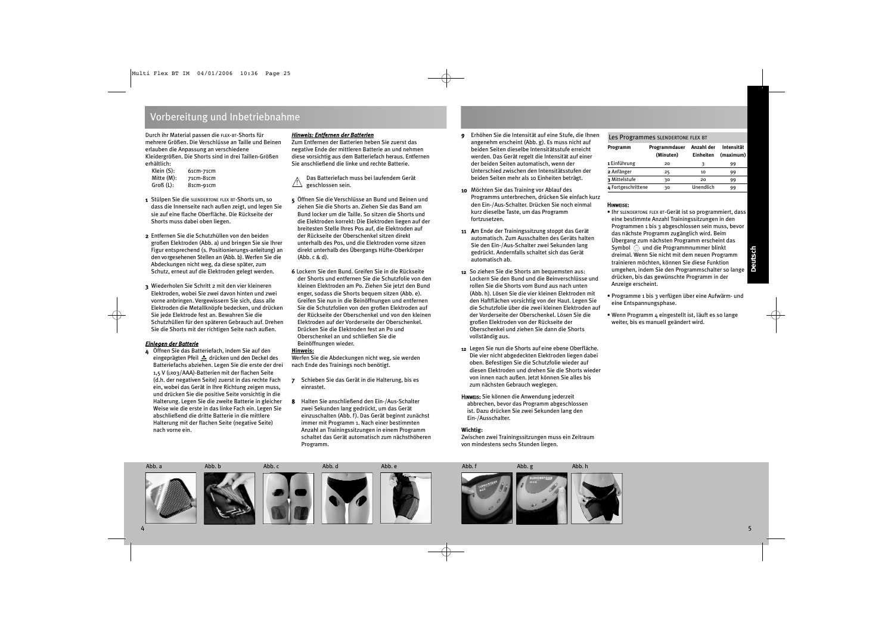### Vorbereitung und Inbetriebnahme

Durch ihr Material passen die FLEX-BT-Shorts für mehrere Größen. Die Verschlüsse an Taille und Beinen erlauben die Anpassung an verschiedene Kleidergrößen. Die Shorts sind in drei Taillen-Größen erhältlich:<br>Klein (S):

- Klein (S): 61cm-71cm<br>Mitte (M): 71cm-81cm Mitte (M): 71cm-81cm<br>Groß (L): 81cm-91cm 81cm-91cm
- 1 Stülpen Sie die SLENDERTONE FLEX BT-Shorts um, so dass die Innenseite nach außen zeigt, und legen Sie sie auf eine flache Oberfläche. Die Rückseite der Shorts muss dabei oben liegen.
- 2 Entfernen Sie die Schutzhüllen von den beiden großen Elektroden (Abb. a) und bringen Sie sie Ihrer Figur entsprechend (s. Positionierungs-anleitung) an den vo rgesehenen Stellen an (Abb. b). Werfen Sie die Abdeckungen nicht weg, da diese später, zum Schutz, erneut auf die Elektroden gelegt werden.
- 3 Wiederholen Sie Schritt 2 mit den vier kleineren Elektroden, wobei Sie zwei davon hinten und zwei vorne anbringen. Vergewissern Sie sich, dass alle Elektroden die Metallknöpfe bedecken, und drücken Sie jede Elektrode fest an. Bewahren Sie die Schutzhüllen für den späteren Gebrauch auf. Drehen Sie die Shorts mit der richtigen Seite nach außen.

### *Einlegen der Batterie*

4 Öffnen Sie das Batteriefach, indem Sie auf den eingeprägten Pfeil  $\triangle$  drücken und den Deckel des Batteriefachs abziehen. Legen Sie die erste der drei 1,5 V (LR03/AAA)-Batterien mit der flachen Seite (d.h. der negativen Seite) zuerst in das rechte Fach ein, wobei das Gerät in Ihre Richtung zeigen muss, und drücken Sie die positive Seite vorsichtig in die Halterung. Legen Sie die zweite Batterie in gleicher Weise wie die erste in das linke Fach ein. Legen Sie abschließend die dritte Batterie in die mittlere Halterung mit der flachen Seite (negative Seite) nach vorne ein.

### *Hinweis: Entfernen der Batterien*

Zum Entfernen der Batterien heben Sie zuerst das negative Ende der mittleren Batterie an und nehmen diese vorsichtig aus dem Batteriefach heraus. Entfernen Sie anschließend die linke und rechte Batterie.

Das Batteriefach muss bei laufendem Gerät geschlossen sein. !

- 5 Öffnen Sie die Verschlüsse an Bund und Beinen und ziehen Sie die Shorts an. Ziehen Sie das Band am Bund locker um die Taille. So sitzen die Shorts und die Elektroden korrekt: Die Elektroden liegen auf der breitesten Stelle Ihres Pos auf, die Elektroden auf der Rückseite der Oberschenkel sitzen direkt unterhalb des Pos, und die Elektroden vorne sitzen direkt unterhalb des Übergangs Hüfte-Oberkörper (Abb. c & d).
- **6** Lockern Sie den Bund. Greifen Sie in die Rückseite der Shorts und entfernen Sie die Schutzfolie von den kleinen Elektroden am Po. Ziehen Sie jetzt den Bund enger, sodass die Shorts bequem sitzen (Abb. e). Greifen Sie nun in die Beinöffnungen und entfernen Sie die Schutzfolien von den großen Elektroden auf der Rückseite der Oberschenkel und von den kleinen Elektroden auf der Vorderseite der Oberschenkel. Drücken Sie die Elektroden fest an Po und Oberschenkel an und schließen Sie die Beinöffnungen wieder.

### **Hinweis:**

Werfen Sie die Abdeckungen nicht weg, sie werden nach Ende des Trainings noch benötigt.

- 7 Schieben Sie das Gerät in die Halterung, bis es einrastet.
- 8 Halten Sie anschließend den Ein-/Aus-Schalter zwei Sekunden lang gedrückt, um das Gerät einzuschalten (Abb. f). Das Gerät beginnt zunächst immer mit Programm 1. Nach einer bestimmten Anzahl an Trainingssitzungen in einem Programm schaltet das Gerät automatisch zum nächsthöheren Programm.
- 9 Erhöhen Sie die Intensität auf eine Stufe, die Ihnen angenehm erscheint (Abb. g). Es muss nicht auf beiden Seiten dieselbe Intensitätsstufe erreicht werden. Das Gerät regelt die Intensität auf einer der beiden Seiten automatisch, wenn der Unterschied zwischen den Intensitätsstufen der beiden Seiten mehr als 10 Einheiten beträgt.
- 10 Möchten Sie das Training vor Ablauf des Programms unterbrechen, drücken Sie einfach kurz den Ein-/Aus-Schalter. Drücken Sie noch einmal kurz dieselbe Taste, um das Programm fortzusetzen.
- 11 Am Ende der Trainingssitzung stoppt das Gerät automatisch. Zum Ausschalten des Geräts halten Sie den Ein-/Aus-Schalter zwei Sekunden lang gedrückt. Andernfalls schaltet sich das Gerät automatisch ab.
- 12 So ziehen Sie die Shorts am bequemsten aus: Lockern Sie den Bund und die Beinverschlüsse und rollen Sie die Shorts vom Bund aus nach unten (Abb. h). Lösen Sie die vier kleinen Elektroden mit den Haftflächen vorsichtig von der Haut. Legen Sie die Schutzfolie über die zwei kleinen Elektroden auf der Vorderseite der Oberschenkel. Lösen Sie die großen Elektroden von der Rückseite der Oberschenkel und ziehen Sie dann die Shorts vollständig aus.
- 12 Legen Sie nun die Shorts auf eine ebene Oberfläche. Die vier nicht abgedeckten Elektroden liegen dabei oben. Befestigen Sie die Schutzfolie wieder auf diesen Elektroden und drehen Sie die Shorts wieder von innen nach außen. Jetzt können Sie alles bis zum nächsten Gebrauch weglegen.
- HINWEIS: Sie können die Anwendung jederzeit abbrechen, bevor das Programm abgeschlossen ist. Dazu drücken Sie zwei Sekunden lang den Ein-/Ausschalter.

### **Wichtig:**

Zwischen zwei Trainingssitzungen muss ein Zeitraum von mindestens sechs Stunden liegen.

### Les Programmes SLENDERTONE FLEX BT

| Programm           | Programmdauer<br>(Minuten) | Anzahl der<br>Einheiten | Intensität<br>(maximum) |
|--------------------|----------------------------|-------------------------|-------------------------|
| 1 Einführung       | 20                         | ٦                       | 99                      |
| 2 Anfänger         | 25                         | 10                      | 99                      |
| 3 Mittelstufe      | 30                         | 20                      | 99                      |
| 4 Fortgeschrittene | 30                         | Unendlich               | 99                      |

### HINWEISE:

- Ihr SLENDERTONE FLEX BT-Gerät ist so programmiert, dass eine bestimmte Anzahl Trainingssitzungen in den Programmen 1 bis 3 abgeschlossen sein muss, bevor das nächste Programm zugänglich wird. Beim Übergang zum nächsten Programm erscheint das Symbol  $\degreeledcirc$  und die Programmnummer blinkt dreimal. Wenn Sie nicht mit dem neuen Programm trainieren möchten, können Sie diese Funktion umgehen, indem Sie den Programmschalter so lange drücken, bis das gewünschte Programm in der Anzeige erscheint.
- Programme 1 bis 3 verfügen über eine Aufwärm- und eine Entspannungsphase.
- Wenn Programm 4 eingestellt ist, läuft es so lange weiter, bis es manuell geändert wird.

Abb. a Abb. b Abb. c Abb. d Abb. e Abb. f Abb. g Abb. h



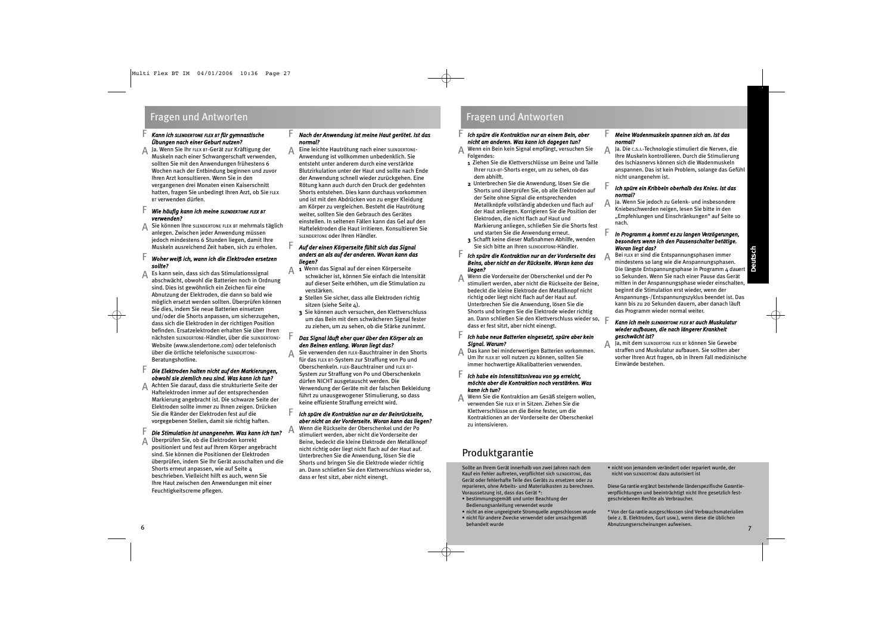### Fragen und Antworten Fragen und Antworten

F

### *Kann ich SLENDERTONE FLEX BT für gymnastische Übungen nach einer Geburt nutzen?*

Ja. Wenn Sie Ihr FLEX BT-Gerät zur Kräftigung der A Muskeln nach einer Schwangerschaft verwenden, sollten Sie mit den Anwendungen frühestens 6 Wochen nach der Entbindung beginnen und zuvor Ihren Arzt konsultieren. Wenn Sie in den vergangenen drei Monaten einen Kaiserschnitt hatten, fragen Sie unbedingt Ihren Arzt, ob Sie FLEX BT verwenden dürfen.

#### *Wie häufig kann ich meine SLENDERTONE FLEX BT verwenden?* F

Sie können Ihre SLENDERTONE FLEX BT mehrmals täglich anlegen. Zwischen jeder Anwendung müssen jedoch mindestens 6 Stunden liegen, damit Ihre Muskeln ausreichend Zeit haben, sich zu erholen. A

#### *Woher weiß ich, wann ich die Elektroden ersetzen sollte?* F

Es kann sein, dass sich das Stimulationssignal abschwächt, obwohl die Batterien noch in Ordnung sind. Dies ist gewöhnlich ein Zeichen für eine Abnutzung der Elektroden, die dann so bald wie möglich ersetzt werden sollten. Überprüfen können Sie dies, indem Sie neue Batterien einsetzen und/oder die Shorts anpassen, um sicherzugehen, dass sich die Elektroden in der richtigen Position befinden. Ersatzelektroden erhalten Sie über Ihren nächsten SLENDERTONE-Händler, über die SLENDERTONE-Website (www.slendertone.com) oder telefonisch über die örtliche telefonische SLENDERTONE-Beratungshotline. A

#### *Die Elektroden halten nicht auf den Markierungen, obwohl sie ziemlich neu sind. Was kann ich tun?* F

Achten Sie darauf, dass die strukturierte Seite der Haftelektroden immer auf der entsprechenden Markierung angebracht ist. Die schwarze Seite der Elektroden sollte immer zu Ihnen zeigen. Drücken Sie die Ränder der Elektroden fest auf die vorgegebenen Stellen, damit sie richtig haften. A

#### *Die Stimulation ist unangenehm. Was kann ich tun?* F

Überprüfen Sie, ob die Elektroden korrekt positioniert und fest auf Ihrem Körper angebracht sind. Sie können die Positionen der Elektroden überprüfen, indem Sie Ihr Gerät ausschalten und die Shorts erneut anpassen, wie auf Seite 4 beschrieben. Vielleicht hilft es auch, wenn Sie Ihre Haut zwischen den Anwendungen mit einer Feuchtigkeitscreme pflegen. A

#### *Nach der Anwendung ist meine Haut gerötet. Ist das normal?* F

Eine leichte Hautrötung nach einer SLENDERTONE-Anwendung ist vollkommen unbedenklich. Sie entsteht unter anderem durch eine verstärkte Blutzirkulation unter der Haut und sollte nach Ende der Anwendung schnell wieder zurückgehen. Eine Rötung kann auch durch den Druck der gedehnten Shorts entstehen. Dies kann durchaus vorkommen und ist mit den Abdrücken von zu enger Kleidung am Körper zu vergleichen. Besteht die Hautrötung weiter, sollten Sie den Gebrauch des Gerätes einstellen. In seltenen Fällen kann das Gel auf den Haftelektroden die Haut irritieren. Konsultieren Sie SLENDERTONE oder Ihren Händler.

### *Auf der einen Körperseite fühlt sich das Signal anders an als auf der anderen. Woran kann das liegen?*

F

F

F

A

A

- 1 Wenn das Signal auf der einen Körperseite<br>Sie einfach die Inte schwächer ist, können Sie einfach die Intensität auf dieser Seite erhöhen, um die Stimulation zu verstärken.
	- 2 Stellen Sie sicher, dass alle Elektroden richtig sitzen (siehe Seite 4).
	- 3 Sie können auch versuchen, den Klettverschluss um das Bein mit dem schwächeren Signal fester zu ziehen, um zu sehen, ob die Stärke zunimmt.

### *Das Signal läuft eher quer über den Körper als an den Beinen entlang. Woran liegt das?*

Sie verwenden den FLEX-Bauchtrainer in den Shorts für das FLEX BT-System zur Straffung von Po und Oberschenkeln. FLEX-Bauchtrainer und FLEX BT-System zur Straffung von Po und Oberschenkeln dürfen NICHT ausgetauscht werden. Die Verwendung der Geräte mit der falschen Bekleidung führt zu unausgewogener Stimulierung, so dass keine effiziente Straffung erreicht wird. A

### *Ich spüre die Kontraktion nur an der Beinrückseite, aber nicht an der Vorderseite. Woran kann das liegen?*

Wenn die Rückseite der Oberschenkel und der Po stimuliert werden, aber nicht die Vorderseite der Beine, bedeckt die kleine Elektrode den Metallknopf nicht richtig oder liegt nicht flach auf der Haut auf. Unterbrechen Sie die Anwendung, lösen Sie die Shorts und bringen Sie die Elektrode wieder richtig an. Dann schließen Sie den Klettverschluss wieder so, dass er fest sitzt, aber nicht einengt.

F

F

### *Ich spüre die Kontraktion nur an einem Bein, aber nicht am anderen. Was kann ich dagegen tun?*

Wenn ein Bein kein Signal empfängt, versuchen Sie Folgendes: A

- 1 Ziehen Sie die Klettverschlüsse um Beine und Taille Ihrer FLEX-BT-Shorts enger, um zu sehen, ob das dem abhilft.
- 2 Unterbrechen Sie die Anwendung, lösen Sie die Shorts und überprüfen Sie, ob alle Elektroden auf der Seite ohne Signal die entsprechenden Metallknöpfe vollständig abdecken und flach auf der Haut anliegen. Korrigieren Sie die Position der Elektroden, die nicht flach auf Haut und Markierung anliegen, schließen Sie die Shorts fest und starten Sie die Anwendung erneut.
- 3 Schafft keine dieser Maßnahmen Abhilfe, wenden Sie sich bitte an Ihren SLENDERTONE-Händler.

#### *Ich spüre die Kontraktion nur an der Vorderseite des Beins, aber nicht an der Rückseite. Woran kann das liegen?* F

Wenn die Vorderseite der Oberschenkel und der Po stimuliert werden, aber nicht die Rückseite der Beine, bedeckt die kleine Elektrode den Metallknopf nicht richtig oder liegt nicht flach auf der Haut auf. Unterbrechen Sie die Anwendung, lösen Sie die Shorts und bringen Sie die Elektrode wieder richtig an. Dann schließen Sie den Klettverschluss wieder so, F dass er fest sitzt, aber nicht einengt. A

#### *Ich habe neue Batterien eingesetzt, spüre aber kein Signal. Warum?* F

Das kann bei minderwertigen Batterien vorkommen. Um Ihr FLEX BT voll nutzen zu können, sollten Sie immer hochwertige Alkalibatterien verwenden. A

### *Ich habe ein Intensitätsniveau von 99 erreicht, möchte aber die Kontraktion noch verstärken. Was kann ich tun?*

Wenn Sie die Kontraktion am Gesäß steigern wollen, verwenden Sie FLEX BT in Sitzen. Ziehen Sie die Klettverschlüsse um die Beine fester, um die Kontraktionen an der Vorderseite der Oberschenkel zu intensivieren. A

## Produktgarantie

Sollte an Ihrem Gerät innerhalb von zwei Jahren nach dem Kauf ein Fehler auftreten, verpflichtet sich SLENDERTONE, das Gerät oder fehlerhafte Teile des Geräts zu ersetzen oder zu reparieren, ohne Arbeits- und Materialkosten zu berechnen. Voraussetzung ist, dass das Gerät \*:

- bestimmungsgemäß und unter Beachtung der Bedienungsanleitung verwendet wurde
- nicht an eine ungeeignete Stromquelle angeschlossen wurde
- nicht für andere Zwecke verwendet oder unsachgemäß behandelt wurde

#### *Meine Wadenmuskeln spannen sich an. Ist das normal?* F

Ja. Die C.S.I.-Technologie stimuliert die Nerven, die Ihre Muskeln kontrollieren. Durch die Stimulierung des Ischiasnervs können sich die Wadenmuskeln anspannen. Das ist kein Problem, solange das Gefühl nicht unangenehm ist. A

### *Ich spüre ein Kribbeln oberhalb des Knies. Ist das normal?*

Ja. Wenn Sie jedoch zu Gelenk- und insbesondere Kniebeschwerden neigen, lesen Sie bitte in den "Empfehlungen und Einschränkungen" auf Seite 10 nach. A

#### *In Programm 4 kommt es zu langen Verzögerungen, besonders wenn ich den Pausenschalter betätige. Woran liegt das?* F

A

F

**Deutsch** Bei FLEX BT sind die Entspannungsphasen immer mindestens so lang wie die Anspannungsphasen. Die längste Entspannungsphase in Programm 4 dauert 10 Sekunden. Wenn Sie nach einer Pause das Gerät mitten in der Anspannungsphase wieder einschalten, beginnt die Stimulation erst wieder, wenn der Anspannungs-/Entspannungszyklus beendet ist. Das kann bis zu 20 Sekunden dauern, aber danach läuft das Programm wieder normal weiter.

### *Kann ich mein SLENDERTONE FLEX BT auch Muskulatur wieder aufbauen, die nach längerer Krankheit geschwächt ist?*

Ja, mit dem SLENDERTONE FLEX BT können Sie Gewebe straffen und Muskulatur aufbauen. Sie sollten aber vorher Ihren Arzt fragen, ob in Ihrem Fall medizinische Einwände bestehen. A

• nicht von jemandem verändert oder repariert wurde, der nicht von SLENDERTONE dazu autorisiert ist

Diese Ga rantie ergänzt bestehende länderspezifische Garantieverpflichtungen und beeinträchtigt nicht Ihre gesetzlich festgeschriebenen Rechte als Verbraucher.

\* Von der Ga rantie ausgeschlossen sind Verbrauchsmaterialien (wie z. B. Elektroden, Gurt usw.), wenn diese die üblichen<br>Abnutzungserscheinungen aufweisen. Abnutzungserscheinungen aufweisen. 6 7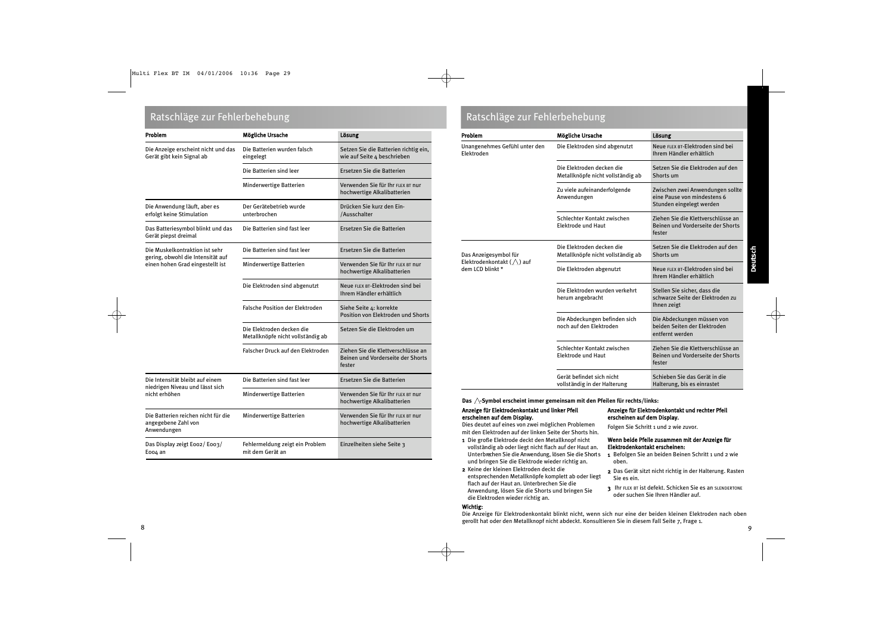| Problem                                                                   | Mögliche Ursache                                               | Lösung                                                                            |
|---------------------------------------------------------------------------|----------------------------------------------------------------|-----------------------------------------------------------------------------------|
| Die Anzeige erscheint nicht und das<br>Gerät gibt kein Signal ab          | Die Batterien wurden falsch<br>eingelegt                       | Setzen Sie die Batterien richtig ein,<br>wie auf Seite 4 beschrieben              |
|                                                                           | Die Batterien sind leer                                        | Ersetzen Sie die Batterien                                                        |
|                                                                           | Minderwertige Batterien                                        | Verwenden Sie für Ihr FLEX BT nur<br>hochwertige Alkalibatterien                  |
| Die Anwendung läuft, aber es<br>erfolgt keine Stimulation                 | Der Gerätebetrieb wurde<br>unterbrochen                        | Drücken Sie kurz den Ein-<br>/Ausschalter                                         |
| Das Batteriesymbol blinkt und das<br>Gerät piepst dreimal                 | Die Batterien sind fast leer                                   | Ersetzen Sie die Batterien                                                        |
| Die Muskelkontraktion ist sehr<br>gering, obwohl die Intensität auf       | Die Batterien sind fast leer                                   | Ersetzen Sie die Batterien                                                        |
| einen hohen Grad eingestellt ist                                          | Minderwertige Batterien                                        | Verwenden Sie für Ihr FLEX BT nur<br>hochwertige Alkalibatterien                  |
|                                                                           | Die Elektroden sind abgenutzt                                  | Neue FLEX BT-Elektroden sind bei<br>Ihrem Händler erhältlich                      |
|                                                                           | <b>Falsche Position der Elektroden</b>                         | Siehe Seite 4: korrekte<br>Position von Elektroden und Shorts                     |
|                                                                           | Die Elektroden decken die<br>Metallknöpfe nicht vollständig ab | Setzen Sie die Elektroden um                                                      |
|                                                                           | Falscher Druck auf den Elektroden                              | Ziehen Sie die Klettverschlüsse an<br>Beinen und Vorderseite der Shorts<br>fester |
| Die Intensität bleibt auf einem                                           | Die Batterien sind fast leer                                   | Ersetzen Sie die Batterien                                                        |
| niedrigen Niveau und lässt sich<br>nicht erhöhen                          | Minderwertige Batterien                                        | Verwenden Sie für Ihr FLEX BT nur<br>hochwertige Alkalibatterien                  |
| Die Batterien reichen nicht für die<br>angegebene Zahl von<br>Anwendungen | Minderwertige Batterien                                        | Verwenden Sie für Ihr FLEX BT nur<br>hochwertige Alkalibatterien                  |
| Das Display zeigt Eoo2/Eoo3/<br>Eoo4 an                                   | Fehlermeldung zeigt ein Problem<br>mit dem Gerät an            | Einzelheiten siehe Seite 3                                                        |

### Ratschläge zur Fehlerbehebung aus der Eine Eine Eine Eine Eine Ratschläge zur Fehlerbehebung

| Problem                                                                       | Mögliche Ursache                                               | Lösung                                                                                      |  |
|-------------------------------------------------------------------------------|----------------------------------------------------------------|---------------------------------------------------------------------------------------------|--|
| Unangenehmes Gefühl unter den<br>Elektroden                                   | Die Elektroden sind abgenutzt                                  | Neue FLEX BT-Elektroden sind bei<br>Ihrem Händler erhältlich                                |  |
|                                                                               | Die Elektroden decken die<br>Metallknöpfe nicht vollständig ab | Setzen Sie die Elektroden auf den<br>Shorts um                                              |  |
|                                                                               | Zu viele aufeinanderfolgende<br>Anwendungen                    | Zwischen zwei Anwendungen sollte<br>eine Pause von mindestens 6<br>Stunden eingelegt werden |  |
|                                                                               | Schlechter Kontakt zwischen<br>Elektrode und Haut              | Ziehen Sie die Klettverschlüsse an<br>Beinen und Vorderseite der Shorts<br>fester           |  |
| Das Anzeigesymbol für<br>Elektrodenkontakt $(\wedge)$ auf<br>dem LCD blinkt * | Die Elektroden decken die<br>Metallknöpfe nicht vollständig ab | Setzen Sie die Elektroden auf den<br>Shorts um                                              |  |
|                                                                               | Die Elektroden abgenutzt                                       | Neue FLEX BT-Elektroden sind bei<br>Ihrem Händler erhältlich                                |  |
|                                                                               | Die Elektroden wurden verkehrt<br>herum angebracht             | Stellen Sie sicher, dass die<br>schwarze Seite der Elektroden zu<br>Ihnen zeigt             |  |
|                                                                               | Die Abdeckungen befinden sich<br>noch auf den Elektroden       | Die Abdeckungen müssen von<br>beiden Seiten der Elektroden<br>entfernt werden               |  |
|                                                                               | Schlechter Kontakt zwischen<br>Elektrode und Haut              | Ziehen Sie die Klettverschlüsse an<br>Beinen und Vorderseite der Shorts<br>fester           |  |
|                                                                               | Gerät befindet sich nicht<br>vollständig in der Halterung      | Schieben Sie das Gerät in die<br>Halterung, bis es einrastet                                |  |

Das  $\triangle$ -Symbol erscheint immer gemeinsam mit den Pfeilen für rechts/links:

### Anzeige für Elektrodenkontakt und linker Pfeil erscheinen auf dem Display.

Dies deutet auf eines von zwei möglichen Problemen mit den Elektroden auf der linken Seite der Shorts hin.

- 1 Die große Elektrode deckt den Metallknopf nicht vollständig ab oder liegt nicht flach auf der Haut an. Unterbrechen Sie die Anwendung, lösen Sie die Shorts und bringen Sie die Elektrode wieder richtig an.
- 2 Keine der kleinen Elektroden deckt die entsprechenden Metallknöpfe komplett ab oder liegt flach auf der Haut an. Unterbrechen Sie die Anwendung, lösen Sie die Shorts und bringen Sie die Elektroden wieder richtig an.

### Wichtig:

Anzeige für Elektrodenkontakt und rechter Pfeil erscheinen auf dem Display.

Folgen Sie Schritt 1 und 2 wie zuvor.

### Wenn beide Pfeile zusammen mit der Anzeige für Elektrodenkontakt erscheinen:

- 1 Befolgen Sie an beiden Beinen Schritt 1 und 2 wie oben.
- 2 Das Gerät sitzt nicht richtig in der Halterung. Rasten Sie es ein.
- 3 Ihr FLEX BT ist defekt. Schicken Sie es an SLENDERTONE oder suchen Sie Ihren Händler auf.

Die Anzeige für Elektrodenkontakt blinkt nicht, wenn sich nur eine der beiden kleinen Elektroden nach oben gerollt hat oder den Metallknopf nicht abdeckt. Konsultieren Sie in diesem Fall Seite 7, Frage 1. 8 a viz Gregorian de la construction de la construction de la construction de la construction de la construction<br>1990 : la construction de la construction de la construction de la construction de la construction de la cons

**Deutsch**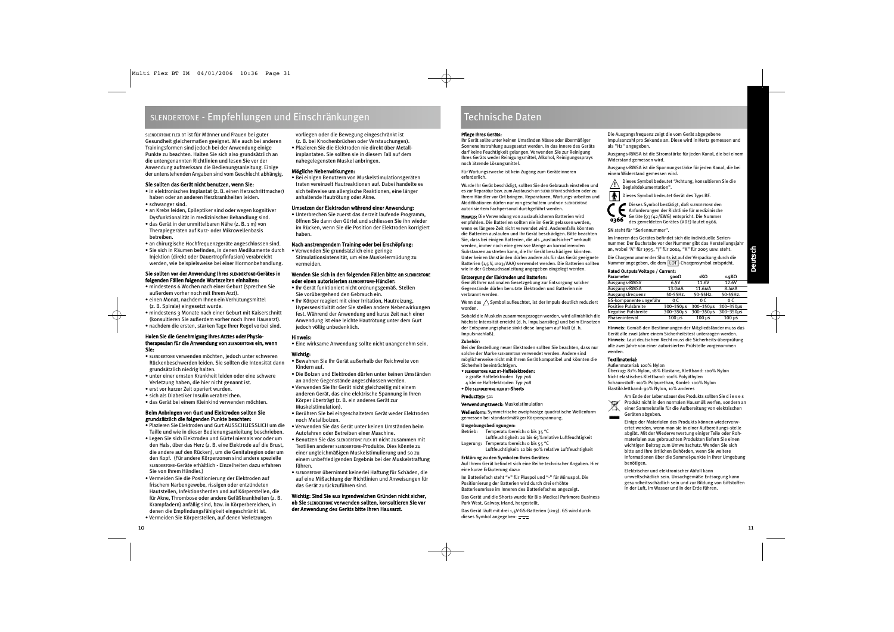SLENDERTONE FLEX BT ist für Männer und Frauen bei guter Gesundheit gleichermaßen geeignet. Wie auch bei anderen Trainingsformen sind jedoch bei der Anwendung einige Punkte zu beachten. Halten Sie sich also grundsätzlich an die untengenannten Richtlinien und lesen Sie vor der Anwendung aufmerksam die Bedienungsanleitung. Einige der untenstehenden Angaben sind vom Geschlecht abhängig.

### Sie sollten das Gerät nicht benutzen, wenn Sie:

- in elektronisches Implantat (z. B. einen Herzschrittmacher) haben oder an anderen Herzkrankheiten leiden.
- schwanger sind.
- an Krebs leiden, Epileptiker sind oder wegen kognitiver Dysfunktionalität in medizinischer Behandlung sind.
- das Gerät in der unmittelbaren Nähe (z. B. 1 m) von Therapiegeräten auf Kurz- oder Mikrowellenbasis betreiben.
- an chirurgische Hochfrequenzgeräte angeschlossen sind.
- Sie sich in Räumen befinden, in denen Medikamente durch Injektion (direkt oder Dauertropfinfusion) verabreicht werden, wie beispielsweise bei einer Hormonbehandlung.

### Sie sollten vor der Anwendung Ihres SLENDERTONE-Gerätes in folgenden Fällen folgende Wartezeiten einhalten:

- mindestens 6 Wochen nach einer Geburt (sprechen Sie außerdem vorher noch mit Ihrem Arzt).
- einen Monat, nachdem Ihnen ein Verhütungsmittel (z. B. Spirale) eingesetzt wurde.
- mindestens 3 Monate nach einer Geburt mit Kaiserschnitt (konsultieren Sie außerdem vorher noch Ihren Hausarzt).
- nachdem die ersten, starken Tage Ihrer Regel vorbei sind.

### Holen Sie die Genehmigung Ihres Arztes oder Physiotherapeuten für die Anwendung von SLENDERTONE ein, wenn Sie:

- SLENDERTONE verwenden möchten, jedoch unter schweren Rückenbeschwerden leiden. Sie sollten die Intensität dann grundsätzlich niedrig halten.
- unter einer ernsten Krankheit leiden oder eine schwere Verletzung haben, die hier nicht genannt ist.
- erst vor kurzer Zeit operiert wurden.
- sich als Diabetiker Insulin verabreichen.
- das Gerät bei einem Kleinkind verwenden möchten.

### Beim Anbringen von Gurt und Elektroden sollten Sie grundsätzlich die folgenden Punkte beachten:

- Plazieren Sie Elektroden und Gurt AUSSCHLIESSLICH um die Taille und wie in dieser Bedienungsanleitung beschrieben.
- Legen Sie sich Elektroden und Gürtel niemals vor oder um den Hals, über das Herz (z. B. eine Elektrode auf die Brust, die andere auf den Rücken), um die Genitalregion oder um den Kopf. (Für andere Körperzonen sind andere spezielle SLENDERTONE-Geräte erhältlich - Einzelheiten dazu erfahren Sie von Ihrem Händler.)
- Vermeiden Sie die Positionierung der Elektroden auf frischem Narbengewebe, rissigen oder entzündeten Hautstellen, Infektionsherden und auf Körperstellen, die für Akne, Thrombose oder andere Gefäßkrankheiten (z. B. Krampfadern) anfällig sind, bzw. in Körperbereichen, in denen die Empfindungsfähigkeit eingeschränkt ist.
- Vermeiden Sie Körperstellen, auf denen Verletzungen

vorliegen oder die Bewegung eingeschränkt ist (z. B. bei Knochenbrüchen oder Verstauchungen).

- Plazieren Sie die Elektroden nie direkt über Metall-
- implantaten. Sie sollten sie in diesem Fall auf dem nahegelegensten Muskel anbringen.

### Mögliche Nebenwirkungen:

• Bei einigen Benutzern von Muskelstimulationsgeräten traten vereinzelt Hautreaktionen auf. Dabei handelte es sich teilweise um allergische Reaktionen, eine länger anhaltende Hautrötung oder Akne.

### Umsetzen der Elektroden während einer Anwendung:

• Unterbrechen Sie zuerst das derzeit laufende Programm, öffnen Sie dann den Gürtel und schliessen Sie ihn wieder im Rücken, wenn Sie die Position der Elektroden korrigiert haben.

### Nach anstrengendem Training oder bei Erschöpfung:

• Verwenden Sie grundsätzlich eine geringe Stimulationsintensität, um eine Muskelermüdung zu vermeiden.

### Wenden Sie sich in den folgenden Fällen bitte an SLENDERTONE oder einen autorisierten SLENDERTONE-Händler:

- Ihr Gerät funktioniert nicht ordnungsgemäß. Stellen Sie vorübergehend den Gebrauch ein.
- Ihr Körper reagiert mit einer Irritation, Hautreizung, Hypersensitivität oder Sie stellen andere Nebenwirkungen fest. Während der Anwendung und kurze Zeit nach einer Anwendung ist eine leichte Hautrötung unter dem Gurt jedoch völlig unbedenklich.

### Hinweis:

• Eine wirksame Anwendung sollte nicht unangenehm sein.

### Wichtig:

- Bewahren Sie Ihr Gerät außerhalb der Reichweite von Kindern auf.
- Die Bolzen und Elektroden dürfen unter keinen Umständen an andere Gegenstände angeschlossen werden.
- Verwenden Sie Ihr Gerät nicht gleichzeitig mit einem anderen Gerät, das eine elektrische Spannung in Ihren Körper überträgt (z. B. ein anderes Gerät zur Muskelstimulation).
- Berühren Sie bei eingeschaltetem Gerät weder Elektroden noch Metallbolzen.
- Verwenden Sie das Gerät unter keinen Umständen beim Autofahren oder Betreiben einer Maschine.
- Benutzen Sie das SLENDERTONE FLEX BT nicht zusammen mit Textilien anderer SLENDERTONE-Produkte. Dies könnte zu einer ungleichmäßigen Muskelstimulierung und so zu einem unbefriedigenden Ergebnis bei der Muskelstraffung führen.
- SLENDERTONE übernimmt keinerlei Haftung für Schäden, die auf eine Mißachtung der Richtlinien und Anweisungen für das Gerät zurückzuführen sind.

### Wichtig: Sind Sie aus irgendwelchen Gründen nicht sicher, ob Sie SLENDERTONE verwenden sollten, konsultieren Sie vor der Anwendung des Geräts bitte Ihren Hausarzt.

### Technische Daten

### Pflege Ihres Geräts:

Ihr Gerät sollte unter keinen Umständen Nässe oder übermäßiger Sonneneinstrahlung ausgesetzt werden. In das Innere des Geräts darf keine Feuchtigkeit gelangen. Verwenden Sie zur Reinigung Ihres Geräts weder Reinigungsmittel, Alkohol, Reinigungssprays noch ätzende Lösungsmittel.

Für Wartungszwecke ist kein Zugang zum Geräteinneren erforderlich.

Wurde Ihr Gerät beschädigt, sollten Sie den Gebrauch einstellen und es zur Reparatur bzw. zum Austausch an SLEND ERTO NE schicken oder zu Ihrem Händler vor Ort bringen. Reparaturen, Wartungs-arbeiten und Modifikationen dürfen nur von geschultem und von SLENDERTONE autorisiertem Fachpersonal durchgeführt werden.

HINWEIS: Die Verwendung von auslaufsicheren Batterien wird empfohlen. Die Batterien sollten nie im Gerät gelassen werden, wenn es längere Zeit nicht verwendet wird. Anderenfalls könnten die Batterien auslaufen und Ihr Gerät beschädigen. Bitte beachten Sie, dass bei einigen Batterien, die als "auslaufsicher" verkauft werden, immer noch eine gewisse Menge an korrodierenden Substanzen austreten kann, die Ihr Gerät beschädigen könnten. Unter keinen Umständen dürfen andere als für das Gerät geeignete Batterien (1,5 V, LR03/AAA) verwendet werden. Die Batterien sollten wie in der Gebrauchsanleitung angegeben eingelegt werden.

### Entsorgung der Elektroden und Batterien:

Gemäß Ihrer nationalen Gesetzgebung zur Entsorgung solcher Gegenstände dürfen benutzte Elektroden und Batterien nie verbrannt werden.

Wenn das  $\bigwedge$  Symbol aufleuchtet, ist der Impuls deutlich reduziert worden.

Sobald die Muskeln zusammengezogen werden, wird allmählich die höchste Intensität erreicht (d. h. Impulsanstieg) und beim Einsetzen der Entspannungsphase sinkt diese langsam auf Null (d. h. Impulsnachlaß).

### **Zubehör:**

Bei der Bestellung neuer Elektroden sollten Sie beachten, dass nur solche der Marke SLENDERTONE verwendet werden. Andere sind möglicherweise nicht mit Ihrem Gerät kompatibel und könnten die Sicherheit beeinträchtigen.

### • SLENDERTONE FLEX BT-Haftelektroden:

2 große Haftelektroden Typ 706

4 kleine Haftelektroden Typ 708

• Die SLENDERTONE FLEX BT-Shorts

### Producttyp: 511

Verwendungszweck: Muskelstimulation

Wellenform: Symmetrische zweiphasige quadratische Wellenform gemessen bei standardmäßiger Körperspannung.

### **Umgebungsbedingungen:**

Betrieb: Temperaturbereich: 0 bis 35 °C Luftfeuchtigkeit: 20 bis 65% relative Luftfeuchtigkeit

Lagerung: Temperaturbereich: 0 bis 55 °C Luftfeuchtigkeit: 10 bis 90% relative Luftfeuchtigkeit

### **Erklärung zu den Symbolen Ihres Gerätes:**

Auf Ihrem Gerät befindet sich eine Reihe technischer Angaben. Hier eine kurze Erläuterung dazu:

Im Batteriefach steht "+" für Pluspol und "-" für Minuspol. Die Positionierung der Batterien wird durch drei erhöhte Batterieumrisse im Inneren des Batteriefaches angezeigt.

Das Gerät und die Shorts wurde für Bio-Medical Parkmore Business Park West, Galway, Irland, hergestellt.

Das Gerät läuft mit drei 1,5V-GS-Batterien (LR03). GS wird durch dieses Symbol angegeben:

Die Ausgangsfrequenz zeigt die vom Gerät abgegebene Impulsanzahl pro Sekunde an. Diese wird in Hertz gemessen und als "Hz" angegeben.

Ausgangs-RMSA ist die Stromstärke für jeden Kanal, die bei einem Widerstand gemessen wird.

Ausgangs-RMSA ist die Spannungsstärke für jeden Kanal, die bei einem Widerstand gemessen wird.

Dieses Symbol bedeutet "Achtung, konsultieren Sie die Begleitdokumentation". **!**

 $\blacksquare$ Dieses Symbol bedeutet Gerät des Typs BF.



Dieses Symbol bestätigt, daß SLENDERTONE den Anforderungen der Richtlinie für medizinische Geräte (93/42/EWG) entspricht. Die Nummer des gemeldeten Gerätes (VDE) lautet 0366.

SN steht für "Seriennummer".

Im Inneren des Gerätes befindet sich die individuelle Seriennummer. Der Buchstabe vor der Nummer gibt das Herstellungsjahr an, wobei "A" für 1995, "J" für 2004, "K" für 2005 usw. steht.

Die Chargennummer der Shorts ist auf der Verpackung durch die Nummer angegeben, die dem [LOT]-Chargensymbol entspricht.

### **Rated Outputs Voltage / Current:**

| <b>Parameter</b>           | 500Ω                | 1KΩ                 | 1.5KΩ              |
|----------------------------|---------------------|---------------------|--------------------|
| Ausgangs-RMSV              | 6.5V                | 11.6V               | 12.6V              |
| Ausgangs-RMSA              | 13.0 <sub>M</sub> A | 11.6 <sub>M</sub> A | 8.4 <sub>M</sub> A |
| Ausgangsfrequenz           | 50-55Hz.            | 50-55Hz.            | 50-55Hz.           |
| GS-komponente ungefähr     | 0 C                 | 0 C                 | 0 C                |
| Positive Pulsbreite        | 300-350µs           | 300-350µs           | 300-350µs          |
| <b>Negative Pulsbreite</b> | 300-350µs           | 300-350µs           | 300-350µs          |
| Phaseninterval             | $100 \mu s$         | $100 \mu s$         | $100 \mu s$        |

**Hinweis:** Gemäß den Bestimmungen der Mitgliedsländer muss das Gerät alle zwei Jahre einem Sicherheitstest unterzogen werden. **Hinweis:** Laut deutschem Recht muss die Sicherheits-überprüfung alle zwei Jahre von einer autorisierten Prüfstelle vorgenommen werden.

### Textilmaterial:

Außenmaterial: 100% Nylon Überzug: 82% Nylon, 18% Elastane, Klettband: 100% Nylon Nicht elastisches Klettband: 100% Polyäthylen Schaumstoff: 100% Polyurethan, Kordel: 100% Nylon Elastikklettband: 90% Nylon, 10% anderes

Am Ende der Lebensdauer des Produkts sollten Sie d i e s e s Produkt nicht in den normalen Hausmüll werfen, sondern an einer Sammelstelle für die Aufbereitung von elektrischen Geräten abgeben.

Einige der Materialen des Produkts können wiederverwertet werden, wenn man sie in einer Aufbereitungs-stelle abgibt. Mit der Wiederverwertung einiger Teile oder Rohmaterialen aus gebrauchten Produkten liefern Sie einen wichtigen Beitrag zum Umweltschutz. Wenden Sie sich bitte and Ihre örtlichen Behörden, wenn Sie weitere Informationen über die Sammel-punkte in Ihrer Umgebung benötigen.

Elektrischer und elektronischer Abfall kann umweltschädlich sein. Unsachgemäße Entsorgung kann gesundheitsschädlich sein und zur Bildung von Giftstoffen in der Luft, im Wasser und in der Erde führen.

**Deutsch**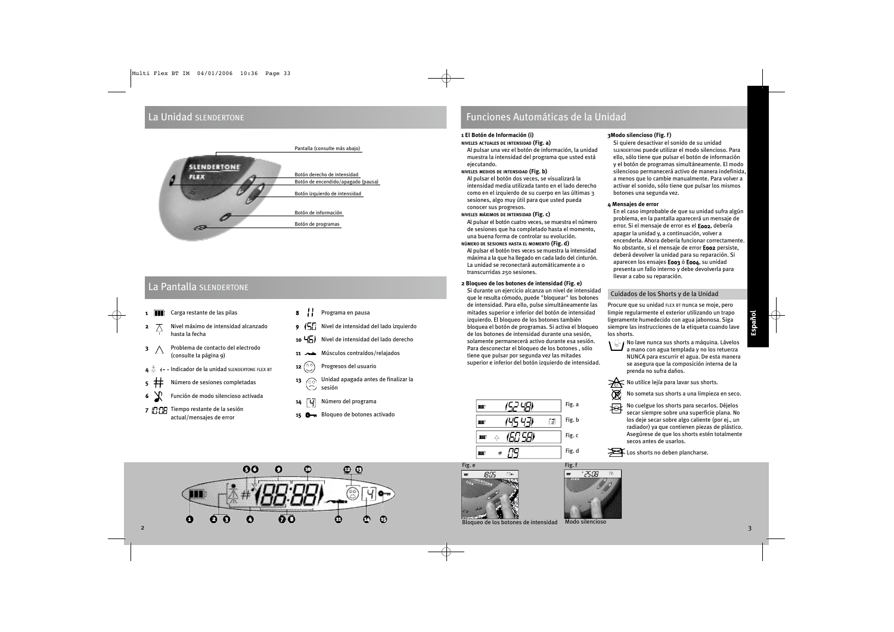### La Unidad SLENDERTONE



### La Pantalla SLENDERTONE

- 1 **1 Carga restante de las pilas**
- 2 Nivel máximo de intensidad alcanzado hasta la fecha
- 3 A Problema de contacto del electrodo (consulte la página 9)
- Indicador de la unidad SLENDERTONE FLEX BT
- 5 **‡** Número de sesiones completadas
- 6 Función de modo silencioso activada
- 7 T: TR Tiempo restante de la sesión actual/mensajes de error
- 8 // Programa en pausa
- 9 (57 Nivel de intensidad del lado izquierdo
- 10 H<sub>D</sub>) Nivel de intensidad del lado derecho
- 11 Músculos contraídos/relajados
- 12  $\circledcirc$  Progresos del usuario
- **13**  $\left(\begin{matrix} 0 & 0 \\ 0 & 0 \end{matrix}\right)$  Unidad apagada antes de finalizar la sesión
- $14$   $\boxed{4}$  Número del programa
- 15 Bloqueo de botones activado



### **1 El Botón de Información (i)**

### **NIVELES ACTUALES DE INTENSIDAD (Fig. a)**

Al pulsar una vez el botón de información, la unidad muestra la intensidad del programa que usted está ejecutando.

### **NIVELES MEDIOS DE INTENSIDAD (Fig. b)**

Al pulsar el botón dos veces, se visualizará la intensidad media utilizada tanto en el lado derecho como en el izquierdo de su cuerpo en las últimas 3 sesiones, algo muy útil para que usted pueda conocer sus progresos.

### **NIVELES MÁXIMOS DE INTENSIDAD (Fig. c)**

Al pulsar el botón cuatro veces, se muestra el número de sesiones que ha completado hasta el momento, una buena forma de controlar su evolución.

### **NÚMERO DE SESIONES HASTA EL MOMENTO (Fig. d)**

Al pulsar el botón tres veces se muestra la intensidad máxima a la que ha llegado en cada lado del cinturón. La unidad se reconectará automáticamente a 0 transcurridas 250 sesiones.

### **2 Bloqueo de los botones de intensidad (Fig. e)**

Si durante un ejercicio alcanza un nivel de intensidad que le resulta cómodo, puede "bloquear" los botones de intensidad. Para ello, pulse simultáneamente las mitades superior e inferior del botón de intensidad izquierdo. El bloqueo de los botones también bloquea el botón de programas. Si activa el bloqueo de los botones de intensidad durante una sesión, solamente permanecerá activo durante esa sesión. Para desconectar el bloqueo de los botones , sólo tiene que pulsar por segunda vez las mitades superior e inferior del botón izquierdo de intensidad.



### apagar la unidad y, a continuación, volver a encenderla. Ahora debería funcionar correctamente. No obstante, si el mensaje de error E002 persiste,

deberá devolver la unidad para su reparación. Si aparecen los ensajes E003 ó E004, su unidad presenta un fallo interno y debe devolverla para llevar a cabo su reparación.

En el caso improbable de que su unidad sufra algún problema, en la pantalla aparecerá un mensaje de error. Si el mensaje de error es el E002, debería

### Cuidados de los Shorts y de la Unidad

**3Modo silencioso (Fig. f)**

botones una segunda vez.

**4 Mensajes de error**

Si quiere desactivar el sonido de su unidad SLENDERTONE puede utilizar el modo silencioso. Para ello, sólo tiene que pulsar el botón de información y el botón de programas simultáneamente. El modo silencioso permanecerá activo de manera indefinida, a menos que lo cambie manualmente. Para volver a activar el sonido, sólo tiene que pulsar los mismos

Procure que su unidad FLEX BT nunca se moje, pero limpie regularmente el exterior utilizando un trapo ligeramente humedecido con agua jabonosa. Siga siempre las instrucciones de la etiqueta cuando lave los shorts.

 $\overline{\mathcal{M}}$  No lave nunca sus shorts a máquina. Lávelos a mano con agua templada y no los retuerza NUNCA para escurrir el agua. De esta manera se asegura que la composición interna de la prenda no sufra daños.

⋇ No utilice lejía para lavar sus shorts.

No someta sus shorts a una limpieza en seco.

科 No cuelgue los shorts para secarlos. Déjelos secar siempre sobre una superficie plana. No los deje secar sobre algo caliente (por ej., un radiador) ya que contienen piezas de plástico. Asegúrese de que los shorts estén totalmente secos antes de usarlos.





Fig. e 18 C. [T]⊷



চ্চ

Bloqueo de los botones de intensidad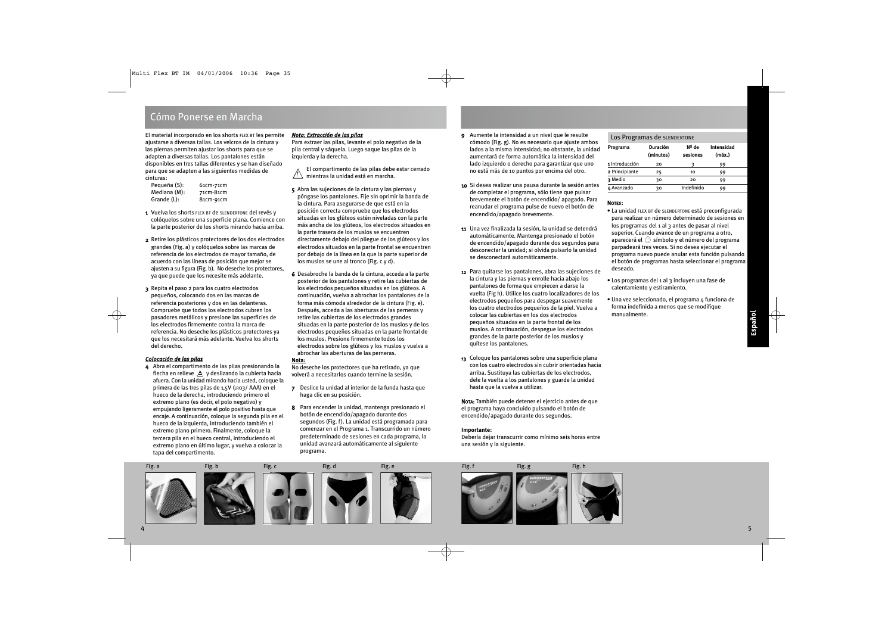### Cómo Ponerse en Marcha

El material incorporado en los shorts FLEX BT les permite ajustarse a diversas tallas. Los velcros de la cintura y las piernas permiten ajustar los shorts para que se adapten a diversas tallas. Los pantalones están disponibles en tres tallas diferentes y se han diseñado para que se adapten a las siguientes medidas de cinturas:

| Pequeña (S): | 61 <sub>cm</sub> -71cm |
|--------------|------------------------|
| Mediana (M): | 71cm-81cm              |
| Grande (L):  | 81cm-91cm              |

- 1 Vuelva los shorts FLEX BT de SLENDERTONE del revés y colóquelos sobre una superficie plana. Comience con la parte posterior de los shorts mirando hacia arriba.
- 2 Retire los plásticos protectores de los dos electrodos grandes (Fig. a) y colóquelos sobre las marcas de referencia de los electrodos de mayor tamaño, de acuerdo con las líneas de posición que mejor se ajusten a su figura (Fig. b). No deseche los protectores, ya que puede que los necesite más adelante.
- 3 Repita el paso 2 para los cuatro electrodos pequeños, colocando dos en las marcas de referencia posteriores y dos en las delanteras. Compruebe que todos los electrodos cubren los pasadores metálicos y presione las superficies de los electrodos firmemente contra la marca de referencia. No deseche los plásticos protectores ya que los necesitará más adelante. Vuelva los shorts del derecho.

### *Colocación de las pilas*

4 Abra el compartimento de las pilas presionando la flecha en relieve  $\triangle$  y deslizando la cubierta hacia afuera. Con la unidad mirando hacia usted, coloque la primera de las tres pilas de 1,5V (LR03/AAA) en el hueco de la derecha, introduciendo primero el extremo plano (es decir, el polo negativo) y empujando ligeramente el polo positivo hasta que encaie. A continuación, coloque la segunda pila en el hueco de la izquierda, introduciendo también el extremo plano primero. Finalmente, coloque la tercera pila en el hueco central, introduciendo el extremo plano en último lugar, y vuelva a colocar la tapa del compartimento.

### *Nota: Extracción de las pilas*

Para extraer las pilas, levante el polo negativo de la pila central y sáquela. Luego saque las pilas de la izquierda y la derecha.

- El compartimento de las pilas debe estar cerrado mientras la unidad está en marcha. !
- 5 Abra las sujeciones de la cintura y las piernas y póngase los pantalones. Fije sin oprimir la banda de la cintura. Para asegurarse de que está en la posición correcta compruebe que los electrodos situadas en los glúteos estén niveladas con la parte más ancha de los glúteos, los electrodos situados en la parte trasera de los muslos se encuentren directamente debajo del pliegue de los glúteos y los electrodos situados en la parte frontal se encuentren por debajo de la línea en la que la parte superior de los muslos se une al tronco (Fig. c y d).
- 6 Desabroche la banda de la cintura, acceda a la parte posterior de los pantalones y retire las cubiertas de los electrodos pequeños situadas en los glúteos. A continuación, vuelva a abrochar los pantalones de la forma más cómoda alrededor de la cintura (Fig. e). Después, acceda a las aberturas de las perneras y retire las cubiertas de los electrodos grandes situadas en la parte posterior de los muslos y de los electrodos pequeños situadas en la parte frontal de los muslos. Presione firmemente todos los electrodos sobre los glúteos y los muslos y vuelva a abrochar las aberturas de las perneras.

### **Nota:**

No deseche los protectores que ha retirado, ya que volverá a necesitarlos cuando termine la sesión.

- 7 Deslice la unidad al interior de la funda hasta que haga clic en su posición.
- 8 Para encender la unidad, mantenga presionado el botón de encendido/apagado durante dos segundos (Fig. f). La unidad está programada para comenzar en el Programa 1. Transcurrido un número predeterminado de sesiones en cada programa, la unidad avanzará automáticamente al siguiente programa.
- 9 Aumente la intensidad a un nivel que le resulte cómodo (Fig. g). No es necesario que ajuste ambos lados a la misma intensidad; no obstante, la unidad aumentará de forma automática la intensidad del lado izquierdo o derecho para garantizar que uno no está más de 10 puntos por encima del otro.
- 10 Si desea realizar una pausa durante la sesión antes de completar el programa, sólo tiene que pulsar brevemente el botón de encendido/ apagado. Para reanudar el programa pulse de nuevo el botón de encendido/apagado brevemente.
- 11 Una vez finalizada la sesión, la unidad se detendrá automáticamente. Mantenga presionado el botón de encendido/apagado durante dos segundos para desconectar la unidad; si olvida pulsarlo la unidad se desconectará automáticamente.
- 12 Para quitarse los pantalones, abra las sujeciones de la cintura y las piernas y enrolle hacia abajo los pantalones de forma que empiecen a darse la vuelta (Fig h). Utilice los cuatro localizadores de los electrodos pequeños para despegar suavemente los cuatro electrodos pequeños de la piel. Vuelva a colocar las cubiertas en los dos electrodos pequeños situadas en la parte frontal de los muslos. A continuación, despegue los electrodos grandes de la parte posterior de los muslos y quítese los pantalones.
- 13 Coloque los pantalones sobre una superficie plana con los cuatro electrodos sin cubrir orientadas hacia arriba. Sustituya las cubiertas de los electrodos, dele la vuelta a los pantalones y guarde la unidad hasta que la vuelva a utilizar.

NOTA: También puede detener el ejercicio antes de que el programa haya concluido pulsando el botón de encendido/apagado durante dos segundos.

### **Importante:**

Debería dejar transcurrir como mínimo seis horas entre una sesión y la siguiente.

### Los Programas de SLENDERTONE

| Programa       | Duración<br>(minutos) | Nº de<br>sesiones | Intensidad<br>(máx.) |
|----------------|-----------------------|-------------------|----------------------|
| 1 Introducción | 20                    |                   | 99                   |
| 2 Principiante | 25                    | 10                | 99                   |
| 3 Medio        | 30                    | 20                | 99                   |
| 4 Avanzado     | 30                    | Indefinido        | 99                   |

### NOTES:

- La unidad FLEX BT de SLENDERTONE está preconfigurada para realizar un número determinado de sesiones en los programas del 1 al 3 antes de pasar al nivel superior. Cuando avance de un programa a otro, aparecerá el  $\circledcirc$  símbolo y el número del programa parpadeará tres veces. Si no desea ejecutar el programa nuevo puede anular esta función pulsando el botón de programas hasta seleccionar el programa deseado.
- Los programas del 1 al 3 incluyen una fase de calentamiento y estiramiento.
- Una vez seleccionado, el programa 4 funciona de forma indefinida a menos que se modifique manualmente.



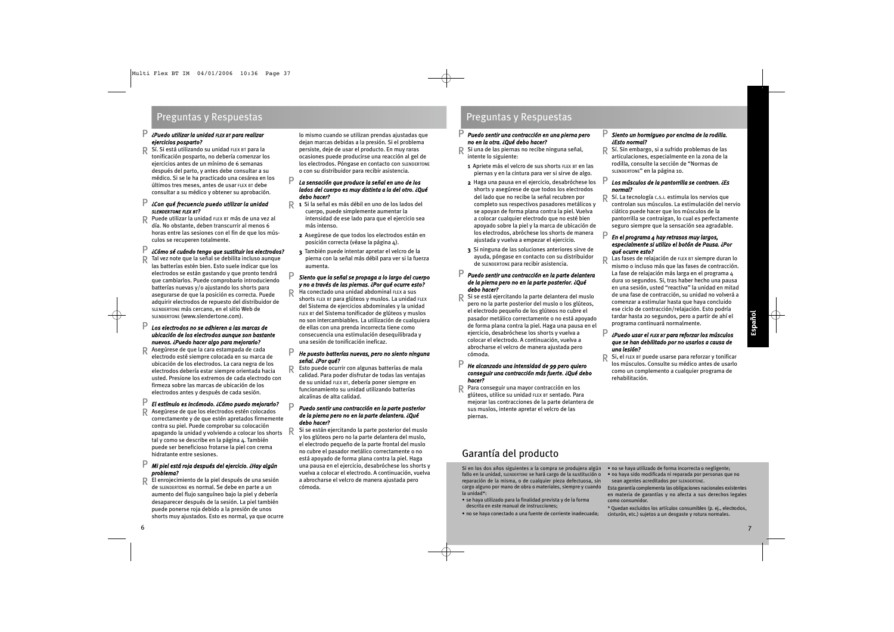### *¿Puedo utilizar la unidad FLEX BT para realizar ejercicios posparto?* P

Sí. Si está utilizando su unidad FLEX BT para la tonificación posparto, no debería comenzar los ejercicios antes de un mínimo de 6 semanas después del parto, y antes debe consultar a su médico. Si se le ha practicado una cesárea en los últimos tres meses, antes de usar FLEX BT debe consultar a su médico y obtener su aprobación. R

#### *¿Con qué frecuencia puedo utilizar la unidad S L E N D E R T O N E FLEX BT?* P

Puede utilizar la unidad FLEX BT más de una vez al día. No obstante, deben transcurrir al menos 6 horas entre las sesiones con el fin de que los músculos se recuperen totalmente. R

#### *¿Cómo sé cuándo tengo que sustituir los electrodos?* P

Tal vez note que la señal se debilita incluso aunque las batterías estén bien. Esto suele indicar que los electrodos se están gastando y que pronto tendrá que cambiarlos. Puede comprobarlo introduciendo batterías nuevas y/o ajustando los shorts para asegurarse de que la posición es correcta. Puede adquirir electrodos de repuesto del distribuidor de SLENDERTONE más cercano, en el sitio Web de SLENDERTONE (www.slendertone.com). R

### *Los electrodos no se adhieren a las marcas de ubicación de los electrodos aunque son bastante nuevos. ¿Puedo hacer algo para mejorarlo?* P

Asegúrese de que la cara estampada de cada electrodo esté siempre colocada en su marca de ubicación de los electrodos. La cara negra de los electrodos debería estar siempre orientada hacia usted. Presione los extremos de cada electrodo con firmeza sobre las marcas de ubicación de los electrodos antes y después de cada sesión. R

#### *El estímulo es incómodo. ¿Cómo puedo mejorarlo?* P

Asegúrese de que los electrodos estén colocados correctamente y de que estén apretados firmemente contra su piel. Puede comprobar su colocación apagando la unidad y volviendo a colocar los shorts R tal y como se describe en la página 4. También puede ser beneficioso frotarse la piel con crema hidratante entre sesiones. R

#### *Mi piel está roja después del ejercicio. ¿Hay algún problema?* P

El enrojecimiento de la piel después de una sesión de SLENDERTONE es normal. Se debe en parte a un aumento del flujo sanguíneo bajo la piel y debería desaparecer después de la sesión. La piel también puede ponerse roja debido a la presión de unos shorts muy ajustados. Esto es normal, ya que ocurre R

lo mismo cuando se utilizan prendas ajustadas que dejan marcas debidas a la presión. Si el problema persiste, deje de usar el producto. En muy raras ocasiones puede producirse una reacción al gel de los electrodos. Póngase en contacto con SLENDERTONE o con su distribuidor para recibir asistencia.

### *La sensación que produce la señal en uno de los lados del cuerpo es muy distinta a la del otro. ¿Qué debo hacer?* P

- 1 Si la señal es más débil en uno de los lados del R cuerpo, puede simplemente aumentar la intensidad de ese lado para que el ejercicio sea más intenso.
	- 2 Asegúrese de que todos los electrodos están en posición correcta (véase la página 4).
	- 3 También puede intentar apretar el velcro de la pierna con la señal más débil para ver si la fuerza aumenta.

#### *Siento que la señal se propaga a lo largo del cuerpo y no a través de las piernas. ¿Por qué ocurre esto?* P

R

Ha conectado una unidad abdominal FLEX a sus shorts FLEX BT para glúteos y muslos. La unidad FLEX del Sistema de ejercicios abdominales y la unidad FLEX BT del Sistema tonificador de glúteos y muslos no son intercambiables. La utilización de cualquiera de ellas con una prenda incorrecta tiene como consecuencia una estimulación desequilibrada y una sesión de tonificación ineficaz.

#### *He puesto batterías nuevas, pero no siento ninguna señal. ¿Por qué?* P

Esto puede ocurrir con algunas batterías de mala calidad. Para poder disfrutar de todas las ventajas de su unidad FLEX BT, debería poner siempre en funcionamiento su unidad utilizando batterías alcalinas de alta calidad. R

### *Puedo sentir una contracción en la parte posterior de la pierna pero no en la parte delantera. ¿Qué debo hacer?* P

Si se están ejercitando la parte posterior del muslo y los glúteos pero no la parte delantera del muslo, el electrodo pequeño de la parte frontal del muslo no cubre el pasador metálico correctamente o no está apoyado de forma plana contra la piel. Haga una pausa en el ejercicio, desabróchese los shorts y vuelva a colocar el electrodo. A continuación, vuelva a abrocharse el velcro de manera ajustada pero cómoda.

### Preguntas y Respuestas Preguntas y Respuestas

### *Puedo sentir una contracción en una pierna pero* P *no en la otra. ¿Qué debo hacer?*

- Si una de las piernas no recibe ninguna señal, intente lo siguiente: R
	- 1 Apriete más el velcro de sus shorts FLEX BT en las piernas y en la cintura para ver si sirve de algo.
	- 2 Haga una pausa en el ejercicio, desabróchese los shorts y asegúrese de que todos los electrodos del lado que no recibe la señal recubren por completo sus respectivos pasadores metálicos y se apoyan de forma plana contra la piel. Vuelva a colocar cualquier electrodo que no esté bien apoyado sobre la piel y la marca de ubicación de los electrodos, abróchese los shorts de manera ajustada y vuelva a empezar el ejercicio.
	- 3 Si ninguna de las soluciones anteriores sirve de ayuda, póngase en contacto con su distribuidor de SLENDERTONE para recibir asistencia.

### *Puedo sentir una contracción en la parte delantera de la pierna pero no en la parte posterior. ¿Qué debo hacer?*

P

R Si se está ejercitando la parte delantera del muslo<br>R pero pola parte posterior del muslo o los glúteos pero no la parte posterior del muslo o los glúteos, el electrodo pequeño de los glúteos no cubre el pasador metálico correctamente o no está apoyado de forma plana contra la piel. Haga una pausa en el ejercicio, desabróchese los shorts y vuelva a colocar el electrodo. A continuación, vuelva a abrocharse el velcro de manera ajustada pero cómoda.

### *He alcanzado una intensidad de 99 pero quiero conseguir una contracción más fuerte. ¿Qué debo hacer?* P

Para conseguir una mayor contracción en los R glúteos, utilice su unidad FLEX BT sentado. Para mejorar las contracciones de la parte delantera de sus muslos, intente apretar el velcro de las piernas.

## Garantía del producto

Si en los dos años siguientes a la compra se produjera algún fallo en la unidad, SLENDERTONE se hará cargo de la sustitución o reparación de la misma, o de cualquier pieza defectuosa, sin cargo alguno por mano de obra o materiales, siempre y cuando la unidad\*:

- se haya utilizado para la finalidad prevista y de la forma descrita en este manual de instrucciones;
- no se haya conectado a una fuente de corriente inadecuada;

### *Siento un hormigueo por encima de la rodilla.* P *¿Esto normal?*

R Sí. Sin embargo, si a sufrido problemas de las<br>articulaciones, especialmente en la zona de la articulaciones, especialmente en la zona de la rodilla, consulte la sección de "Normas de SLENDERTONE" en la página 10.

#### *Los músculos de la pantorrilla se contraen. ¿Es normal?* P

Sí. La tecnología C.S.I. estimula los nervios que controlan sus músculos. La estimulación del nervio ciático puede hacer que los músculos de la pantorrilla se contraigan, lo cual es perfectamente seguro siempre que la sensación sea agradable. R

### *En el programa 4 hay retrasos muy largos, especialmente si utilizo el botón de Pausa. ¿Por qué ocurre esto?* P

R

Las fases de relajación de FLEX BT siempre duran lo mismo o incluso más que las fases de contracción. La fase de relajación más larga en el programa  $\mu$ dura 10 segundos. Si, tras haber hecho una pausa en una sesión, usted "reactiva" la unidad en mitad de una fase de contracción, su unidad no volverá a comenzar a estimular hasta que haya concluido ese ciclo de contracción/relajación. Esto podría tardar hasta 20 segundos, pero a partir de ahí el programa continuará normalmente.

### *¿Puedo usar el FLEX BT para reforzar los músculos* P *que se han debilitado por no usarlos a causa de una lesión?*

R Si, el FLEX BT puede usarse para reforzar y tonificar<br>Los músculos Consulto su médico antos de usarlo los músculos. Consulte su médico antes de usarlo como un complemento a cualquier programa de rehabilitación.

- no se haya utilizado de forma incorrecta o negligente; • no haya sido modificada ni reparada por personas que no
- sean agentes acreditados por SLENDERTONE.

Esta garantía complementa las obligaciones nacionales existentes en materia de garantías y no afecta a sus derechos legales como consumidor.

\* Quedan excluidos los artículos consumibles (p. ej., electrodos, cinturón, etc.) sujetos a un desgaste y rotura normales.

Español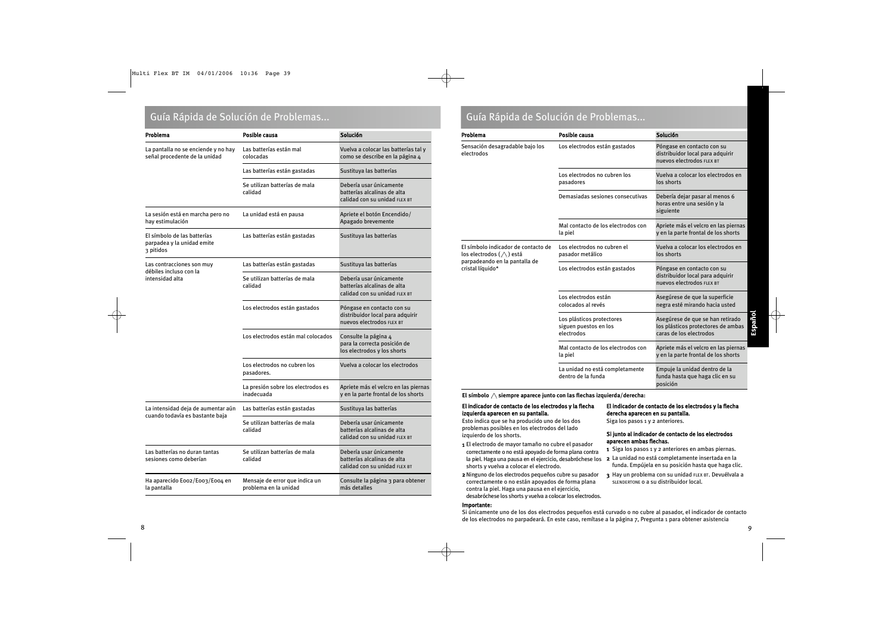### Guía Rápida de Solución de Problemas... Guía Rápida de Solución de Problemas...

| Problema                                                               | Posible causa                                           | Solución                                                                                    |  |
|------------------------------------------------------------------------|---------------------------------------------------------|---------------------------------------------------------------------------------------------|--|
| La pantalla no se enciende y no hay<br>señal procedente de la unidad   | Las batterías están mal<br>colocadas                    | Vuelva a colocar las batterías tal y<br>como se describe en la página 4                     |  |
|                                                                        | Las batterías están gastadas                            | Sustituya las batterías                                                                     |  |
|                                                                        | Se utilizan batterías de mala<br>calidad                | Debería usar únicamente<br>batterías alcalinas de alta<br>calidad con su unidad FLEX BT     |  |
| La sesión está en marcha pero no<br>hay estimulación                   | La unidad está en pausa                                 | Apriete el botón Encendido/<br>Apagado brevemente                                           |  |
| El símbolo de las batterías<br>parpadea y la unidad emite<br>3 pitidos | Las batterías están gastadas                            | Sustituya las batterías                                                                     |  |
| Las contracciones son muy<br>débiles incluso con la                    | Las batterías están gastadas                            | Sustituya las batterías                                                                     |  |
| intensidad alta                                                        | Se utilizan batterías de mala<br>calidad                | Debería usar únicamente<br>batterías alcalinas de alta<br>calidad con su unidad FLEX BT     |  |
|                                                                        | Los electrodos están gastados                           | Póngase en contacto con su<br>distribuidor local para adquirir<br>nuevos electrodos FLEX BT |  |
|                                                                        | Los electrodos están mal colocados                      | Consulte la página 4<br>para la correcta posición de<br>los electrodos y los shorts         |  |
|                                                                        | Los electrodos no cubren los<br>pasadores.              | Vuelva a colocar los electrodos                                                             |  |
|                                                                        | La presión sobre los electrodos es<br>inadecuada        | Apriete más el velcro en las piernas<br>y en la parte frontal de los shorts                 |  |
| La intensidad deja de aumentar aún<br>cuando todavía es bastante baja  | Las batterías están gastadas                            | Sustituya las batterías                                                                     |  |
|                                                                        | Se utilizan batterías de mala<br>calidad                | Debería usar únicamente<br>batterías alcalinas de alta<br>calidad con su unidad FLEX BT     |  |
| Las batterías no duran tantas<br>sesiones como deberían                | Se utilizan batterías de mala<br>calidad                | Debería usar únicamente<br>batterías alcalinas de alta<br>calidad con su unidad FLEX BT     |  |
| Ha aparecido Eoo2/Eoo3/Eoo4 en<br>la pantalla                          | Mensaje de error que indica un<br>problema en la unidad | Consulte la página 3 para obtener<br>más detalles                                           |  |

| Problema                                                                                                                   | Posible causa                                                                                 | Solución                                                                                          |  |
|----------------------------------------------------------------------------------------------------------------------------|-----------------------------------------------------------------------------------------------|---------------------------------------------------------------------------------------------------|--|
| Sensación desagradable bajo los<br>electrodos                                                                              | Los electrodos están gastados                                                                 | Póngase en contacto con su<br>distribuidor local para adquirir<br>nuevos electrodos FLEX BT       |  |
|                                                                                                                            | Los electrodos no cubren los<br>Vuelva a colocar los electrodos en<br>los shorts<br>pasadores |                                                                                                   |  |
|                                                                                                                            | Demasiadas sesiones consecutivas                                                              | Debería dejar pasar al menos 6<br>horas entre una sesión y la<br>siguiente                        |  |
|                                                                                                                            | Mal contacto de los electrodos con<br>la piel                                                 | Apriete más el velcro en las piernas<br>y en la parte frontal de los shorts                       |  |
| El símbolo indicador de contacto de<br>los electrodos $(\wedge)$ está<br>parpadeando en la pantalla de<br>cristal líquido* | Los electrodos no cubren el<br>pasador metálico                                               | Vuelva a colocar los electrodos en<br>los shorts                                                  |  |
|                                                                                                                            | Los electrodos están gastados                                                                 | Póngase en contacto con su<br>distribuidor local para adquirir<br>nuevos electrodos FLEX BT       |  |
|                                                                                                                            | Los electrodos están<br>colocados al revés                                                    | Asegúrese de que la superficie<br>negra esté mirando hacia usted                                  |  |
|                                                                                                                            | Los plásticos protectores<br>siguen puestos en los<br>electrodos                              | Asegúrese de que se han retirado<br>los plásticos protectores de ambas<br>caras de los electrodos |  |
|                                                                                                                            | Mal contacto de los electrodos con<br>la piel                                                 | Apriete más el velcro en las piernas<br>y en la parte frontal de los shorts                       |  |
|                                                                                                                            | La unidad no está completamente<br>dentro de la funda                                         | Empuje la unidad dentro de la<br>funda hasta que haga clic en su<br>posición                      |  |

El símbolo  $\triangle$  siempre aparece junto con las flechas izquierda/derecha:

### El indicador de contacto de los electrodos y la flecha izquierda aparecen en su pantalla.

Esto indica que se ha producido uno de los dos problemas posibles en los electrodos del lado izquierdo de los shorts.

- 1 El electrodo de mayor tamaño no cubre el pasador correctamente o no está apoyado de forma plana contra la piel. Haga una pausa en el ejercicio, desabróchese los shorts y vuelva a colocar el electrodo.
- 2Ninguno de los electrodos pequeños cubre su pasador correctamente o no están apoyados de forma plana contra la piel. Haga una pausa en el ejercicio, desabróchese los shorts y vuelva a colocar los electrodos.

### Importante:

### El indicador de contacto de los electrodos y la flecha derecha aparecen en su pantalla.

Siga los pasos 1 y 2 anteriores.

### Si junto al indicador de contacto de los electrodos aparecen ambas flechas.

- 1 Siga los pasos 1 y 2 anteriores en ambas piernas.
- 2 La unidad no está completamente insertada en la funda. Empújela en su posición hasta que haga clic.
- 3 Hay un problema con su unidad FLEX BT. Devuélvala a SLENDERTONE o a su distribuidor local.

Si únicamente uno de los dos electrodos pequeños está curvado o no cubre al pasador, el indicador de contacto de los electrodos no parpadeará. En este caso, remítase a la página 7, Pregunta 1 para obtener asistencia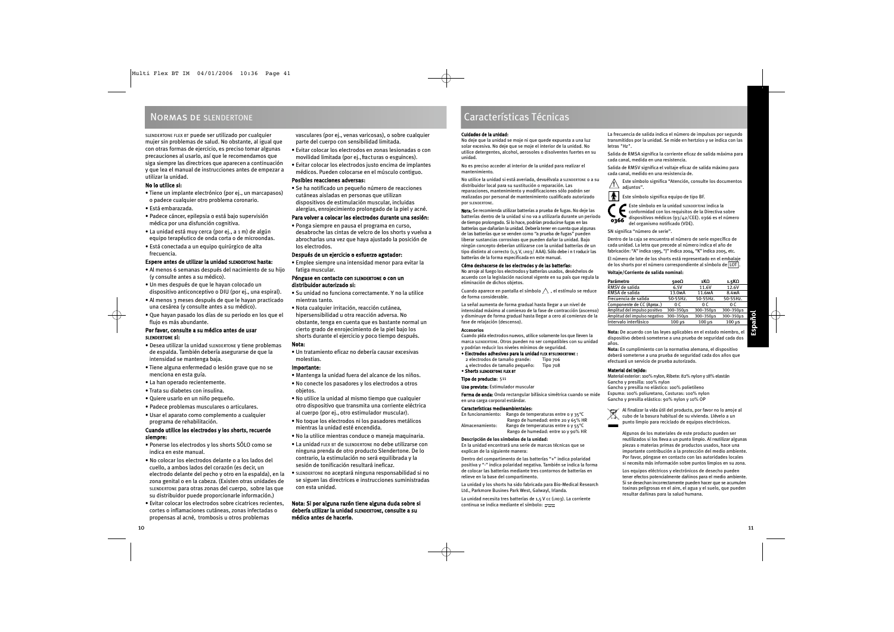### Normas de SLENDERTONE

SLENDERTONE FLEX BT puede ser utilizado por cualquier mujer sin problemas de salud. No obstante, al igual que con otras formas de ejercicio, es preciso tomar algunas precauciones al usarlo, así que le recomendamos que siga siempre las directrices que aparecen a continuación y que lea el manual de instrucciones antes de empezar a utilizar la unidad.

### No lo utilice si:

- Tiene un implante electrónico (por ej., un marcapasos) o padece cualquier otro problema coronario.
- Está embarazada.
- Padece cáncer, epilepsia o está bajo supervisión médica por una disfunción cognitiva.
- La unidad está muy cerca (por ej., a 1 m) de algún equipo terapéutico de onda corta o de microondas.
- Está conectada a un equipo quirúrgico de alta frecuencia.

### Espere antes de utilizar la unidad SLENDERTONE hasta:

- Al menos 6 semanas después del nacimiento de su hijo (y consulte antes a su médico).
- Un mes después de que le hayan colocado un dispositivo anticonceptivo o DIU (por ej., una espiral).
- Al menos 3 meses después de que le hayan practicado una cesárea (y consulte antes a su médico).
- Que hayan pasado los días de su periodo en los que el flujo es más abundante.

### Por favor, consulte a su médico antes de usar SLENDERTONE si:

- Desea utilizar la unidad SLENDERTONE y tiene problemas de espalda. También debería asegurarse de que la intensidad se mantenga baja.
- Tiene alguna enfermedad o lesión grave que no se menciona en esta guía.
- La han operado recientemente.
- Trata su diabetes con insulina.
- Quiere usarlo en un niño pequeño.
- Padece problemas musculares o articulares.
- Usar el aparato como complemento a cualquier programa de rehabilitación.

### Cuando utilice los electrodos y los shorts, recuerde siempre:

- Ponerse los electrodos y los shorts SÓLO como se indica en este manual.
- No colocar los electrodos delante o a los lados del cuello, a ambos lados del corazón (es decir, un electrodo delante del pecho y otro en la espalda), en la zona genital o en la cabeza. (Existen otras unidades de SLENDERTONE para otras zonas del cuerpo, sobre las que su distribuidor puede proporcionarle información.)
- Evitar colocar los electrodos sobre cicatrices recientes, cortes o inflamaciones cutáneas, zonas infectadas o propensas al acné, trombosis u otros problemas

vasculares (por ej., venas varicosas), o sobre cualquier parte del cuerpo con sensibilidad limitada.

- Evitar colocar los electrodos en zonas lesionadas o con movilidad limitada (por ej., fracturas o esguinces).
- Evitar colocar los electrodos justo encima de implantes médicos. Pueden colocarse en el músculo contiguo.

### Posibles reacciones adversas:

• Se ha notificado un pequeño número de reacciones cutáneas aisladas en personas que utilizan dispositivos de estimulación muscular, incluidas alergias, enrojecimiento prolongado de la piel y acné.

### Para volver a colocar los electrodos durante una sesión:

• Ponga siempre en pausa el programa en curso, desabroche las cintas de velcro de los shorts y vuelva a abrocharlas una vez que haya ajustado la posición de los electrodos.

### Después de un ejercicio o esfuerzo agotador:

• Emplee siempre una intensidad menor para evitar la fatiga muscular.

### Póngase en contacto con SLENDERTONE o con un distribuidor autorizado si:

- Su unidad no funciona correctamente. Y no la utilice mientras tanto.
- Nota cualquier irritación, reacción cutánea, hipersensibilidad u otra reacción adversa. No obstante, tenga en cuenta que es bastante normal un cierto grado de enrojecimiento de la piel bajo los shorts durante el ejercicio y poco tiempo después.

### Nota:

• Un tratamiento eficaz no debería causar excesivas molestias.

### Importante:

- Mantenga la unidad fuera del alcance de los niños.
- No conecte los pasadores y los electrodos a otros objetos.
- No utilice la unidad al mismo tiempo que cualquier otro dispositivo que transmita una corriente eléctrica al cuerpo (por ej., otro estimulador muscular).
- No toque los electrodos ni los pasadores metálicos mientras la unidad esté encendida.
- No la utilice mientras conduce o maneja maquinaria.
- La unidad FLEX BT de SLENDERTONE no debe utilizarse con ninguna prenda de otro producto Slendertone. De lo contrario, la estimulación no será equilibrada y la sesión de tonificación resultará ineficaz.
- SLENDERTONE no aceptará ninguna responsabilidad si no se siguen las directrices e instrucciones suministradas con esta unidad.

### Nota: Si por alguna razón tiene alguna duda sobre si debería utilizar la unidad SLENDERTONE, consulte a su médico antes de hacerlo.

### Características Técnicas

### Cuidados de la unidad:

No deje que la unidad se moje ni que quede expuesta a una luz solar excesiva. No deje que se moje el interior de la unidad. No utilice detergentes, alcohol, aerosoles o disolventes fuertes en su unidad.

No es preciso acceder al interior de la unidad para realizar el mantenimiento.

No utilice la unidad si está averiada, devuélvala a SLENDERTONE o a su distribuidor local para su sustitución o reparación. Las reparaciones, mantenimiento y modificaciones sólo podrán ser realizadas por personal de mantenimiento cualificado autorizado por SLENDERTONE.

NOTA: Se recomienda utilizar batterías a prueba de fugas. No deje las batterías dentro de la unidad si no va a utilizarla durante un periodo de tiempo prolongado. Si lo hace, podrían producirse fugas en las batterías que dañarían la unidad. Debería tener en cuenta que algunas de las batterías que se venden como "a prueba de fugas" pueden liberar sustancias corrosivas que pueden dañar la unidad. Bajo ningún concepto deberían utilizarse con la unidad batterías de un tipo distinto al correcto (1,5 V, LR03/ AAA). Sólo debe i n t roducir las batterías de la forma especificada en este manual.

### Cómo deshacerse de los electrodos y de las batterías:

No arroje al fuego los electrodos y batterías usados, deséchelos de acuerdo con la legislación nacional vigente en su país que regula la eliminación de dichos objetos.

Cuando aparece en pantalla el símbolo  $\bigwedge$ , el estímulo se reduce de forma considerable.

La señal aumenta de forma gradual hasta llegar a un nivel de intensidad máximo al comienzo de la fase de contracción (ascenso) y disminuye de forma gradual hasta llegar a cero al comienzo de la fase de relajación (descenso).

### **Accesorios**

Cuando pida electrodos nuevos, utilice solamente los que lleven la marca SLENDERTONE. Otros pueden no ser compatibles con su unidad y podrían reducir los niveles mínimos de seguridad.

### • Electrodos adhesivos para la unidad FLEX BTSLENDERTONE :

2 electrodos de tamaño grande: Tipo 706 4 electrodos de tamaño pequeño: Tipo 708 • Shorts SLENDERTONE FLEX BT

### Tipo de producto: 511

Uso previsto: Estimulador muscular

Forma de onda: Onda rectangular bifásica simétrica cuando se mide en una carga corporal estándar.

### Características medioambientales:

En funcionamiento: Rango de temperaturas entre 0 y 35°C Rango de humedad: entre 20 y 65% HR Almacenamiento: Rango de temperaturas entre o y 55°C Rango de humedad: entre 10 y 90% HR

### **Descripción de los símbolos de la unidad:**

En la unidad encontrará una serie de marcas técnicas que se explican de la siguiente manera:

Dentro del compartimento de las batterías "+" indica polaridad positiva y "-" indica polaridad negativa. También se indica la forma de colocar las batterías mediante tres contornos de batterías en relieve en la base del compartimento.

La unidad y los shorts ha sido fabricada para Bio-Medical Research Ltd., Parkmore Busines Park West, Galwayl, Irlanda.

La unidad necesita tres batterías de 1,5 V cc (LR03). La corriente continua se indica mediante el símbolo:

La frecuencia de salida indica el número de impulsos por segundo transmitidos por la unidad. Se mide en hertzios y se indica con las letras "Hz".

Salida de RMSA significa la corriente eficaz de salida máxima para cada canal, medida en una resistencia.

Salida de RMSV significa el voltaje eficaz de salida máximo para cada canal, medido en una resistencia de.

Este símbolo significa "Atención, consulte los documentos adiuntos". **!**

 $\overline{\bullet}$ Este símbolo significa equipo de tipo BF.

Este símbolo en la unidad SLENDERTONE indica la conformidad con los requisitos de la Directiva sobre dispositivos médicos (93/42/CEE). 0366 es el número del organismo notificado (VDE). 0366

SN significa "número de serie".

Dentro de la caja se encuentra el número de serie específico de cada unidad. La letra que precede al número indica el año de fabricación: "A" indica 1995, "J" indica 2004, "K" indica 2005, etc.

El número de lote de los shorts está representado en el embalaje de los shorts por el número correspondiente al símbolo de LOT .

### **Voltaje/Corriente de salida nominal:**

| 500Ω                | 1 ΚΩ                | 1.5KΩ              |
|---------------------|---------------------|--------------------|
| 6.5V                | 11.6V               | 12.6V              |
| 13.0 <sub>M</sub> A | 11.6 <sub>M</sub> A | 8.4 <sub>M</sub> A |
| 50-55Hz.            | 50-55Hz.            | 50-55Hz.           |
| 0 C                 | 0 C                 | 0 C                |
| 300-350µs           | 300-350µs           | 300-350µs          |
| 300-350µs           | 300-350µs           | 300-350us          |
| $100 \mu s$         | $100 \mu s$         | $100 \mu s$        |
|                     |                     |                    |

**Nota:** De acuerdo con las leyes aplicables en el estado miembro, el dispositivo deberá someterse a una prueba de seguridad cada dos años.

**Nota:** En cumplimiento con la normativa alemana, el dispositivo deberá someterse a una prueba de seguridad cada dos años que efectuará un servicio de prueba autorizado.

### Material del tejido:

Material exterior: 100% nylon, Ribete: 82% nylon y 18% elastán Gancho y presilla: 100% nylon Gancho y presilla no elástico: 100% polietileno Espuma: 100% poliuretano, Costuras: 100% nylon Gancho y presilla elástico: 90% nylon y 10% OP



Al finalizar la vida útil del producto, por favor no lo arroje al<br>cubo de la basura habitual de su vivienda. Llévelo a un punto limpio para reciclado de equipos electrónicos.

Algunos de los materiales de este producto pueden ser reutilizados si los lleva a un punto limpio. Al reutilizar algunas piezas o materias primas de productos usados, hace una importante contribución a la protección del medio ambiente. Por favor, póngase en contacto con las autoridades locales si necesita más información sobre puntos limpios en su zona.

Los equipos eléctricos y electrónicos de desecho pueden tener efectos potencialmente dañinos para el medio ambiente. Si se desechan incorrectamente pueden hacer que se acumulen toxinas peligrosas en el aire, el agua y el suelo, que pueden resultar dañinas para la salud humana.

Español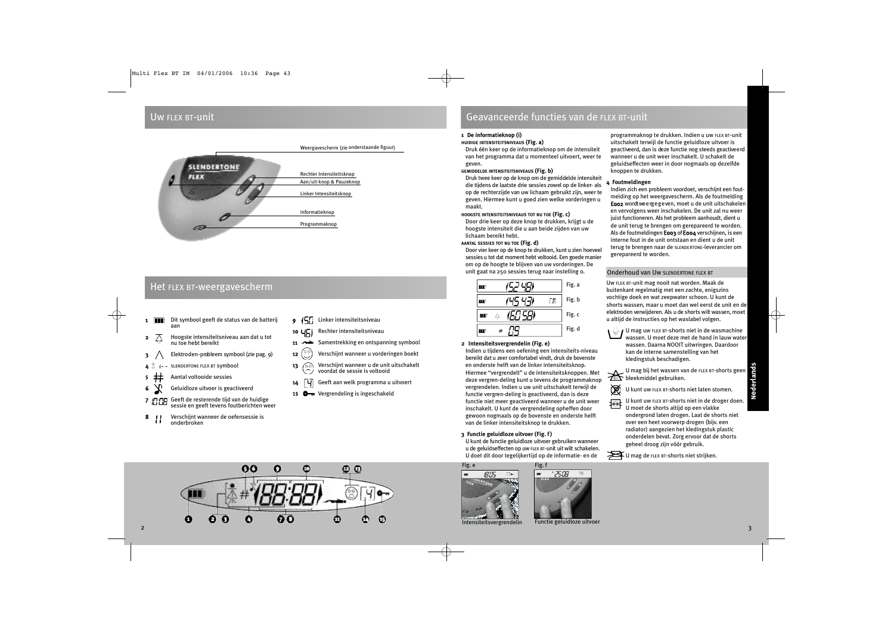### Uw FLEX BT-unit



### Het FLEX BT-weergavescherm

- 1 **Dit symbool geeft de status van de batterij** aan
- **2**  $\overline{\wedge}$  Hoogste intensiteitsniveau aan dat u tot nu toe hebt bereikt
- $\mathbf{3} \quad \wedge \quad$  Elektroden-probleem symbool (zie pag. 9)
- SLENDERTONE FLEX BT Symbool
- 5 Aantal voltooide sessies
- 6 Geluidloze uitvoer is geactiveerd
- 7 Geeft de resterende tijd van de huidige sessie en geeft tevens foutberichten weer
- 8 *II* Verschijnt wanneer de oefensessie is onderbroken
- 9 (5) Linker intensiteitsniveau
- 10 UCI Rechter intensiteitsniveau
- 11  $\rightarrow$  Samentrekking en ontspanning symbool
- **12**  $\binom{00}{1}$  Verschijnt wanneer u vorderingen boekt
- 13 Verschijnt wanneer u de unit uitschakelt voordat de sessie is voltooid
- $14$   $\boxed{4}$  Geeft aan welk programma u uitvoert
- 15 Vergrendeling is ingeschakeld

### Geavanceerde functies van de FLEX BT-unit

### **1 De informatieknop (i)**

### **HUIDIGE INTENSITEITSNIVEAUS (Fig. a)**

Druk één keer op de informatieknop om de intensiteit van het programma dat u momenteel uitvoert, weer te geven.

### **GEMIDDELDE INTENSITEITSNIVEAUS (Fig. b)**

Druk twee keer op de knop om de gemiddelde intensiteit die tijdens de laatste drie sessies zowel op de linker- als op de rechterzijde van uw lichaam gebruikt zijn, weer te geven. Hiermee kunt u goed zien welke vorderingen u maakt.

### **HOOGSTE INTENSITEITSNIVEAUS TOT NU TOE (Fig. c)**

Door drie keer op deze knop te drukken, krijgt u de hoogste intensiteit die u aan beide zijden van uw lichaam bereikt hebt.

### **AANTAL SESSIES TOT NU TOE (Fig. d)**

Door vier keer op de knop te drukken, kunt u zien hoeveel sessies u tot dat moment hebt voltooid. Een goede manier om op de hoogte te blijven van uw vorderingen. De unit gaat na 250 sessies terug naar instelling 0.

|   | Fig. a |
|---|--------|
|   | Fig. b |
| Δ | Fig. c |
|   | Fig. d |

### **2 Intensiteitsvergrendelin (Fig. e)**

Indien u tijdens een oefening een intensiteits-niveau bereikt dat u zeer comfortabel vindt, druk de bovenste en onderste helft van de linker intensiteitsknop. Hiermee "vergrendelt" u de intensiteitsknoppen. Met deze vergren-deling kunt u tevens de programmaknop vergrendelen. Indien u uw unit uitschakelt terwijl de functie vergren-deling is geactiveerd, dan is deze functie niet meer geactiveerd wanneer u de unit weer inschakelt. U kunt de vergrendeling opheffen door gewoon nogmaals op de bovenste en onderste helft van de linker intensiteitsknop te drukken.

**3 Functie geluidloze uitvoer (Fig. f)**

U kunt de functie geluidloze uitvoer gebruiken wanneer u de geluidseffecten op uw FLEX BT-unit uit wilt schakelen. U doet dit door tegelijkertijd op de informatie- en de

Fig. e 18:09 Fig. f - 25:08 programmaknop te drukken. Indien u uw FLEX BT-unit uitschakelt terwijl de functie geluidloze uitvoer is ge activeerd, dan is deze functie nog steeds geactive erd wanneer u de unit weer inschakelt. U schakelt de geluidseffecten weer in door nogmaals op dezelfde knoppen te drukken.

### **4 Foutmeldingen**

Indien zich een probleem voordoet, verschijnt een foutmelding op het weergavescherm. Als de foutmelding Eoo2 wordtweergegeven, moet u de unit uitschakelen en vervolgens weer inschakelen. De unit zal nu weer juist functioneren. Als het probleem aanhoudt, dient u de unit terug te brengen om gerepareerd te worden. Als de foutmeldingen E003 of E004 verschijnen, is een interne fout in de unit ontstaan en dient u de unit terug te brengen naar de SLENDERTONE-leverancier om gerepareerd te worden.

### Onderhoud van Uw SLENDERTONE FLEX BT

Uw FLEX BT-unit mag nooit nat worden. Maak de buitenkant regelmatig met een zachte, enigszins vochtige doek en wat zeepwater schoon. U kunt de shorts wassen, maar u moet dan wel eerst de unit en de elektroden verwijderen. Als u de shorts wilt wassen, moet u altijd de instructies op het waslabel volgen.

U mag uw FLEX BT-shorts niet in de wasmachine wassen. U moet deze met de hand in lauw water wassen. Daarna NOOIT uitwringen. Daardoor kan de interne samenstelling van het kledingstuk beschadigen.

U mag bij het wassen van de FLEX BT-shorts geen **ZEL** bleekmiddel gebruiken.

U kunt uw FLEX BT-shorts niet laten stomen.

 $\overline{U}$  U kunt uw FLEX BT-shorts niet in de droger doen.<br>U moet de shorts altiid on een vlakke U moet de shorts altijd op een vlakke ondergrond laten drogen. Laat de shorts niet over een heet voorwerp drogen (bijv. een radiator) aangezien het kledingstuk plastic onderdelen bevat. Zorg ervoor dat de shorts geheel droog zijn vóór gebruik.



阅



Nederlands

Intensiteitsvergrendelin



Functie geluidloze uitvoer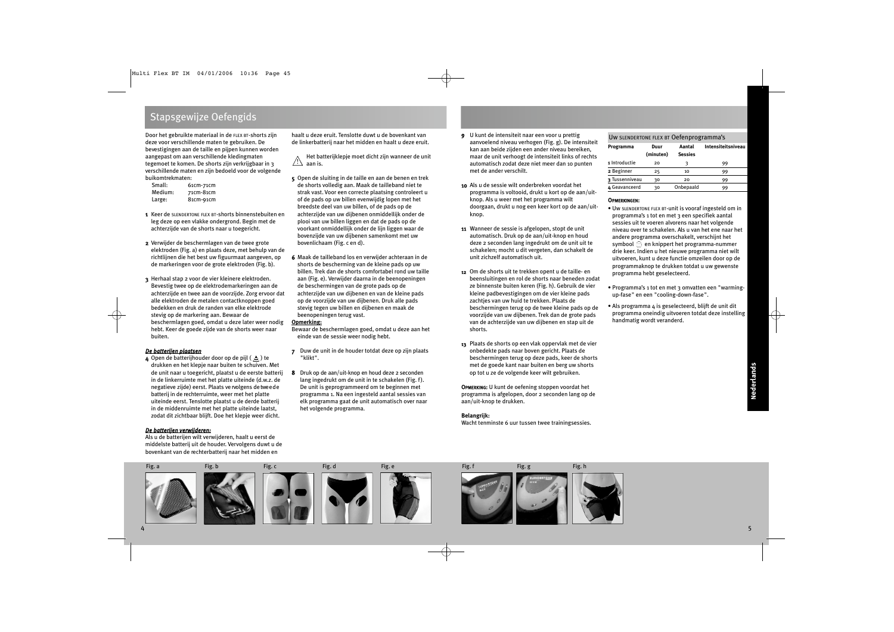### Stapsgewijze Oefengids

Door het gebruikte materiaal in de FLEX BT-shorts zijn deze voor verschillende maten te gebruiken. De bevestigingen aan de taille en pijpen kunnen worden aangepast om aan verschillende kledingmaten tegemoet te komen. De shorts zijn verkrijgbaar in 3 verschillende maten en zijn bedoeld voor de volgende buikomtrekmaten:

| Small:  | 61cm-71cm |
|---------|-----------|
| Medium: | 71cm-81cm |
| Large:  | 81cm-91cm |

- 1 Keer de SLENDERTONE FLEX BT-shorts binnenstebuiten en leg deze op een vlakke ondergrond. Begin met de achterzijde van de shorts naar u toegericht.
- 2 Verwijder de beschermlagen van de twee grote elektroden (Fig. a) en plaats deze, met behulp van de richtlijnen die het best uw figuurmaat aangeven, op de markeringen voor de grote elektroden (Fig. b).
- 3 Herhaal stap 2 voor de vier kleinere elektroden. Bevestig twee op de elektrodemarkeringen aan de achterzijde en twee aan de voorzijde. Zorg ervoor dat alle elektroden de metalen contactknoppen goed bedekken en druk de randen van elke elektrode stevig op de markering aan. Bewaar de beschermlagen goed, omdat u deze later weer nodig hebt. Keer de goede zijde van de shorts weer naar buiten.

### *De batterijen plaatsen*

4 Open de batterijhouder door op de pijl  $($   $\triangle$ ) te drukken en het klepje naar buiten te schuiven. Met de unit naar u toegericht, plaatst u de eerste batterij in de linkerruimte met het platte uiteinde (d.w.z. de negatieve zijde) eerst. Plaats ve rvolgens de tweede batterij in de rechterruimte, weer met het platte uiteinde eerst. Tenslotte plaatst u de derde batterij in de middenruimte met het platte uiteinde laatst, zodat dit zichtbaar blijft. Doe het klepje weer dicht.

### *De batterijen verwijderen:*

Als u de batterijen wilt verwijderen, haalt u eerst de middelste batterij uit de houder. Vervolgens duwt u de bovenkant van de rechterbatterij naar het midden en

haalt u deze eruit. Tenslotte duwt u de bovenkant van de linkerbatterij naar het midden en haalt u deze eruit.

Het batterijklepje moet dicht zijn wanneer de unit aan is. !

- 5 Open de sluiting in de taille en aan de benen en trek de shorts volledig aan. Maak de tailleband niet te strak vast. Voor een correcte plaatsing controleert u of de pads op uw billen evenwijdig lopen met het breedste deel van uw billen, of de pads op de achterzijde van uw dijbenen onmiddellijk onder de plooi van uw billen liggen en dat de pads op de voorkant onmiddellijk onder de lijn liggen waar de bovenzijde van uw dijbenen samenkomt met uw bovenlichaam (Fig. c en d).
- 6 Maak de tailleband los en verwijder achteraan in de shorts de bescherming van de kleine pads op uw billen. Trek dan de shorts comfortabel rond uw taille aan (Fig. e). Verwijder daarna in de beenopeningen de beschermingen van de grote pads op de achterzijde van uw dijbenen en van de kleine pads op de voorzijde van uw dijbenen. Druk alle pads stevig tegen uw billen en dijbenen en maak de beenopeningen terug vast.

### **Opmerking:**

Bewaar de beschermlagen goed, omdat u deze aan het einde van de sessie weer nodig hebt.

- 7 Duw de unit in de houder totdat deze op zijn plaats "klikt".
- 8 Druk op de aan/uit-knop en houd deze 2 seconden lang ingedrukt om de unit in te schakelen (Fig. f). De unit is geprogrammeerd om te beginnen met programma 1. Na een ingesteld aantal sessies van elk programma gaat de unit automatisch over naar het volgende programma.
- 9 U kunt de intensiteit naar een voor u prettig aanvoelend niveau verhogen (Fig. g). De intensiteit kan aan beide zijden een ander niveau bereiken, maar de unit verhoogt de intensiteit links of rechts automatisch zodat deze niet meer dan 10 punten met de ander verschilt.
- 10 Als u de sessie wilt onderbreken voordat het programma is voltooid, drukt u kort op de aan/uitknop. Als u weer met het programma wilt doorgaan, drukt u nog een keer kort op de aan/uitknop.
- 11 Wanneer de sessie is afgelopen, stopt de unit automatisch. Druk op de aan/uit-knop en houd deze 2 seconden lang ingedrukt om de unit uit te schakelen; mocht u dit vergeten, dan schakelt de unit zichzelf automatisch uit.
- 12 Om de shorts uit te trekken opent u de taille- en beensluitingen en rol de shorts naar beneden zodat ze binnenste buiten keren (Fig. h). Gebruik de vier kleine padbevestigingen om de vier kleine pads zachties van uw huid te trekken. Plaats de beschermingen terug op de twee kleine pads op de voorzijde van uw dijbenen. Trek dan de grote pads van de achterzijde van uw dijbenen en stap uit de shorts.
- 13 Plaats de shorts op een vlak oppervlak met de vier onbedekte pads naar boven gericht. Plaats de beschermingen terug op deze pads, keer de shorts met de goede kant naar buiten en berg uw shorts op tot u ze de volgende keer wilt gebruiken.

OPMERKING: U kunt de oefening stoppen voordat het programma is afgelopen, door 2 seconden lang op de aan/uit-knop te drukken.

### **Belangrijk:**

Wacht tenminste 6 uur tussen twee trainingsessies.

### Uw SLENDERTONE FLEX BT Oefenprogramma's

| Programma      | Duur<br>(minuten) | Aantal<br><b>Sessies</b> | Intensiteitsniveau |
|----------------|-------------------|--------------------------|--------------------|
| 1 Introductie  | 20                |                          | 99                 |
| 2 Beginner     | 25                | 10                       | 99                 |
| 3 Tussenniveau | 30                | 20                       | 99                 |
| 4 Geavanceerd  | 30                | Onbepaald                | 99                 |

### OPMERKINGEN:

- Uw SLENDERTONE FLEX BT-unit is vooraf ingesteld om in programma's 1 tot en met 3 een specifiek aantal sessies uit te voeren alvorens naar het volgende niveau over te schakelen. Als u van het ene naar het andere programma overschakelt, verschijnt het symbool  $\circledcirc$  en knippert het programma-nummer drie keer. Indien u het nieuwe programma niet wilt uitvoeren, kunt u deze functie omzeilen door op de programmaknop te drukken totdat u uw gewenste programma hebt geselecteerd.
- Programma's 1 tot en met 3 omvatten een "warmingup-fase" en een "cooling-down-fase".
- Als programma 4 is geselecteerd, blijft de unit dit programma oneindig uitvoeren totdat deze instelling handmatig wordt veranderd.

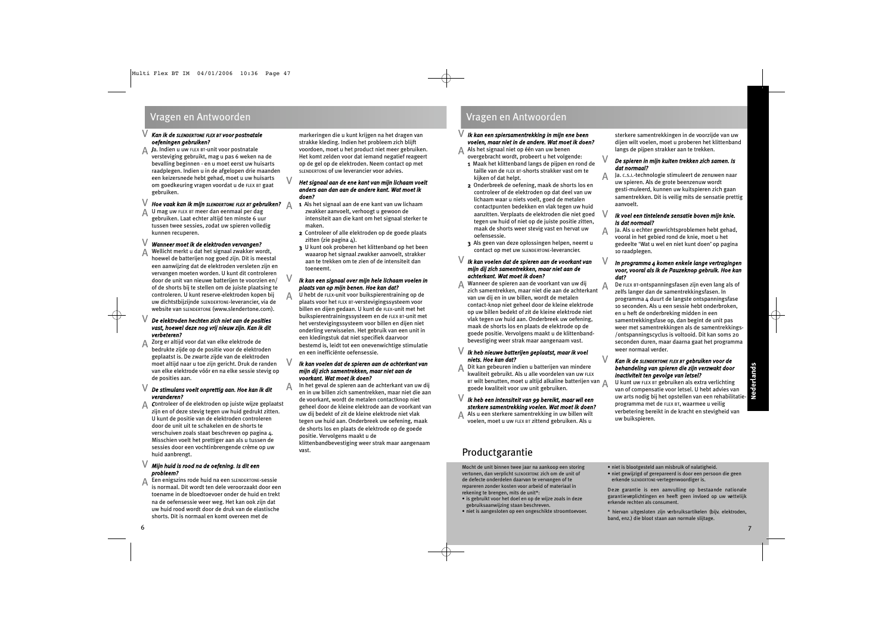### Vragen en Antwoorden Vragen en Antwoorden

### *Kan ik de SLENDERTONE FLEX BT voor postnatale oefeningen gebruiken?*  $\sqrt{}$

A *J*a. Indien u uw FLEX BT-unit voor postnatale<br>versteviging gebruikt, mag u pas 6 weken versteviging gebruikt, mag u pas 6 weken na de bevalling beginnen - en u moet eerst uw huisarts raadplegen. Indien u in de afgelopen drie maanden een keizersnede hebt gehad, moet u uw huisarts om goedkeuring vragen voordat u de FLEX BT gaat gebruiken.

### *Hoe vaak kan ik mijn SLENDERTONE FLEX BT gebruiken?* A V

U mag uw FLEX BT meer dan eenmaal per dag gebruiken. Laat echter altijd ten minste 6 uur tussen twee sessies, zodat uw spieren volledig kunnen recuperen. A

#### *Wanneer moet ik de elektroden vervangen?* V

Wellicht merkt u dat het signaal zwakker wordt, hoewel de batterijen nog goed zijn. Dit is meestal een aanwijzing dat de elektroden versleten zijn en vervangen moeten worden. U kunt dit controleren door de unit van nieuwe batterijen te voorzien en/ of de shorts bij te stellen om de juiste plaatsing te controleren. U kunt reserve-elektroden kopen bij uw dichtstbijzijnde SLENDERTONE-leverancier, via de website van SLENDERTONE (www.slendertone.com). A

### *De elektroden hechten zich niet aan de posities* V *vast, hoewel deze nog vrij nieuw zijn. Kan ik dit verbeteren?*

Zorg er altijd voor dat van elke elektrode de bedrukte zijde op de positie voor de elektroden geplaatst is. De zwarte zijde van de elektroden moet altijd naar u toe zijn gericht. Druk de randen van elke elektrode vóór en na elke sessie stevig op de posities aan. A

### *De stimulans voelt onprettig aan. Hoe kan ik dit* V *veranderen?*

*C*ontroleer of de elektroden op juiste wijze geplaatst zijn en of deze stevig tegen uw huid gedrukt zitten. U kunt de positie van de elektroden controleren door de unit uit te schakelen en de shorts te verschuiven zoals staat beschreven op pagina 4. Misschien voelt het prettiger aan als u tussen de sessies door een vochtinbrengende crème op uw huid aanbrengt. A

### *Mijn huid is rood na de oefening. Is dit een* V *probleem?*

Een enigszins rode huid na een SLENDERTONE-sessie is normaal. Dit wordt ten dele veroorzaakt door een toename in de bloedtoevoer onder de huid en trekt na de oefensessie weer weg. Het kan ook zijn dat uw huid rood wordt door de druk van de elastische shorts. Dit is normaal en komt overeen met de A

markeringen die u kunt krijgen na het dragen van strakke kleding. Indien het probleem zich blijft voordoen, moet u het product niet meer gebruiken. Het komt zelden voor dat iemand negatief reageert op de gel op de elektroden. Neem contact op met SLENDERTONE of uw leverancier voor advies.

### *Het signaal aan de ene kant van mijn lichaam voelt anders aan dan aan de andere kant. Wat moet ik doen?*

 $\vee$ 

V

V

A

- 1 Als het signaal aan de ene kant van uw lichaam zwakker aanvoelt, verhoogt u gewoon de intensiteit aan die kant om het signaal sterker te maken.
- 2 Controleer of alle elektroden op de goede plaats zitten (zie pagina  $\Delta$ ).
- 3 U kunt ook proberen het klittenband op het been waaarop het signaal zwakker aanvoelt, strakker aan te trekken om te zien of de intensiteit dan toeneemt.

### *Ik kan een signaal over mijn hele lichaam voelen in plaats van op mijn benen. Hoe kan dat?*

U hebt de FLEX-unit voor buikspierentraining op de plaats voor het FLEX BT-verstevigingssysteem voor billen en dijen gedaan. U kunt de FLEX-unit met het buikspierentrainingssysteem en de FLEX BT-unit met het verstevigingssysteem voor billen en dijen niet onderling verwisselen. Het gebruik van een unit in een kledingstuk dat niet specifiek daarvoor bestemd is, leidt tot een onevenwichtige stimulatie en een inefficiënte oefensessie. A

### *Ik kan voelen dat de spieren aan de achterkant van mijn dij zich samentrekken, maar niet aan de voorkant. Wat moet ik doen?*

In het geval de spieren aan de achterkant van uw dij en in uw billen zich samentrekken, maar niet die aan de voorkant, wordt de metalen contactknop niet geheel door de kleine elektrode aan de voorkant van uw dij bedekt of zit de kleine elektrode niet vlak tegen uw huid aan. Onderbreek uw oefening, maak de shorts los en plaats de elektrode op de goede positie. Vervolgens maakt u de klittenbandbevestiging weer strak maar aangenaam vast.

### *Ik kan een spiersamentrekking in mijn ene been* V *voelen, maar niet in de andere. Wat moet ik doen?*

- Als het signaal niet op één van uw benen overgebracht wordt, probeert u het volgende:  $\Delta$ 
	- 1 Maak het klittenband langs de pijpen en rond de taille van de FLEX BT-shorts strakker vast om te kijken of dat helpt.
	- 2 Onderbreek de oefening, maak de shorts los en controleer of de elektroden op dat deel van uw lichaam waar u niets voelt, goed de metalen contactpunten bedekken en vlak tegen uw huid aanzitten. Verplaats de elektroden die niet goed tegen uw huid of niet op de juiste positie zitten, maak de shorts weer stevig vast en hervat uw oefensessie.
	- 3 Als geen van deze oplossingen helpen, neemt u contact op met uw SLENDERTONE-leverancier.

### *Ik kan voelen dat de spieren aan de voorkant van mijn dij zich samentrekken, maar niet aan de achterkant. Wat moet ik doen?* V

Wanneer de spieren aan de voorkant van uw dij Wanneer de spieren aan de voorkant van uw dij<br>zich samentrekken, maar niet die aan de achterkant van uw dij en in uw billen, wordt de metalen contact-knop niet geheel door de kleine elektrode op uw billen bedekt of zit de kleine elektrode niet vlak tegen uw huid aan. Onderbreek uw oefening, maak de shorts los en plaats de elektrode op de goede positie. Vervolgens maakt u de klittenbandbevestiging weer strak maar aangenaam vast. A

### *Ik heb nieuwe batterijen geplaatst, maar ik voel* V *niets. Hoe kan dat?*

Dit kan gebeuren indien u batterijen van mindere kwaliteit gebruikt. Als u alle voordelen van uw FLEX BT wilt benutten, moet u altijd alkaline batterijen van A goede kwaliteit voor uw unit gebruiken. A

### *Ik heb een intensiteit van 99 bereikt, maar wil een* V *sterkere samentrekking voelen. Wat moet ik doen?*

A Als u een sterkere samentrekking in uw billen wilt voelen, moet u uw FLEX BT zittend gebruiken. Als u

## Productgarantie

Mocht de unit binnen twee jaar na aankoop een storing vertonen, dan verplicht SLENDERTONE zich om de unit of de defecte onderdelen daarvan te vervangen of te repareren zonder kosten voor arbeid of materiaal in rekening te brengen, mits de unit\*:

- is gebruikt voor het doel en op de wijze zoals in deze gebruiksaanwijzing staan beschreven.
- niet is aangesloten op een ongeschikte stroomtoevoer.

sterkere samentrekkingen in de voorzijde van uw dijen wilt voelen, moet u proberen het klittenband langs de pijpen strakker aan te trekken.

### *De spieren in mijn kuiten trekken zich samen. Is dat normaal?*

Ja. C.S.I.-technologie stimuleert de zenuwen naar uw spieren. Als de grote beenzenuw wordt gesti-muleerd, kunnen uw kuitspieren zich gaan samentrekken. Dit is veilig mits de sensatie prettig aanvoelt. A

### *Ik voel een tintelende sensatie boven mijn knie. Is dat normaal?*

V

V

 $\vee$ 

Ja. Als u echter gewrichtsproblemen hebt gehad, vooral in het gebied rond de knie, moet u het gedeelte 'Wat u wel en niet kunt doen' op pagina 10 raadplegen. A

#### *In programma 4 komen enkele lange vertragingen voor, vooral als ik de Pauzeknop gebruik. Hoe kan dat?* V

De FLEX BT-ontspanningsfasen zijn even lang als of zelfs langer dan de samentrekkingsfasen. In programma 4 duurt de langste ontspanningsfase 10 seconden. Als u een sessie hebt onderbroken, en u heft de onderbreking midden in een samentrekkingsfase op, dan begint de unit pas weer met samentrekkingen als de samentrekkings- /ontspanningscyclus is voltooid. Dit kan soms 20 seconden duren, maar daarna gaat het programma weer normaal verder.

### *Kan ik de SLENDERTONE FLEX BT gebruiken voor de behandeling van spieren die zijn verzwakt door inactiviteit ten gevolge van letsel?*

U kunt uw FLEX BT gebruiken als extra verlichting van of compensatie voor letsel. U hebt advies van uw arts nodig bij het opstellen van een rehabilitatieprogramma met de FLEX BT, waarmee u veilig verbetering bereikt in de kracht en stevigheid van uw buikspieren.

- niet is blootgesteld aan misbruik of nalatigheid.
- niet gewijzigd of gerepareerd is door een persoon die geen erkende SLENDERTONE-vertegenwoordiger is.

Deze garantie is een aanvulling op bestaande nationale garantieverplichtingen en heeft geen invloed op uw wettelijk erkende rechten als consument.

\* hiervan uitgesloten zijn verbruiksartikelen (bijv. elektroden, band, enz.) die bloot staan aan normale slijtage.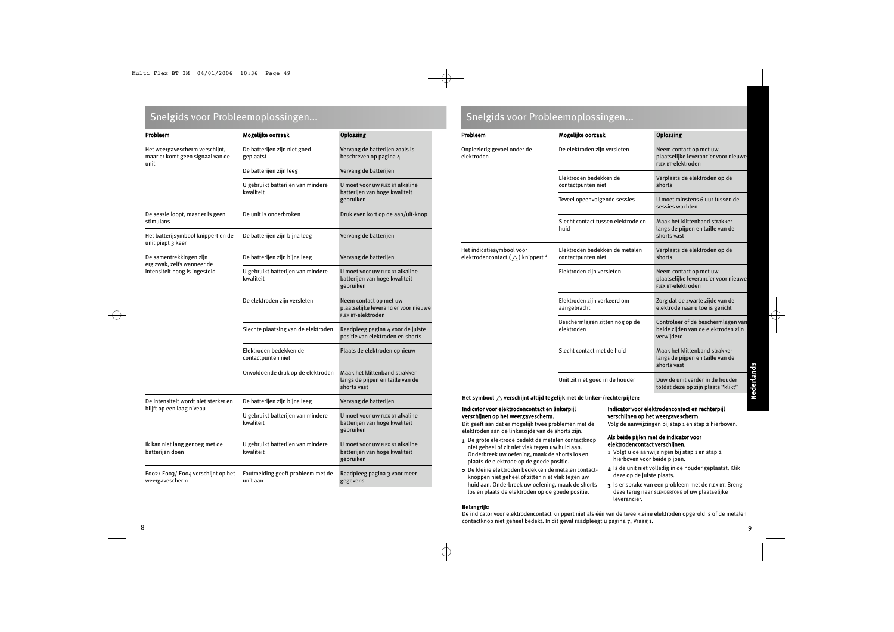## Snelgids voor Probleemoplossingen...

| Probleem                                                           | Mogelijke oorzaak                              | <b>Oplossing</b>                                                                     |
|--------------------------------------------------------------------|------------------------------------------------|--------------------------------------------------------------------------------------|
| Het weergavescherm verschijnt,<br>maar er komt geen signaal van de | De batterijen zijn niet goed<br>geplaatst      | Vervang de batterijen zoals is<br>beschreven op pagina 4                             |
| unit                                                               | De batterijen zijn leeg                        | Vervang de batterijen                                                                |
|                                                                    | U gebruikt batterijen van mindere<br>kwaliteit | U moet voor uw FLEX BT alkaline<br>batterijen van hoge kwaliteit<br>gebruiken        |
| De sessie loopt, maar er is geen<br>stimulans                      | De unit is onderbroken                         | Druk even kort op de aan/uit-knop                                                    |
| Het batterijsymbool knippert en de<br>unit piept 3 keer            | De batterijen zijn bijna leeg                  | Vervang de batterijen                                                                |
| De samentrekkingen zijn                                            | De batterijen zijn bijna leeg                  | Vervang de batterijen                                                                |
| erg zwak, zelfs wanneer de<br>intensiteit hoog is ingesteld        | U gebruikt batterijen van mindere<br>kwaliteit | U moet voor uw FLEX BT alkaline<br>batterijen van hoge kwaliteit<br>gebruiken        |
|                                                                    | De elektroden zijn versleten                   | Neem contact op met uw<br>plaatselijke leverancier voor nieuwe<br>FLEX BT-elektroden |
|                                                                    | Slechte plaatsing van de elektroden            | Raadpleeg pagina 4 voor de juiste<br>positie van elektroden en shorts                |
|                                                                    | Elektroden bedekken de<br>contactpunten niet   | Plaats de elektroden opnieuw                                                         |
|                                                                    | Onvoldoende druk op de elektroden              | Maak het klittenband strakker<br>langs de pijpen en taille van de<br>shorts vast     |
| De intensiteit wordt niet sterker en                               | De batterijen zijn bijna leeg                  | Vervang de batterijen                                                                |
| blijft op een laag niveau                                          | U gebruikt batterijen van mindere<br>kwaliteit | U moet voor uw FLEX BT alkaline<br>batterijen van hoge kwaliteit<br>gebruiken        |
| Ik kan niet lang genoeg met de<br>batterijen doen                  | U gebruikt batterijen van mindere<br>kwaliteit | U moet voor uw FLEX BT alkaline<br>batterijen van hoge kwaliteit<br>gebruiken        |
| Eoo2/Eoo3/Eoo4 verschijnt op het<br>weergavescherm                 | Foutmelding geeft probleem met de<br>unit aan  | Raadpleeg pagina 3 voor meer<br>gegevens                                             |

| Probleem                                                             | Mogelijke oorzaak                                    | <b>Oplossing</b>                                                                        |
|----------------------------------------------------------------------|------------------------------------------------------|-----------------------------------------------------------------------------------------|
| Onplezierig gevoel onder de<br>elektroden                            | De elektroden zijn versleten                         | Neem contact op met uw<br>plaatselijke leverancier voor nieuwe<br>FLEX BT-elektroden    |
|                                                                      | Elektroden bedekken de<br>contactpunten niet         | Verplaats de elektroden op de<br>shorts                                                 |
|                                                                      | Teveel opeenvolgende sessies                         | U moet minstens 6 uur tussen de<br>sessies wachten                                      |
|                                                                      | Slecht contact tussen elektrode en<br>huid           | Maak het klittenband strakker<br>langs de pijpen en taille van de<br>shorts vast        |
| Het indicatiesymbool voor<br>elektrodencontact $(\wedge)$ knippert * | Elektroden bedekken de metalen<br>contactpunten niet | Verplaats de elektroden op de<br>shorts                                                 |
|                                                                      | Elektroden zijn versleten                            | Neem contact op met uw<br>plaatselijke leverancier voor nieuwe<br>FLEX BT-elektroden    |
|                                                                      | Elektroden zijn verkeerd om<br>aangebracht           | Zorg dat de zwarte zijde van de<br>elektrode naar u toe is gericht                      |
|                                                                      | Beschermlagen zitten nog op de<br>elektroden         | Controleer of de beschermlagen van<br>beide zijden van de elektroden zijn<br>verwijderd |
|                                                                      | Slecht contact met de huid                           | Maak het klittenband strakker<br>langs de pijpen en taille van de<br>shorts vast        |
|                                                                      | Unit zit niet goed in de houder                      | Duw de unit verder in de houder<br>totdat deze op zijn plaats "klikt"                   |

Het symbool  $\triangle$  verschijnt altijd tegelijk met de linker-/rechterpijlen:

### Indicator voor elektrodencontact en linkerpijl verschijnen op het weergavescherm.

Dit geeft aan dat er mogelijk twee problemen met de elektroden aan de linkerzijde van de shorts zijn.

- 1 De grote elektrode bedekt de metalen contactknop niet geheel of zit niet vlak tegen uw huid aan. Onderbreek uw oefening, maak de shorts los en plaats de elektrode op de goede positie.
- 2 De kleine elektroden bedekken de metalen contactknoppen niet geheel of zitten niet vlak tegen uw huid aan. Onderbreek uw oefening, maak de shorts los en plaats de elektroden op de goede positie.

### Indicator voor elektrodencontact en rechterpijl verschijnen op het weergavescherm.

Volg de aanwijzingen bij stap 1 en stap 2 hierboven.

### Als beide pijlen met de indicator voor elektrodencontact verschijnen.

- 1 Volgt u de aanwijzingen bij stap 1 en stap 2 hierboven voor beide pijpen.
- 2 Is de unit niet volledig in de houder geplaatst. Klik deze op de juiste plaats.
- 3 Is er sprake van een probleem met de FLEX BT. Breng deze terug naar SLENDERTONE of uw plaatselijke leverancier.

Belangrijk:

De indicator voor elektrodencontact knippert niet als één van de twee kleine elektroden opgerold is of de metalen contactknop niet geheel bedekt. In dit geval raadpleegt u pagina 7, Vraag 1.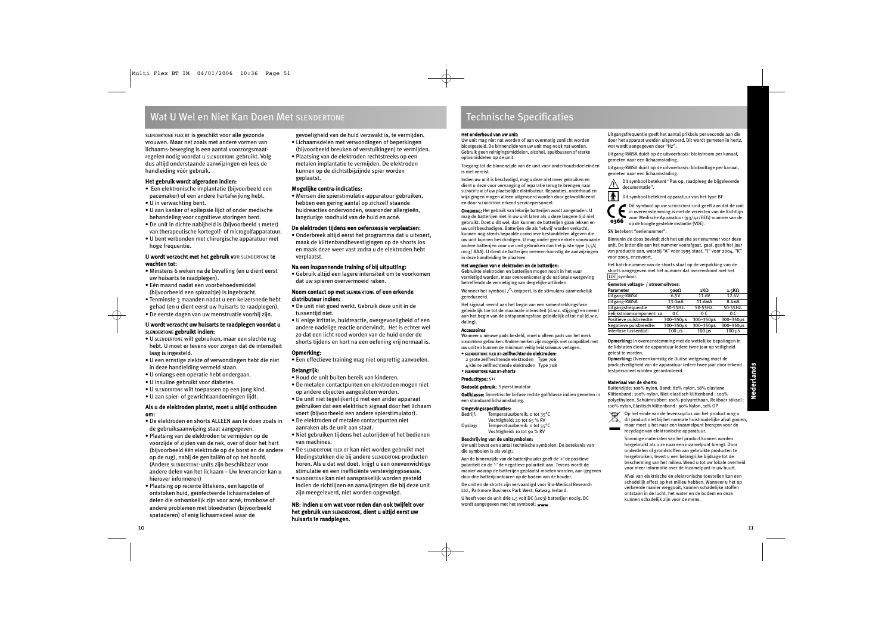## Wat U Wel en Niet Kan Doen Met SLENDERTONE

SLENDERTONE FLEX BT is geschikt voor alle gezonde vrouwen. Maar net zoals met andere vormen van lichaams-beweging is een aantal voorzorgsmaatregelen nodig voordat u SLENDERTONE gebruikt. Volg dus altijd onderstaande aanwijzingen en lees de handleiding vóór gebruik.

### Het gebruik wordt afgeraden indien:

- Een elektronische implantatie (bijvoorbeeld een pacemaker) of een andere hartafwijking hebt.
- U in verwachting bent.
- U aan kanker of epilepsie lijdt of onder medische behandeling voor cognitieve storingen bent.
- De unit in dichte nabijheid is (bijvoorbeeld 1 meter) van therapeutische kortegolf- of microgolfapparatuur.
- U bent verbonden met chirurgische apparatuur met hoge frequentie.

### U wordt verzocht met het gebruik van SLENDERTONE te wachten tot:

- Minstens 6 weken na de bevalling (en u dient eerst uw huisarts te raadplegen).
- Eén maand nadat een voorbehoedsmiddel (bijvoorbeeld een spiraaltje) is ingebracht.
- Tenminste 3 maanden nadat u een keizersnede hebt gehad (en u dient eerst uw huisarts te raadplegen).
- De eerste dagen van uw menstruatie voorbij zijn.

### U wordt verzocht uw huisarts te raadplegen voordat u SLENDERTONE gebruikt indien:

- U SLENDERTONE wilt gebruiken, maar een slechte rug hebt. U moet er tevens voor zorgen dat de intensiteit laag is ingesteld.
- U een ernstige ziekte of verwondingen hebt die niet in deze handleiding vermeld staan.
- U onlangs een operatie hebt ondergaan.
- U insuline gebruikt voor diabetes.
- U SLENDERTONE wilt toepassen op een jong kind.
- U aan spier- of gewrichtaandoeningen lijdt.

### Als u de elektroden plaatst, moet u altijd onthouden om:

- De elektroden en shorts ALLEEN aan te doen zoals in de gebruiksaanwijzing staat aangegeven.
- Plaatsing van de elektroden te vermijden op de voorzijde of zijden van de nek, over of door het hart (bijvoorbeeld één elektrode op de borst en de andere op de rug), nabij de genitaliën of op het hoofd. (Andere SLENDERTONE-units zijn beschikbaar voor andere delen van het lichaam – Uw leverancier kan u hierover informeren)
- Plaatsing op recente littekens, een kapotte of ontstoken huid, geïnfecteerde lichaamsdelen of delen die ontvankelijk zijn voor acné, trombose of andere problemen met bloedvaten (bijvoorbeeld spataderen) of enig lichaamsdeel waar de

gevoeligheid van de huid verzwakt is, te vermijden.

- Lichaamsdelen met verwondingen of beperkingen (bijvoorbeeld breuken of verstuikingen) te vermijden.
- Plaatsing van de elektroden rechtstreeks op een metalen implantatie te vermijden. De elektroden kunnen op de dichtstbijzijnde spier worden

### geplaatst.

### Mogelijke contra-indicaties:

• Mensen die spierstimulatie-apparatuur gebruiken, hebben een gering aantal op zichzelf staande huidreacties ondervonden, waaronder allergieën, langdurige roodhuid van de huid en acné.

### De elektroden tijdens een oefensessie verplaatsen:

• Onderbreek altijd eerst het programma dat u uitvoert, maak de klittenbandbevestigingen op de shorts los en maak deze weer vast zodra u de elektroden hebt verplaatst.

### Na een inspannende training of bij uitputting:

• Gebruik altijd een lagere intensiteit om te voorkomen dat uw spieren oververmoeid raken.

### Neem contact op met SLENDERTONE of een erkende distributeur indien:

- De unit niet goed werkt. Gebruik deze unit in de tussentijd niet.
- U enige irritatie, huidreactie, overgevoeligheid of een andere nadelige reactie ondervindt. Het is echter wel zo dat een licht rood worden van de huid onder de shorts tijdens en kort na een oefening vrij normaal is.

### Opmerking:

• Een effectieve training mag niet onprettig aanvoelen.

### Belangrijk:

- Houd de unit buiten bereik van kinderen.
- De metalen contactpunten en elektroden mogen niet op andere objecten aangesloten worden.
- De unit niet tegelijkertijd met een ander apparaat gebruiken dat een elektrisch signaal door het lichaam voert (bijvoorbeeld een andere spierstimulator).
- De elektroden of metalen contactpunten niet aanraken als de unit aan staat.
- Niet gebruiken tijdens het autorijden of het bedienen van machines.
- De SLENDERTONE FLEX BT kan niet worden gebruikt met kledingstukken die bij andere SLENDERTONE-producten horen. Als u dat wel doet, krijgt u een onevenwichtige stimulatie en een inefficiënte verstevigingssessie.
- SLENDERTONE kan niet aansprakelijk worden gesteld indien de richtlijnen en aanwijzingen die bij deze unit zijn meegeleverd, niet worden opgevolgd.

### NB: Indien u om wat voor reden dan ook twijfelt over het gebruik van SLENDERTONE, dient u altijd eerst uw huisarts te raadplegen.

## Technische Specificaties

### Het onderhoud van uw unit:

Uw unit mag niet nat worden of aan overmatig zonlicht worden blootgesteld. De binnenzijde van uw unit mag nooit nat worden. Gebruik geen reinigingsmiddelen, alcohol, spuitbussen of sterke oplosmiddelen op de unit.

Toegang tot de binnenzijde van de unit voor onderhoudsdoeleinden is niet vereist.

Indien uw unit is beschadigd, mag u deze niet meer gebruiken en dient u deze voor vervanging of reparatie terug te brengen naar SLEND ERTO NE of uw plaatselijke distributeur. Reparaties, onderhoud en wijzigingen mogen alleen uitgevoerd worden door gekwalificeerd en door SLENDERTONE erkend servicepersoneel.

OPMERKING: Het gebruik van lekvrije batterijen wordt aangeraden. U mag de batterijen niet in uw unit laten als u deze langere tijd niet gebruikt. Doet u dit wel, dan kunnen de batterijen gaan lekken en uw unit beschadigen. Batterijen die als 'lekvrij' worden verkocht. kunnen nog steeds bepaalde corrosieve bestanddelen afgeven die uw unit kunnen beschadigen. U mag onder geen enkele voorwaarde andere batterijen voor uw unit gebruiken dan het juiste type (1,5V, LR03/ AAA). U dient de batterijen overeen-komstig de aanwijzingen in deze handleiding te plaatsen.

### Het wegdoen van e elektroden en de batterijen:

Gebruikte elektroden en batterijen mogen nooit in het vuur vernietigd worden, maar overeenkomstig de nationale wetgeving betreffende de vernietiging van dergelijke artikelen

Wanneer het symbool  $\triangle$ knippert, is de stimulans aanmerkelijk gereduceerd.

Het signaal neemt aan het begin van een samentrekkingsfase geleidelijk toe tot de maximale intensiteit (d.w.z. stijging) en neemt aan het begin van de ontspanningsfase geleidelijk af tot nul (d.w.z. daling).

### Accessoires

Wanneer u nieuwe pads besteld, moet u alleen pads van het merk SLEND ERTONE gebruiken. Andere merken zijn mogelijk niet compatibel met uw unit en kunnen de minimum veiligheid sniveaus verlagen.

### • SLENDERTONE FLEX BT-zelfhechtende elektroden:

2 grote zelfhechtende elektroden Type 706 4 kleine zelfhechtende elektroden Type 708

• SLENDERTONE FLEX BT-shorts

### Producttype: 511

Bedoeld gebruik: Spierstimulator

Golfklasse: Symetrische bi-fase rechte golfklasse indien gemeten in een standaard lichaamslading.

### **Omgevingsspecificaties:**<br>Bedriif: Temperatuu

Temperatuurbereik: 0 tot 35°C Vochtigheid: 20 tot 65 % RV Opslag: Temperatuurbereik: 0 tot 55°C Vochtigheid: 10 tot 90 % RV

### **Beschrijving van de unitsymbolen:**

Uw unit bevat een aantal technische symbolen. De betekenis van die symbolen is als volgt:

Aan de binnenzijde van de batterijhouder geeft de '+'de positieve polariteit en de '-' de negatieve polariteit aan. Tevens wordt de manier waarop de batterijen geplaatst moeten worden, aan-gegeven door drie batterijcontouren op de bodem van de houder.

De unit en de shorts zijn vervaardigd voor Bio-Medical Research Ltd., Parkmore Business Park West, Galway, Ierland.

U heeft voor de unit drie 1,5 volt DC (LR03) batterijen nodig. DC wordt aangegeven met het symbool:

Uitgangsfrequentie geeft het aantal prikkels per seconde aan die door het apparaat worden uitgevoerd. Dit wordt gemeten in hertz, wat wordt aangegeven door "Hz".

Uitgang-RMSA duidt op de uitvoerbasis: blokstroom per kanaal, gemeten naar een lichaamslading.

Uitgang-RMSV duidt op de uitvoerbasis: blokvoltage per kanaal, gemeten naar een lichaamslading.

Dit symbool betekent "Pas op, raadpleeg de bijgeleverde documentatie". **!**

 $\vert \cdot \vert$ Dit symbool betekent apparatuur van het type BF.

Dit symbool op uw SLENDERTONE-unit geeft aan dat de unit in overeenstemming is met de vereisten van de Richtlijn voor Medische Apparatuur (93/42/EEG) nummer van de op de hoogte gestelde instantie (VDE). 0366

SN betekent "serienummer".

Binnenin de doos bevindt zich het unieke serienummer voor deze unit. De letter die aan het nummer voorafgaat, gaat, geeft het jaar van productie aan, waarbij "A" voor 1995 staat, "J" voor 2004, "K" voor 2005, enzovoort.

Het batch-nummer van de shorts staat op de verpakking van de shorts aangegeven met het nummer dat overeenkomt met het LOT symbool.

### **Gemeten voltage- / stroomuitvoer:**

| <b>Parameter</b>           | 500Ω                | 1KΩ                 | 1.5KΩ              |
|----------------------------|---------------------|---------------------|--------------------|
| Uitgang-RMSV               | 6.5V                | 11.6V               | 12.6V              |
| Uitgang-RMSA               | 13.0 <sub>M</sub> A | 11.6 <sub>M</sub> A | 8.4 <sub>M</sub> A |
| Uitgangsfrequentie         | 50-55Hz.            | 50-55Hz.            | 50-55Hz.           |
| Gelijkstroomcomponent: ca. | 0 C                 | 0 C                 | 0 C                |
| Positieve pulsbreedte:     | 300-350µs           | 300-350µs           | 300-350µs          |
| Negatieve pulsbreedte:     | 300-350µs           | 300-350µs           | 300-350µs          |
| Interfase tussentijd:      | $100 \mu s$         | $100 \mu s$         | $100 \mu s$        |

**Opmerking:** In overeenstemming met de wettelijke bepalingen in de lidstaten dient de apparatuur iedere twee jaar op veiligheid getest te worden.

**Opmerking:** Overeenkomstig de Duitse wetgeving moet de productveiligheid van de apparatuur iedere twee jaar door erkend testpersoneel worden gecontroleerd.

### Materiaal van de shorts:

Buitenzijde: 100% nylon, Band: 82% nylon, 18% elastane Klittenband: 100% nylon, Niet-elastisch klittenband : 100% polyethyleen, Schuimrubber: 100% polyurethaan, Rekbaar stiksel : 100% nylon, Elastisch klittenband : 90% Nylon, 10% OP



Sommige materialen van het product kunnen worden hergebruikt als u ze naar een inzamelpunt brengt. Door onderdelen of grondstoffen van gebruikte producten te hergebruiken, levert u een belangrijke bijdrage tot de bescherming van het milieu. Wend u tot uw lokale overheid voor meer informatie over de inzamelpunt in uw buurt.

Afval van elektrische en elektronische toestellen kan een schadelijk effect op het milieu hebben. Wanneer u het op verkeerde manier weggooit, kunnen schadelijke stoffen ontstaan in de lucht, het water en de bodem en deze kunnen schadelijk zijn voor de mens.

**Nederlands**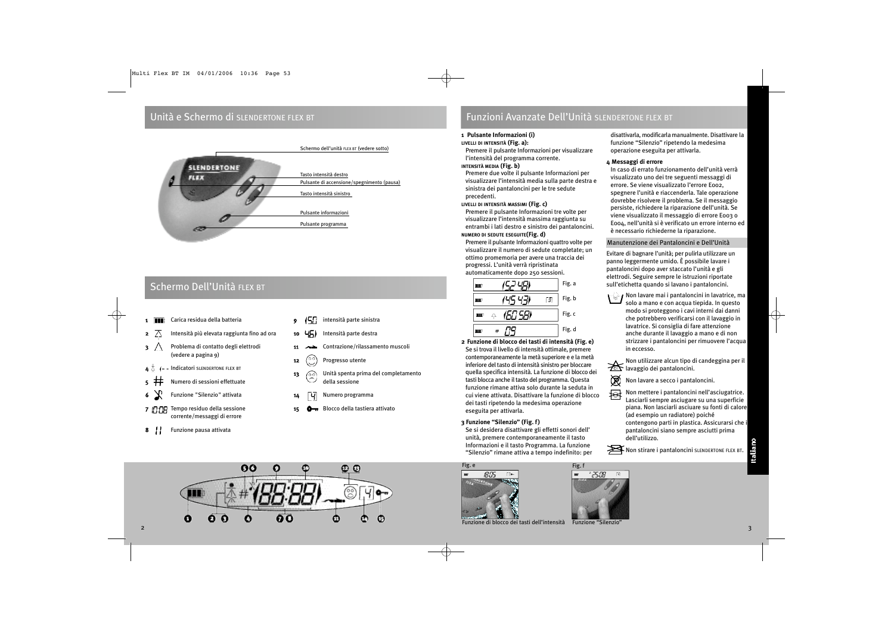### Unità e Schermo di SLENDERTONE FLEX BT



## Schermo Dell'Unità FLEX BT

- 1 **11 Carica residua della batteria**
- **2**  $\overline{\wedge}$  Intensità più elevata raggiunta fino ad ora
- $\mathbf{3} \quad \wedge \quad$  Problema di contatto degli elettrodi (vedere a pagina 9)
- $I -$ Indicatori SLENDERTONE FLEX BT
- 5 Numero di sessioni effettuate
- 6 Funzione "Silenzio" attivata
- 7 T:N Tempo residuo della sessione corrente/messaggi di errore
- 8 | Funzione pausa attivata
- $\overline{9}$   $\overline{17}$  intensità parte sinistra
- 10 45) Intensità parte destra
- 11 **Algebrarish** Contrazione/rilassamento muscoli
- **12**  $\binom{00}{0}$  Progresso utente
- 13 (o) Unità spenta prima del completamento della sessione
- 14 **4 4** Numero programma
- 15 **C**<sub>TR</sub> Blocco della tastiera attivato

## Funzioni Avanzate Dell'Unità SLENDERTONE FLEX BT

### **1 Pulsante Informazioni (i)**

### **LIVELLI DI INTENSITÀ (Fig. a):**

Premere il pulsante Informazioni per visualizzare l'intensità del programma corrente.

**INTENSITÀ MEDIA (Fig. b)**

Premere due volte il pulsante Informazioni per visualizzare l'intensità media sulla parte destra e sinistra dei pantaloncini per le tre sedute precedenti.

**LIVELLI DI INTENSITÀ MASSIMI (Fig. c)**

Premere il pulsante Informazioni tre volte per visualizzare l'intensità massima raggiunta su entrambi i lati destro e sinistro dei pantaloncini.

**NUMERO DI SEDUTE ESEGUITE(Fig. d)**

Premere il pulsante Informazioni quattro volte per visualizzare il numero di sedute completate; un ottimo promemoria per avere una traccia dei progressi. L'unità verrà ripristinata automaticamente dopo 250 sessioni.

|   | Fig. a |
|---|--------|
|   | Fig. b |
| Ω | Fig. c |
|   | Fig. d |

- **2 Funzione di blocco dei tasti di intensità (Fig. e)** Se si trova il livello di intensità ottimale, premere contemporaneamente la metà superiore e e la metà inferiore del tasto di intensità sinistro per bloccare quella specifica intensità. La funzione di blocco dei tasti blocca anche il tasto del programma. Questa funzione rimane attiva solo durante la seduta in cui viene attivata. Disattivare la funzione di blocco dei tasti ripetendo la medesima operazione eseguita per attivarla.
- **3 Funzione "Silenzio" (Fig. f)**

Se si desidera disattivare gli effetti sonori dell' unità, premere contemporaneamente il tasto Informazioni e il tasto Programma. La funzione "Silenzio" rimane attiva a tempo indefinito: per



Fig. f 25:08

Funzione di blocco dei tasti dell'intensità Funzione "Silenzio"



### **4 Messaggi di errore**

In caso di errato funzionamento dell'unità verrà visualizzato uno dei tre seguenti messaggi di errore. Se viene visualizzato l'errore E002, spegnere l'unità e riaccenderla. Tale operazione dovrebbe risolvere il problema. Se il messaggio persiste, richiedere la riparazione dell'unità. Se viene visualizzato il messaggio di errore E003 o E004, nell'unità si è verificato un errore interno ed è necessario richiederne la riparazione.

### Manutenzione dei Pantaloncini e Dell'Unità

Evitare di bagnare l'unità; per pulirla utilizzare un panno leggermente umido. È possibile lavare i pantaloncini dopo aver staccato l'unità e gli elettrodi. Seguire sempre le istruzioni riportate sull'etichetta quando si lavano i pantaloncini.

 $\mathcal{A}_\text{max}$ Non lavare mai i pantaloncini in lavatrice, ma solo a mano e con acqua tiepida. In questo modo si proteggono i cavi interni dai danni che potrebbero verificarsi con il lavaggio in lavatrice. Si consiglia di fare attenzione anche durante il lavaggio a mano e di non strizzare i pantaloncini per rimuovere l'acqua in eccesso.

Non utilizzare alcun tipo di candeggina per il **LA NON ULILLE DE REGISTERE** lavaggio dei pantaloncini.

Non lavare a secco i pantaloncini.

啓 Non mettere i pantaloncini nell'asciugatrice. Lasciarli sempre asciugare su una superficie piana. Non lasciarli asciuare su fonti di calore (ad esempio un radiatore) poiché contengono parti in plastica. Assicurarsi che i pantaloncini siano sempre asciutti prima dell'utilizzo.



Italiano

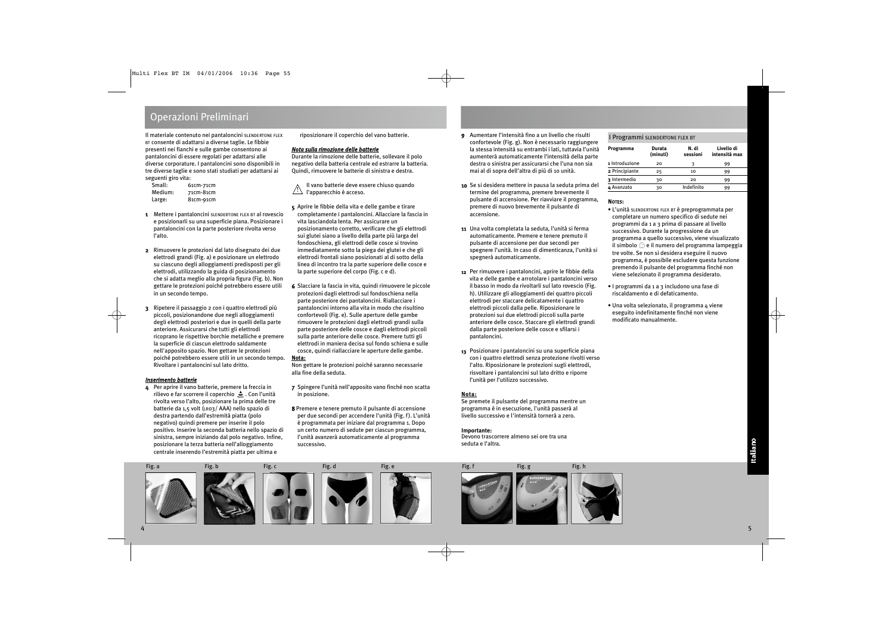### Operazioni Preliminari

Il materiale contenuto nei pantaloncini SLENDERTONE FLEX BT consente di adattarsi a diverse taglie. Le fibbie presenti nei fianchi e sulle gambe consentono ai pantaloncini di essere regolati per adattarsi alle diverse corporature. I pantaloncini sono disponibili in tre diverse taglie e sono stati studiati per adattarsi ai seguenti giro vita:

| Small:  | 61cm-71cm |
|---------|-----------|
| Medium: | 71cm-81cm |
| Large:  | 81cm-91cm |

- 1 Mettere i pantaloncini SLENDERTONE FLEX BT al rovescio e posizionarli su una superficie piana. Posizionare i pantaloncini con la parte posteriore rivolta verso l'alto.
- 2 Rimuovere le protezioni dal lato disegnato dei due elettrodi grandi (Fig. a) e posizionare un elettrodo su ciascuno degli alloggiamenti predisposti per gli elettrodi, utilizzando la guida di posizionamento che si adatta meglio alla propria figura (Fig. b). Non gettare le protezioni poiché potrebbero essere utili in un secondo tempo.
- 3 Ripetere il passaggio 2 con i quattro elettrodi più piccoli, posizionandone due negli alloggiamenti degli elettrodi posteriori e due in quelli della parte anteriore. Assicurarsi che tutti gli elettrodi ricoprano le rispettive borchie metalliche e premere la superficie di ciascun elettrodo saldamente nell'apposito spazio. Non gettare le protezioni poiché potrebbero essere utili in un secondo tempo. Rivoltare i pantaloncini sul lato dritto.

### *Inserimento batterie*

4 Per aprire il vano batterie, premere la freccia in rilievo e far scorrere il coperchio  $\triangle$ . Con l'unità rivolta verso l'alto, posizionare la prima delle tre batterie da 1,5 volt (LR03/ AAA) nello spazio di destra partendo dall'estremità piatta (polo negativo) quindi premere per inserire il polo positivo. Inserire la seconda batteria nello spazio di sinistra, sempre iniziando dal polo negativo. Infine, posizionare la terza batteria nell'alloggiamento centrale inserendo l'estremità piatta per ultima e

riposizionare il coperchio del vano batterie.

### *Nota sulla rimozione delle batterie*

Durante la rimozione delle batterie, sollevare il polo negativo della batteria centrale ed estrarre la batteria. Quindi, rimuovere le batterie di sinistra e destra.

Il vano batterie deve essere chiuso quando l'apparecchio è acceso. !

- 5 Aprire le fibbie della vita e delle gambe e tirare completamente i pantaloncini. Allacciare la fascia in vita lasciandola lenta. Per assicurare un posizionamento corretto, verificare che gli elettrodi sui glutei siano a livello della parte più larga del fondoschiena, gli elettrodi delle cosce si trovino immediatamente sotto la piega dei glutei e che gli elettrodi frontali siano posizionati al di sotto della linea di incontro tra la parte superiore delle cosce e la parte superiore del corpo (Fig. c e d).
- 6 Slacciare la fascia in vita, quindi rimuovere le piccole protezioni dagli elettrodi sul fondoschiena nella parte posteriore dei pantaloncini. Riallacciare i pantaloncini intorno alla vita in modo che risultino confortevoli (Fig. e). Sulle aperture delle gambe rimuovere le protezioni dagli elettrodi grandi sulla parte posteriore delle cosce e dagli elettrodi piccoli sulla parte anteriore delle cosce. Premere tutti gli elettrodi in maniera decisa sul fondo schiena e sulle cosce, quindi riallacciare le aperture delle gambe. **Nota:**

Non gettare le protezioni poiché saranno necessarie alla fine della seduta.

- 7 Spingere l'unità nell'apposito vano finché non scatta in posizione.
- 8 Premere e tenere premuto il pulsante di accensione per due secondi per accendere l'unità (Fig. f). L'unità è programmata per iniziare dal programma 1. Dopo un certo numero di sedute per ciascun programma, l'unità avanzerà automaticamente al programma successivo.
- 9 Aumentare l'intensità fino a un livello che risulti confortevole (Fig. g). Non è necessario raggiungere la stessa intensità su entrambi i lati, tuttavia l'unità aumenterà automaticamente l'intensità della parte destra o sinistra per assicurarsi che l'una non sia mai al di sopra dell'altra di più di 10 unità.
- 10 Se si desidera mettere in pausa la seduta prima del termine del programma, premere brevemente il pulsante di accensione. Per riavviare il programma, premere di nuovo brevemente il pulsante di accensione.
- 11 Una volta completata la seduta, l'unità si ferma automaticamente. Premere e tenere premuto il pulsante di accensione per due secondi per spegnere l'unità. In caso di dimenticanza, l'unità si spegnerà automaticamente.
- 12 Per rimuovere i pantaloncini, aprire le fibbie della vita e delle gambe e arrotolare i pantaloncini verso il basso in modo da rivoltarli sul lato rovescio (Fig. h). Utilizzare gli alloggiamenti dei quattro piccoli elettrodi per staccare delicatamente i quattro elettrodi piccoli dalla pelle. Riposizionare le protezioni sui due elettrodi piccoli sulla parte anteriore delle cosce. Staccare gli elettrodi grandi dalla parte posteriore delle cosce e sfilarsi i pantaloncini.
- 13 Posizionare i pantaloncini su una superficie piana con i quattro elettrodi senza protezione rivolti verso l'alto. Riposizionare le protezioni sugli elettrodi, risvoltare i pantaloncini sul lato dritto e riporre l'unità per l'utilizzo successivo.

### **Nota:**

Se premete il pulsante del programma mentre un programma è in esecuzione, l'unità passerà al livello successivo e l'intensità tornerà a zero.

### **Importante:**

Devono trascorrere almeno sei ore tra una seduta e l'altra.

### I Programmi SLENDERTONE FLEX BT

| Programma      | Durata<br>(minuti) | N. di<br>sessioni | Livello di<br>intensità max |
|----------------|--------------------|-------------------|-----------------------------|
| 1 Introduzione | 20                 |                   | 99                          |
| 2 Principiante | 25                 | 10                | 99                          |
| 3 Intermedio   | 30                 | 20                | 99                          |
| 4 Avanzato     | 30                 | Indefinito        | 99                          |

### NOTES:

- L'unità SLENDERTONE FLEX BT è preprogrammata per completare un numero specifico di sedute nei programmi da 1 a 3 prima di passare al livello successivo. Durante la progressione da un programma a quello successivo, viene visualizzato il simbolo  $\mathcal{O}_2$  e il numero del programma lampeggia tre volte. Se non si desidera eseguire il nuovo programma, è possibile escludere questa funzione premendo il pulsante del programma finché non viene selezionato il programma desiderato.
- I programmi da 1 a 3 includono una fase di riscaldamento e di defaticamento.
- Una volta selezionato, il programma 4 viene eseguito indefinitamente finché non viene modificato manualmente.





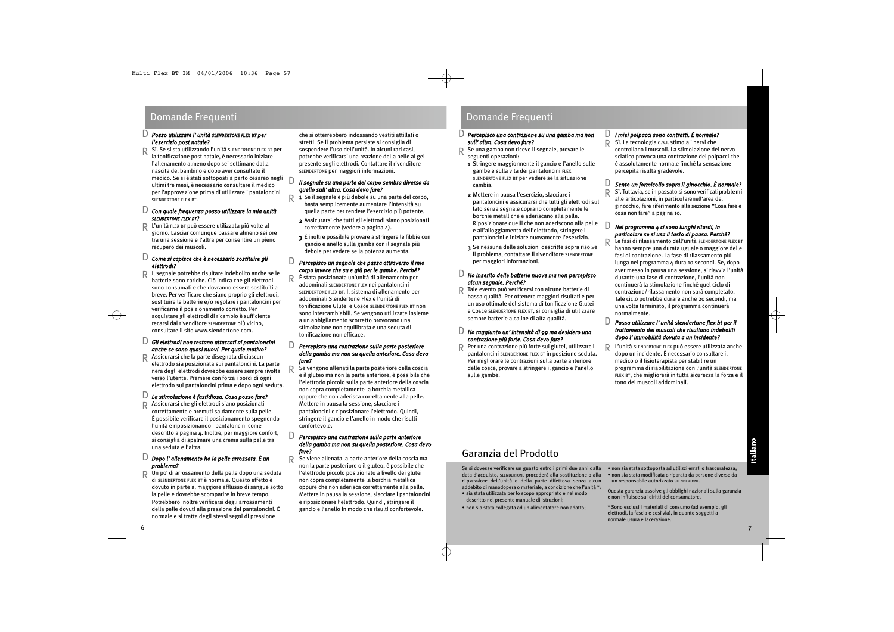#### *Posso utilizzare l'unità SLENDERTONE FLEX BT per l'esercizio post natale?* D

Sì. Se si sta utilizzando l'unità SLENDERTONE FLEX BT per la tonificazione post natale, è necessario iniziare l'allenamento almeno dopo sei settimane dalla nascita del bambino e dopo aver consultato il medico. Se si è stati sottoposti a parto cesareo negli ultimi tre mesi, è necessario consultare il medico per l'approvazione prima di utilizzare i pantaloncini SLENDERTONE FLEX BT. R

### *Con quale frequenza posso utilizzare la mia unità* D *SLENDERTONE FLEX BT?*

L'unità FLEX BT può essere utilizzata più volte al R giorno. Lasciar comunque passare almeno sei ore tra una sessione e l'altra per consentire un pieno recupero dei muscoli.

### *Come si capisce che è necessario sostituire gli* D *elettrodi?*

Il segnale potrebbe risultare indebolito anche se le R batterie sono cariche. Ciò indica che gli elettrodi sono consumati e che dovranno essere sostituiti a breve. Per verificare che siano proprio gli elettrodi, sostituire le batterie e/o regolare i pantaloncini per verificarne il posizionamento corretto. Per acquistare gli elettrodi di ricambio è sufficiente recarsi dal rivenditore SLENDERTONE più vicino, consultare il sito www.slendertone.com.

#### *Gli elettrodi non restano attaccati ai pantaloncini anche se sono quasi nuovi. Per quale motivo?* D

Assicurarsi che la parte disegnata di ciascun R elettrodo sia posizionata sui pantaloncini. La parte nera degli elettrodi dovrebbe essere sempre rivolta verso l'utente. Premere con forza i bordi di ogni elettrodo sui pantaloncini prima e dopo ogni seduta.

#### *La stimolazione è fastidiosa. Cosa posso fare?* D

Assicurarsi che gli elettrodi siano posizionati correttamente e premuti saldamente sulla pelle. È possibile verificare il posizionamento spegnendo l'unità e riposizionando i pantaloncini come descritto a pagina 4. Inoltre, per maggiore confort, si consiglia di spalmare una crema sulla pelle tra una seduta e l'altra. R

### *Dopo l'allenamento ho la pelle arrossata. È un* D *problema?*

R Un po' di arrossamento della pelle dopo una seduta<br>di suannentone sus et è normale. Questo effetto è di SLENDERTONE FLEX BT è normale. Questo effetto è dovuto in parte al maggiore afflusso di sangue sotto la pelle e dovrebbe scomparire in breve tempo. Potrebbero inoltre verificarsi degli arrossamenti della pelle dovuti alla pressione dei pantaloncini. È normale e si tratta degli stessi segni di pressione

che si otterrebbero indossando vestiti attillati o stretti. Se il problema persiste si consiglia di sospendere l'uso dell'unità. In alcuni rari casi, potrebbe verificarsi una reazione della pelle al gel presente sugli elettrodi. Contattare il rivenditore SLENDERTONE per maggiori informazioni.

#### *Il segnale su una parte del corpo sembra diverso da quello sull'altra. Cosa devo fare?* D

- 1 Se il segnale è più debole su una parte del corpo, basta semplicemente aumentare l'intensità su quella parte per rendere l'esercizio più potente. R
	- 2 Assicurarsi che tutti gli elettrodi siano posizionati correttamente (vedere a pagina 4).
	- 3 È inoltre possibile provare a stringere le fibbie con gancio e anello sulla gamba con il segnale più debole per vedere se la potenza aumenta.

### *Percepisco un segnale che passa attraverso il mio* D *corpo invece che su e giù per le gambe. Perché?*

È stata posizionata un'unità di allenamento per addominali SLENDERTONE FLEX nei pantaloncini SLENDERTONE FLEX BT. Il sistema di allenamento per addominali Slendertone Flex e l'unità di tonificazione Glutei e Cosce SLENDERTONE FLEX BT non sono intercambiabili. Se vengono utilizzate insieme a un abbigliamento scorretto provocano una stimolazione non equilibrata e una seduta di tonificazione non efficace. R

### *Percepisco una contrazione sulla parte posteriore della gamba ma non su quella anteriore. Cosa devo fare?* D

Se vengono allenati la parte posteriore della coscia e il gluteo ma non la parte anteriore, è possibile che l'elettrodo piccolo sulla parte anteriore della coscia non copra completamente la borchia metallica oppure che non aderisca correttamente alla pelle. Mettere in pausa la sessione, slacciare i pantaloncini e riposizionare l'elettrodo. Quindi, stringere il gancio e l'anello in modo che risulti confortevole. R

### *Percepisco una contrazione sulla parte anteriore della gamba ma non su quella posteriore. Cosa devo fare?* D

*fare?*<br>R Se viene allenata la parte anteriore della coscia ma<br>R se viene la parte posteriore e il gluto è possibile che non la parte posteriore o il gluteo, è possibile che l'elettrodo piccolo posizionato a livello dei glutei non copra completamente la borchia metallica oppure che non aderisca correttamente alla pelle. Mettere in pausa la sessione, slacciare i pantaloncini e riposizionare l'elettrodo. Quindi, stringere il gancio e l'anello in modo che risulti confortevole.

### Domande Frequenti **Domande Frequenti** Domande Frequenti

#### *Percepisco una contrazione su una gamba ma non sull'altra. Cosa devo fare?* D

- Se una gamba non riceve il segnale, provare le seguenti operazioni: R
- 1 Stringere maggiormente il gancio e l'anello sulle gambe e sulla vita dei pantaloncini FLEX SLENDERTONE FLEX BT per vedere se la situazione cambia.
- 2 Mettere in pausa l'esercizio, slacciare i pantaloncini e assicurarsi che tutti gli elettrodi sul lato senza segnale coprano completamente le borchie metalliche e aderiscano alla pelle. Riposizionare quelli che non aderiscono alla pelle e all'alloggiamento dell'elettrodo, stringere i pantaloncini e iniziare nuovamente l'esercizio.
- 3 Se nessuna delle soluzioni descritte sopra risolve il problema, contattare il rivenditore SLENDERTONE per maggiori informazioni.

### *Ho inserito delle batterie nuove ma non percepisco* D *alcun segnale. Perché?*

Tale evento può verificarsi con alcune batterie di bassa qualità. Per ottenere maggiori risultati e per un uso ottimale del sistema di tonificazione Glutei e Cosce SLENDERTONE FLEX BT, si consiglia di utilizzare sempre batterie alcaline di alta qualità. R

#### *Ho raggiunto un'intensità di 99 ma desidero una contrazione più forte. Cosa devo fare?* D

Per una contrazione più forte sui glutei, utilizzare i pantaloncini SLENDERTONE FLEX BT in posizione seduta. Per migliorare le contrazioni sulla parte anteriore delle cosce, provare a stringere il gancio e l'anello sulle gambe. R

#### *I miei polpacci sono contratti. È normale?* D

Sì. La tecnologia C.S.I. stimola i nervi che controllano i muscoli. La stimolazione del nervo sciatico provoca una contrazione dei polpacci che è assolutamente normale finché la sensazione percepita risulta gradevole. R

#### *Sento un formicolio sopra il ginocchio. È normale?* D

Sì. Tuttavia, se in passato si sono verificati problemi alle articolazioni, in particolarenell'area del ginocchio, fare riferimento alla sezione "Cosa fare e cosa non fare" a pagina 10. R

#### *Nel programma 4 ci sono lunghi ritardi, in particolare se si usa il tasto di pausa. Perché?*  $\Box$

R

Le fasi di rilassamento dell'unità SLENDERTONE FLEX BT hanno sempre una durata uguale o maggiore delle fasi di contrazione. La fase di rilassamento più lunga nel programma 4 dura 10 secondi. Se, dopo aver messo in pausa una sessione, si riavvia l'unità durante una fase di contrazione, l'unità non continuerà la stimolazione finché quel ciclo di contrazione/rilassamento non sarà completato. Tale ciclo potrebbe durare anche 20 secondi, ma una volta terminato, il programma continuerà normalmente.

### *Posso utilizzare l'unità slendertone flex bt per il trattamento dei muscoli che risultano indeboliti dopo l'immobilità dovuta a un incidente?* D

L'unità SLENDERTONE FLEX può essere utilizzata anche dopo un incidente. È necessario consultare il medico o il fisioterapista per stabilire un programma di riabilitazione con l'unità SLENDERTONE FLEX BT, che migliorerà in tutta sicurezza la forza e il tono dei muscoli addominali. R

Se si dovesse verificare un guasto entro i primi due anni dalla data d'acquisto, SLENDERTONE procederà alla sostituzione o alla riparazione dell'unità o della parte difettosa senza alcun addebito di manodopera o materiale, a condizione che l'unità \*:

- sia stata utilizzata per lo scopo appropriato e nel modo descritto nel presente manuale di istruzioni;
- non sia stata collegata ad un alimentatore non adatto;
- non sia stata sottoposta ad utilizzi errati o trascuratezza; • non sia stata modificata o riparata da persone diverse da un responsabile autorizzato SLENDERTONE.
- Questa garanzia assolve gli obblighi nazionali sulla garanzia e non influisce sui diritti del consumatore.
- \* Sono esclusi i materiali di consumo (ad esempio, gli elettrodi, la fascia e così via), in quanto soggetti a normale usura e lacerazione.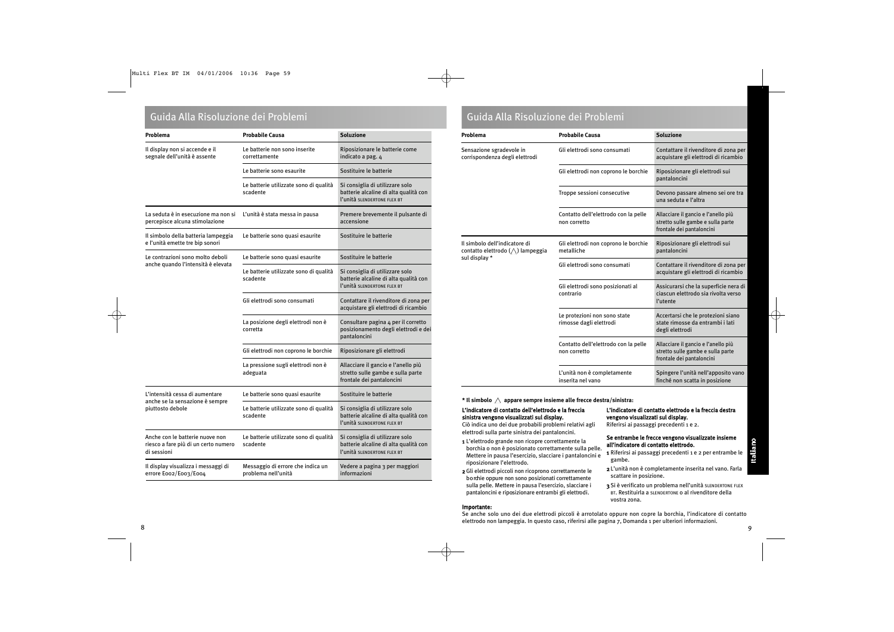### Guida Alla Risoluzione dei Problemi Guida Alla Risoluzione dei Problemi

| Problema                                                                               | <b>Probabile Causa</b>                                   | <b>Soluzione</b>                                                                                        |
|----------------------------------------------------------------------------------------|----------------------------------------------------------|---------------------------------------------------------------------------------------------------------|
| Il display non si accende e il<br>segnale dell'unità è assente                         | Le batterie non sono inserite<br>correttamente           | Riposizionare le batterie come<br>indicato a pag. 4                                                     |
|                                                                                        | Le batterie sono esaurite                                | Sostituire le batterie                                                                                  |
|                                                                                        | Le batterie utilizzate sono di qualità<br>scadente       | Si consiglia di utilizzare solo<br>batterie alcaline di alta qualità con<br>l'unità SLENDERTONE FLEX BT |
| La seduta è in esecuzione ma non si<br>percepisce alcuna stimolazione                  | L'unità è stata messa in pausa                           | Premere brevemente il pulsante di<br>accensione                                                         |
| Il simbolo della batteria lampeggia<br>e l'unità emette tre bip sonori                 | Le batterie sono quasi esaurite                          | Sostituire le batterie                                                                                  |
| Le contrazioni sono molto deboli                                                       | Le batterie sono quasi esaurite                          | Sostituire le batterie                                                                                  |
| anche quando l'intensità è elevata                                                     | Le batterie utilizzate sono di qualità<br>scadente       | Si consiglia di utilizzare solo<br>batterie alcaline di alta qualità con<br>l'unità SLENDERTONE FLEX BT |
|                                                                                        | Gli elettrodi sono consumati                             | Contattare il rivenditore di zona per<br>acquistare gli elettrodi di ricambio                           |
|                                                                                        | La posizione degli elettrodi non è<br>corretta           | Consultare pagina 4 per il corretto<br>posizionamento degli elettrodi e dei<br>pantaloncini             |
|                                                                                        | Gli elettrodi non coprono le borchie                     | Riposizionare gli elettrodi                                                                             |
|                                                                                        | La pressione sugli elettrodi non è<br>adeguata           | Allacciare il gancio e l'anello più<br>stretto sulle gambe e sulla parte<br>frontale dei pantaloncini   |
| L'intensità cessa di aumentare                                                         | Le batterie sono quasi esaurite                          | Sostituire le batterie                                                                                  |
| anche se la sensazione è sempre<br>piuttosto debole                                    | Le batterie utilizzate sono di qualità<br>scadente       | Si consiglia di utilizzare solo<br>batterie alcaline di alta qualità con<br>l'unità SLENDERTONE FLEX BT |
| Anche con le batterie nuove non<br>riesco a fare più di un certo numero<br>di sessioni | Le batterie utilizzate sono di qualità<br>scadente       | Si consiglia di utilizzare solo<br>batterie alcaline di alta qualità con<br>l'unità SLENDERTONE FLEX BT |
| Il display visualizza i messaggi di<br>errore Eoo2/Eoo3/Eoo4                           | Messaggio di errore che indica un<br>problema nell'unità | Vedere a pagina 3 per maggiori<br>informazioni                                                          |

| Problema                                                                           | <b>Probabile Causa</b>                                  | <b>Soluzione</b>                                                                                      |
|------------------------------------------------------------------------------------|---------------------------------------------------------|-------------------------------------------------------------------------------------------------------|
| Sensazione sgradevole in<br>corrispondenza degli elettrodi                         | Gli elettrodi sono consumati                            | Contattare il rivenditore di zona per<br>acquistare gli elettrodi di ricambio                         |
|                                                                                    | Gli elettrodi non coprono le borchie                    | Riposizionare gli elettrodi sui<br>pantaloncini                                                       |
|                                                                                    | Troppe sessioni consecutive                             | Devono passare almeno sei ore tra<br>una seduta e l'altra                                             |
|                                                                                    | Contatto dell'elettrodo con la pelle<br>non corretto    | Allacciare il gancio e l'anello più<br>stretto sulle gambe e sulla parte<br>frontale dei pantaloncini |
| Il simbolo dell'indicatore di<br>contatto elettrodo (△) lampeggia<br>sul display * | Gli elettrodi non coprono le borchie<br>metalliche      | Riposizionare gli elettrodi sui<br>pantaloncini                                                       |
|                                                                                    | Gli elettrodi sono consumati                            | Contattare il rivenditore di zona per<br>acquistare gli elettrodi di ricambio                         |
|                                                                                    | Gli elettrodi sono posizionati al<br>contrario          | Assicurarsi che la superficie nera di<br>ciascun elettrodo sia rivolta verso<br>l'utente              |
|                                                                                    | Le protezioni non sono state<br>rimosse dagli elettrodi | Accertarsi che le protezioni siano<br>state rimosse da entrambi i lati<br>degli elettrodi             |
|                                                                                    | Contatto dell'elettrodo con la pelle<br>non corretto    | Allacciare il gancio e l'anello più<br>stretto sulle gambe e sulla parte<br>frontale dei pantaloncini |
|                                                                                    | L'unità non è completamente<br>inserita nel vano        | Spingere l'unità nell'apposito vano<br>finché non scatta in posizione                                 |

### **\* Il simbolo appare sempre insieme alle frecce destra/sinistra:**

### L'indicatore di contatto dell'elettrodo e la freccia sinistra vengono visualizzati sul display.

Ciò indica uno dei due probabili problemi relativi agli elettrodi sulla parte sinistra dei pantaloncini.

- 1 L'elettrodo grande non ricopre correttamente la borchia o non è posizionato correttamente sulla pelle. Mettere in pausa l'esercizio, slacciare i pantaloncini e riposizionare l'elettrodo.
- 2Gli elettrodi piccoli non ricoprono correttamente le b o rchie oppure non sono posizionati correttamente sulla pelle. Mettere in pausa l'esercizio, slacciare i pantaloncini e riposizionare entrambi gli elettrodi.

### Importante:

### L'indicatore di contatto elettrodo e la freccia destra vengono visualizzati sul display.

Riferirsi ai passaggi precedenti 1 e 2.

### Se entrambe le frecce vengono visualizzate insieme all'indicatore di contatto elettrodo.

- 1 Riferirsi ai passaggi precedenti 1 e 2 per entrambe le gambe.
- 2 L'unità non è completamente inserita nel vano. Farla scattare in posizione.
- 3 Si è verificato un problema nell'unità SLENDERTONE FLEX BT. Restituirla a SLENDERTONE o al rivenditore della vostra zona.

Se anche solo uno dei due elettrodi piccoli è arrotolato oppure non copre la borchia, l'indicatore di contatto elettrodo non lampeggia. In questo caso, riferirsi alle pagina 7, Domanda 1 per ulteriori informazioni. 8 a viz Gregorian de la construction de la construction de la construction de la construction de la constructio<br>19 a viz Gregorian de la construction de la construction de la construction de la construction de la construct

Italiano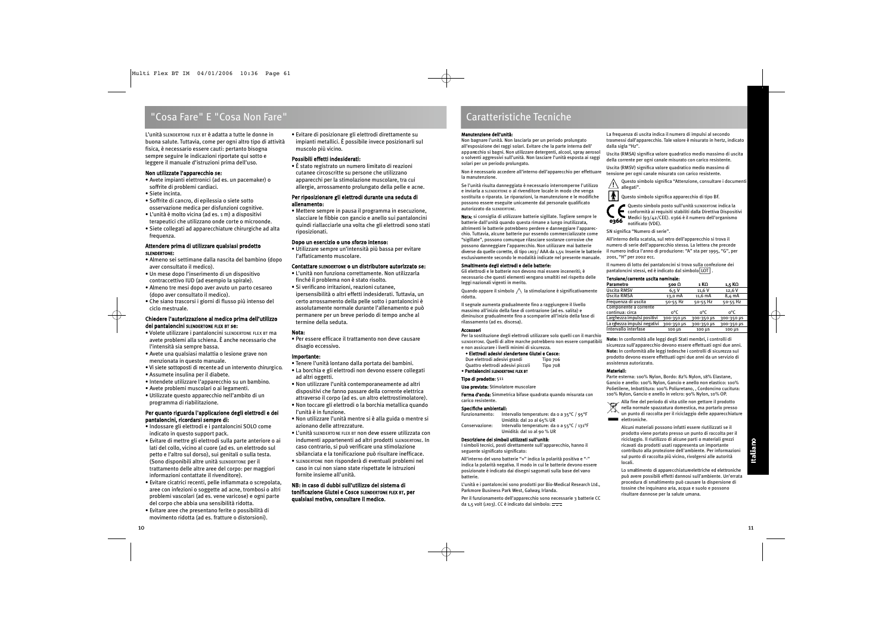### "Cosa Fare" E "Cosa Non Fare"

L'unità SLENDERTONE FLEX BT è adatta a tutte le donne in buona salute. Tuttavia, come per ogni altro tipo di attività fisica, è necessario essere cauti: pertanto bisogna sempre seguire le indicazioni riportate qui sotto e leggere il manuale d'istruzioni prima dell'uso.

### Non utilizzate l'apparecchio se:

- Avete impianti elettronici (ad es. un pacemaker) o soffrite di problemi cardiaci.
- Siete incinta.
- Soffrite di cancro, di epilessia o siete sotto osservazione medica per disfunzioni cognitive.
- L'unità è molto vicina (ad es. 1 m) a dispositivi terapeutici che utilizzano onde corte o microonde.
- Siete collegati ad apparecchiature chirurgiche ad alta frequenza.

### Attendere prima di utilizzare qualsiasi prodotto SLENDERTONE:

- Almeno sei settimane dalla nascita del bambino (dopo aver consultato il medico).
- Un mese dopo l'inserimento di un dispositivo contraccettivo IUD (ad esempio la spirale).
- Almeno tre mesi dopo aver avuto un parto cesareo (dopo aver consultato il medico).
- Che siano trascorsi i giorni di flusso più intenso del ciclo mestruale.

### Chiedere l'autorizzazione al medico prima dell'utilizzo dei pantaloncini SLENDERTONE FLEX BT se:

- Volete utilizzare i pantaloncini SLENDERTONE FLEX BT ma avete problemi alla schiena. È anche necessario che l'intensità sia sempre bassa.
- Avete una qualsiasi malattia o lesione grave non menzionata in questo manuale.
- Vi siete sottoposti di recente ad un intervento chirurgico.
- Assumete insulina per il diabete.
- Intendete utilizzare l'apparecchio su un bambino.
- Avete problemi muscolari o ai legamenti. • Utilizzate questo apparecchio nell'ambito di un programma di riabilitazione.

### Per quanto riguarda l'applicazione degli elettrodi e dei pantaloncini, ricordarsi sempre di:

- Indossare gli elettrodi e i pantaloncini SOLO come indicato in questo support pack.
- Evitare di mettre gli elettrodi sulla parte anteriore o ai lati del collo, vicino al cuore (ad es. un elettrodo sul petto e l'altro sul dorso), sui genitali o sulla testa. (Sono disponibili altre unità SLENDERTONE per il trattamento delle altre aree del corpo: per maggiori informazioni contattate il rivenditore).
- Evitare cicatrici recenti, pelle infiammata o screpolata, aree con infezioni o soggette ad acne, trombosi o altri problemi vascolari (ad es. vene varicose) e ogni parte del corpo che abbia una sensibilità ridotta.
- Evitare aree che presentano ferite o possibilità di movimento ridotta (ad es. fratture o distorsioni).

• Evitare di posizionare gli elettrodi direttamente su impianti metallici. È possibile invece posizionarli sul muscolo più vicino.

### Possibili effetti indesiderati:

• È stato registrato un numero limitato di reazioni cutanee circoscritte su persone che utilizzano apparecchi per la stimolazione muscolare, tra cui allergie, arrossamento prolungato della pelle e acne.

### Per riposizionare gli elettrodi durante una seduta di allenamento:

• Mettere sempre in pausa il programma in esecuzione, slacciare le fibbie con gancio e anello sui pantaloncini quindi riallacciarle una volta che gli elettrodi sono stati riposizionati.

### Dopo un esercizio o uno sforzo intenso:

• Utilizzare sempre un'intensità più bassa per evitare l'affaticamento muscolare.

### Contattare SLENDERTONE o un distributore autorizzato se:

- L'unità non funziona correttamente. Non utilizzarla finché il problema non è stato risolto.
- Si verificano irritazioni, reazioni cutanee, ipersensibilità o altri effetti indesiderati. Tuttavia, un certo arrossamento della pelle sotto i pantaloncini è assolutamente normale durante l'allenamento e può permanere per un breve periodo di tempo anche al termine della seduta.

### Nota:

• Per essere efficace il trattamento non deve causare disagio eccessivo.

### Importante:

- Tenere l'unità lontano dalla portata dei bambini.
- La borchia e gli elettrodi non devono essere collegati ad altri oggetti.
- Non utilizzare l'unità contemporaneamente ad altri dispositivi che fanno passare della corrente elettrica attraverso il corpo (ad es. un altro elettrostimolatore).
- Non toccare gli elettrodi o la borchia metallica quando l'unità è in funzione.
- Non utilizzare l'unità mentre si è alla guida o mentre si azionano delle attrezzature.
- L'unità SLENDERTONE FLEX BT non deve essere utilizzata con indumenti appartenenti ad altri prodotti SLENDERTONE. In caso contrario, si può verificare una stimolazione sbilanciata e la tonificazione può risultare inefficace.
- SLENDERTONE non risponderà di eventuali problemi nel caso in cui non siano state rispettate le istruzioni fornite insieme all'unità.

### NB: in caso di dubbi sull'utilizzo del sistema di tonificazione Glutei e Cosce SLENDERTONE FLEX BT, per qualsiasi motivo, consultare il medico.

### Caratteristiche Tecniche

### Manutenzione dell'unità:

Non bagnare l'unità. Non lasciarla per un periodo prolungato all'esposizione dei raggi solari. Evitare che la parte interna dell' apparecchio si bagni. Non utilizzare detergenti, alcool, spray aerosol o solventi aggressivi sull'unità. Non lasciare l'unità esposta ai raggi solari per un periodo prolungato.

Non è necessario accedere all'interno dell'apparecchio per effettuare la manutenzione.

Se l'unità risulta danneggiata è necessario interromperne l'utilizzo e inviarla a SLENDERTONE o al rivenditore locale in modo che venga sostituita o riparata. Le riparazioni, la manutenzione e le modifiche possono essere eseguite unicamente dal personale qualificato autorizzato da SLENDERTONE.

NOTA: si consiglia di utilizzare batterie sigillate. Togliere sempre le batterie dall'unità quando questa rimane a lungo inutilizzata, altrimenti le batterie potrebbero perdere e danneggiare l'apparecchio. Tuttavia, alcune batterie pur essendo commercializzate come "sigillate", possono comunque rilasciare sostanze corrosive che possono danneggiare l'apparecchio. Non utilizzare mai batterie diverse da quelle corrette, di tipo LR03/ AAA da 1,5v. Inserire le batterie esclusivamente secondo le modalità indicate nel presente manuale.

### Smaltimento degli elettrodi e delle batterie:

Gli elettrodi e le batterie non devono mai essere inceneriti; è necessario che questi elementi vengano smaltiti nel rispetto delle leggi nazionali vigenti in merito.

Quando appare il simbolo  $\triangle$  la stimolazione è significativamente ridotta.

Il segnale aumenta gradualmente fino a raggiungere il livello massimo all'inizio della fase di contrazione (ad es. salita) e diminuisce gradualmente fino a scomparire all'inizio della fase di rilassamento (ad es. discesa).

### Accessori

Per la sostituzione degli elettrodi utilizzare solo quelli con il marchio SLENDERTONE. Quelli di altre marche potrebbero non essere compatibili e non assicurare i livelli minimi di sicurezza.

### • Elettrodi adesivi slendertone Glutei e Cosce:

Due elettrodi adesivi grandi Tipo 706 Quattro elettrodi adesivi piccoli Tipo 708

• Pantaloncini SLENDERTONE FLEX BT

### Tipo di prodotto: 511

Uso previsto: Stimolatore muscolare

Forma d'onda: Simmetrica bifase quadrata quando misurata con carico resistente.

### Specifiche ambientali:

- Funzionamento: Intervallo temperature: da 0 a 35°C / 95°F Umidità: dal 20 al 65% UR Conservazione: Intervallo temperature: da 0 a 55°C / 131°F
- Umidità: dal 10 al 90 % UR

### Descrizione dei simboli utilizzati sull'unità:

I simboli tecnici, posti direttamente sull'apparecchio, hanno il seguente significato significato:

All'interno del vano batterie "+" indica la polarità positiva e "-" indica la polarità negativa. Il modo in cui le batterie devono essere posizionate è indicato dai disegni sagomati sulla base del vano batterie.

L'unità e i pantaloncini sono prodotti por Bio-Medical Research Ltd., Parkmore Business Park West, Galway, Irlanda.

Per il funzionamento dell'apparecchio sono necessarie 3 batterie CC da 1,5 volt (LR03). CC è indicato dal simbolo:

La frequenza di uscita indica il numero di impulsi al secondo trasmessi dall'apparecchio. Tale valore è misurato in hertz, indicato dalla sigla "Hz".

Uscita (RMSA) significa valore quadratico medio massimo di uscita della corrente per ogni canale misurato con carico resistente.

Uscita (RMSV) significa valore quadratico medio massimo di tensione per ogni canale misurato con carico resistente.

Questo simbolo significa "Attenzione, consultare i documenti allegati". **!**

M Questo simbolo significa apparecchio di tipo BF.

Questo simbolo posto sull'unità SLENDERTONE indica la conformità ai requisiti stabiliti dalla Direttiva Dispositivi Medici (93/42/CEE). 0366 è il numero dell'organismo notificato (VDE). 0366

SN significa "Numero di serie".

All'interno della scatola, sul retro dell'apparecchio si trova il numero di serie dell'apparecchio stesso. La lettera che precede il numero indica l'anno di produzione: "A" sta per 1995, "G", per 2001, "H" per 2002 ecc.

Il numero di lotto dei pantaloncini si trova sulla confezione dei pantaloncini stessi, ed è indicato dal simbolo LOT .

### Tensione/corrente uscita nominale:

| rensione, corrente ascita nominate: |            |            |             |  |
|-------------------------------------|------------|------------|-------------|--|
| <b>Parametro</b>                    | 500Ω       | 1 KΩ       | 1,5 KΩ      |  |
| <b>Uscita RMSV</b>                  | 6,5V       | 11,6 V     | 12,6 V      |  |
| <b>Uscita RMSA</b>                  | 13,0 mA    | 11,6 mA    | 8,4 mA      |  |
| Frequenza di uscita                 | 50-55 Hz   | 50-55 Hz   | 50-55 Hz    |  |
| Componente a corrente               |            |            |             |  |
| continua: circa                     | 0°C        | 0°C        | 0°C         |  |
| Larghezza impulsi positivi          | 300-350 µS | 300-350 µS | 300-350 µS  |  |
| La rghezza impulsi negativi         | 300-350 µs | 300-350 µS | 300-350 µS  |  |
| Intervallo interfase                | 100 µS     | 100 µS     | $100 \mu s$ |  |

**Note:** In conformità alle leggi degli Stati membri, i controlli di sicurezza sull'apparecchio devono essere effettuati ogni due anni. **Note:** In conformità alle leggi tedesche i controlli di sicurezza sul prodotto devono essere effettuati ogni due anni da un servizio di assistenza autorizzato.

### Materiali:

Parte esterna: 100% Nylon, Bordo: 82% Nylon, 18% Elastane, Gancio e anello: 100% Nylon, Gancio e anello non elastico: 100% Polietilene, Imbottitura: 100% Poliuretano, , Cordoncino cucitura: 100% Nylon, Gancio e anello in velcro: 90% Nylon, 10% OP.

Alla fine del periodo di vita utile non gettare il prodotto nella normale spazzatura domestica, ma portarlo presso un punto di raccolta per il riciclaggio delle apparecchiature elettroniche.

Alcuni materiali possono infatti essere riutilizzati se il prodotto viene portato presso un punto di raccolta per il riciclaggio. Il riutilizzo di alcune parti o materiali grezzi ricavati da prodotti usati rappresenta un importante contributo alla protezione dell'ambiente. Per informazioni sul punto di raccolta più vicino, rivolgersi alle autorità locali.

Lo smaltimento di apparecchiature elettriche ed elettroniche può avere possibili effetti dannosi sull'ambiente. Un'errata procedura di smaltimento può causare la dispersione di tossine che inquinano aria, acqua e suolo e possono risultare dannose per la salute umana.

Italiano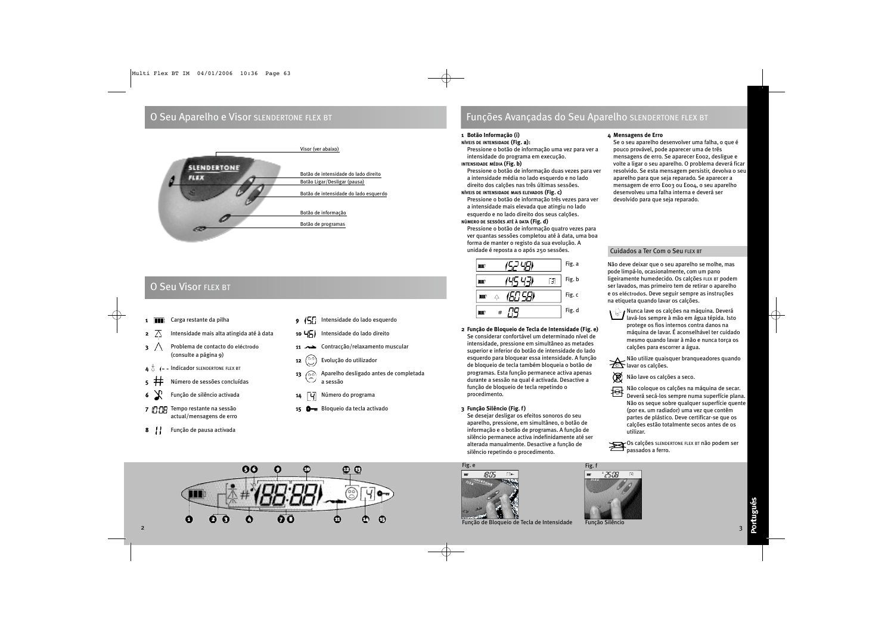### O Seu Aparelho e Visor SLENDERTONE FLEX BT



## O Seu Visor FLEX BT

- 1 **1 Carga restante da pilha**
- **2**  $\overline{\wedge}$  Intensidade mais alta atingida até à data
- 3 A Problema de contacto do eléctrodo (consulte a página 9)
- $I$  Indicador SLENDERTONE FLEX BT
- 5 Número de sessões concluídas
- 6 Função de silêncio activada
- 7 T:TR Tempo restante na sessão actual/mensagens de erro
- 8 | Função de pausa activada
- 9 (5) Intensidade do lado esquerdo
- 10  $\sqrt{5}$  Intensidade do lado direito
- 11 Contracção/relaxamento muscular
- 12  $\binom{00}{0}$  Evolução do utilizador
- 13 Aparelho desligado antes de completada a sessão
- 14 **4 4** Número do programa
- 15 Bloqueio da tecla activado

## Funções Avançadas do Seu Aparelho SLENDERTONE FLEX BT

### **1 Botão Informação (i)**

### **NÍVEIS DE INTENSIDADE (Fig. a):**

Pressione o botão de informação uma vez para ver a intensidade do programa em execução.

### **INTENSIDADE MÉDIA (Fig. b)**

Pressione o botão de informação duas vezes para ver a intensidade média no lado esquerdo e no lado direito dos calções nas três últimas sessões.

### **NÍVEIS DE INTENSIDADE MAIS ELEVADOS (Fig. c)**

Pressione o botão de informação três vezes para ver a intensidade mais elevada que atingiu no lado esquerdo e no lado direito dos seus calções.

### **NÚMERO DE SESSÕES ATÉ À DATA (Fig. d)**

Pressione o botão de informação quatro vezes para ver quantas sessões completou até à data, uma boa forma de manter o registo da sua evolução. A unidade é reposta a 0 após 250 sessões.

|   |   | Fig. a |
|---|---|--------|
|   |   | Fig.b  |
| ш | Δ | Fig. c |
|   |   | Fig. d |

**2 Função de Bloqueio de Tecla de Intensidade (Fig. e)** Se considerar confortável um determinado nível de intensidade, pressione em simultâneo as metades superior e inferior do botão de intensidade do lado esquerdo para bloquear essa intensidade. A função de bloqueio de tecla também bloqueia o botão de programas. Esta função permanece activa apenas durante a sessão na qual é activada. Desactive a função de bloqueio de tecla repetindo o procedimento.

### **3 Função Silêncio (Fig. f)**

Se desejar desligar os efeitos sonoros do seu aparelho, pressione, em simultâneo, o botão de informação e o botão de programas. A função de silêncio permanece activa indefinidamente até ser alterada manualmente. Desactive a função de silêncio repetindo o procedimento.



Função de Bloqueio de Tecla de Intensidade

### **4 Mensagens de Erro**

Se o seu aparelho desenvolver uma falha, o que é pouco provável, pode aparecer uma de três mensagens de erro. Se aparecer E002, desligue e volte a ligar o seu aparelho. O problema deverá ficar resolvido. Se esta mensagem persistir, devolva o seu aparelho para que seja reparado. Se aparecer a mensagem de erro E003 ou E004, o seu aparelho desenvolveu uma falha interna e deverá ser devolvido para que seja reparado.

### Cuidados a Ter Com o Seu FLEX BT

Não deve deixar que o seu aparelho se molhe, mas pode limpá-lo, ocasionalmente, com um pano ligeiramente humedecido. Os calções FLEX BT podem ser lavados, mas primeiro tem de retirar o aparelho e os eléctrodos. Deve seguir sempre as instruções na etiqueta quando lavar os calções.

Nunca lave os calções na máquina. Deverá lavá-los sempre à mão em água tépida. Isto protege os fios internos contra danos na máquina de lavar. É aconselhável ter cuidado mesmo quando lavar à mão e nunca torça os calções para escorrer a água.

Não utilize quaisquer branqueadores quando lavar os calções.



Não coloque os calções na máquina de secar. Deverá secá-los sempre numa superfície plana. Não os seque sobre qualquer superfície quente (por ex. um radiador) uma vez que contêm partes de plástico. Deve certificar-se que os calções estão totalmente secos antes de os utilizar.

Os calções SLENDERTONE FLEX BT não podem ser passados a ferro.



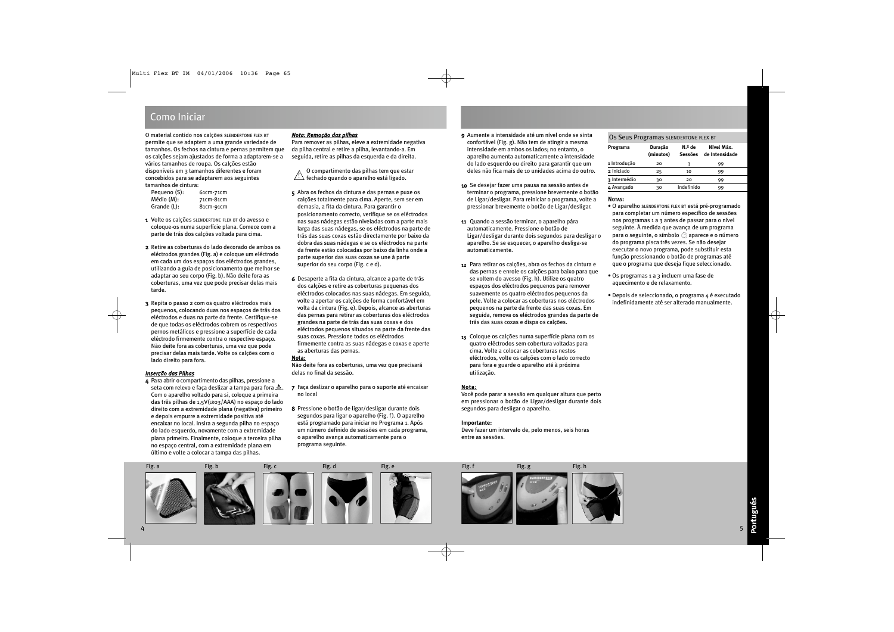### Como Iniciar

O material contido nos calções SLENDERTONE FLEX BT permite que se adaptem a uma grande variedade de tamanhos. Os fechos na cintura e pernas permitem que os calções sejam ajustados de forma a adaptarem-se a vários tamanhos de roupa. Os calções estão disponíveis em 3 tamanhos diferentes e foram concebidos para se adaptarem aos seguintes tamanhos de cintura:

| Pequeno (S): | 61cm-71cm |
|--------------|-----------|
| Médio (M):   | 71cm-81cm |
| Grande (L):  | 81cm-91cm |

- 1 Volte os calções SLENDERTONE FLEX BT do avesso e coloque-os numa superfície plana. Comece com a parte de trás dos calções voltada para cima.
- 2 Retire as coberturas do lado decorado de ambos os eléctrodos grandes (Fig. a) e coloque um eléctrodo em cada um dos espaços dos eléctrodos grandes, utilizando a guia de posicionamento que melhor se adaptar ao seu corpo (Fig. b). Não deite fora as coberturas, uma vez que pode precisar delas mais tarde.
- 3 Repita o passo 2 com os quatro eléctrodos mais pequenos, colocando duas nos espaços de trás dos eléctrodos e duas na parte da frente. Certifique-se de que todas os eléctrodos cobrem os respectivos pernos metálicos e pressione a superfície de cada eléctrodo firmemente contra o respectivo espaço. Não deite fora as coberturas, uma vez que pode precisar delas mais tarde. Volte os calções com o lado direito para fora.

### *Inserção das Pilhas*

4 Para abrir o compartimento das pilhas, pressione a seta com relevo e faça deslizar a tampa para fora  $\triangle$ . Com o aparelho voltado para si, coloque a primeira das três pilhas de 1,5V(LR03/AAA) no espaço do lado direito com a extremidade plana (negativa) primeiro e depois empurre a extremidade positiva até encaixar no local. Insira a segunda pilha no espaço do lado esquerdo, novamente com a extremidade plana primeiro. Finalmente, coloque a terceira pilha no espaço central, com a extremidade plana em último e volte a colocar a tampa das pilhas.

### *Nota: Remoção das pilhas*

Para remover as pilhas, eleve a extremidade negativa da pilha central e retire a pilha, levantando-a. Em seguida, retire as pilhas da esquerda e da direita.

O compartimento das pilhas tem que estar  $\frac{1}{2}$  fechado quando o aparelho está ligado.

- 5 Abra os fechos da cintura e das pernas e puxe os calções totalmente para cima. Aperte, sem ser em demasia, a fita da cintura. Para garantir o posicionamento correcto, verifique se os eléctrodos nas suas nádegas estão niveladas com a parte mais larga das suas nádegas, se os eléctrodos na parte de trás das suas coxas estão directamente por baixo da dobra das suas nádegas e se os eléctrodos na parte da frente estão colocadas por baixo da linha onde a parte superior das suas coxas se une à parte superior do seu corpo (Fig. c e d).
- 6 Desaperte a fita da cintura, alcance a parte de trás dos calções e retire as coberturas pequenas dos eléctrodos colocados nas suas nádegas. Em seguida, volte a apertar os calções de forma confortável em volta da cintura (Fig. e). Depois, alcance as aberturas das pernas para retirar as coberturas dos eléctrodos grandes na parte de trás das suas coxas e dos eléctrodos pequenos situados na parte da frente das suas coxas. Pressione todos os eléctrodos firmemente contra as suas nádegas e coxas e aperte as aberturas das pernas.

### **Nota:**

Não deite fora as coberturas, uma vez que precisará delas no final da sessão.

- 7 Faça deslizar o aparelho para o suporte até encaixar no local
- 8 Pressione o botão de ligar/desligar durante dois segundos para ligar o aparelho (Fig. f). O aparelho está programado para iniciar no Programa 1. Após um número definido de sessões em cada programa, o aparelho avança automaticamente para o programa seguinte.
- 9 Aumente a intensidade até um nível onde se sinta confortável (Fig. g). Não tem de atingir a mesma intensidade em ambos os lados; no entanto, o aparelho aumenta automaticamente a intensidade do lado esquerdo ou direito para garantir que um deles não fica mais de 10 unidades acima do outro.
- 10 Se desejar fazer uma pausa na sessão antes de terminar o programa, pressione brevemente o botão de Ligar/desligar. Para reiniciar o programa, volte a pressionar brevemente o botão de Ligar/desligar.
- 11 Quando a sessão terminar, o aparelho pára automaticamente. Pressione o botão de Ligar/desligar durante dois segundos para desligar o aparelho. Se se esquecer, o aparelho desliga-se automaticamente.
- 12 Para retirar os calções, abra os fechos da cintura e das pernas e enrole os calções para baixo para que se voltem do avesso (Fig. h). Utilize os quatro espaços dos eléctrodos pequenos para remover suavemente os quatro eléctrodos pequenos da pele. Volte a colocar as coberturas nos eléctrodos pequenos na parte da frente das suas coxas. Em seguida, remova os eléctrodos grandes da parte de trás das suas coxas e dispa os calções.
- 13 Coloque os calções numa superfície plana com os quatro eléctrodos sem cobertura voltadas para cima. Volte a colocar as coberturas nestos eléctrodos, volte os calções com o lado correcto para fora e guarde o aparelho até à próxima utilização.

### **Nota:**

Você pode parar a sessão em qualquer altura que perto em pressionar o botão de Ligar/desligar durante dois segundos para desligar o aparelho.

### **Importante:**

Deve fazer um intervalo de, pelo menos, seis horas entre as sessões.

### Os Seus Programas SLENDERTONE FLEX BT

| Programa     | Duração<br>(minutos) | N.º de<br>Sessões | Nível Máx.<br>de Intensidade |
|--------------|----------------------|-------------------|------------------------------|
| 1 Introdução | 20                   | ٦                 | 99                           |
| 2 Iniciado   | 25                   | 10                | 99                           |
| 3 Intermédio | 30                   | 20                | 99                           |
| 4 Avancado   | 30                   | Indefinido        | 99                           |

### NOTAS:

- O aparelho SLENDERTONE FLEX BT está pré-programado para completar um número específico de sessões nos programas 1 a 3 antes de passar para o nível seguinte. À medida que avança de um programa para o seguinte, o símbolo  $\circledcirc$  aparece e o número do programa pisca três vezes. Se não desejar executar o novo programa, pode substituir esta função pressionando o botão de programas até que o programa que deseja fique seleccionado.
- Os programas 1 a 3 incluem uma fase de aquecimento e de relaxamento.
- Depois de seleccionado, o programa 4 é executado indefinidamente até ser alterado manualmente.

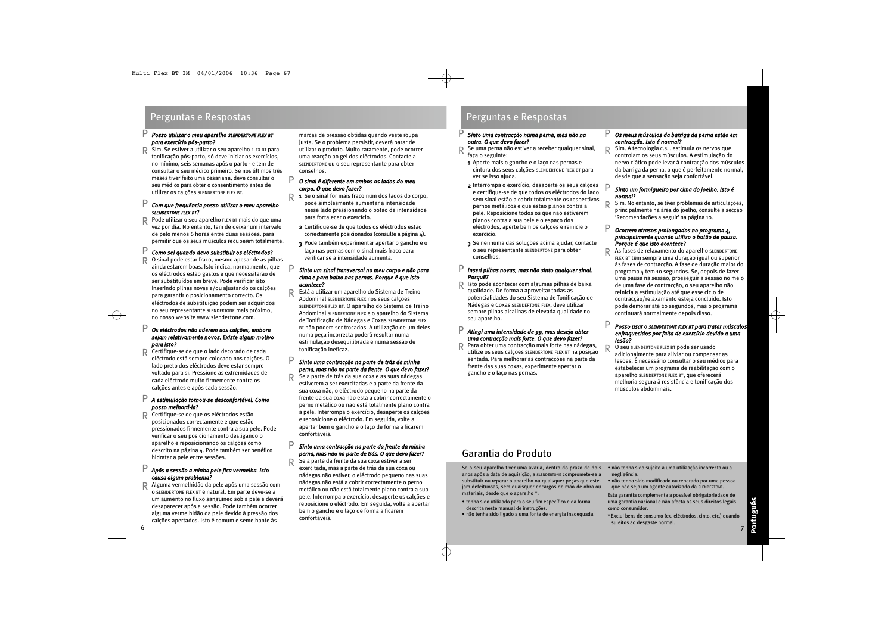### Perguntas e Respostas **Perguntas e Respostas**

### *Posso utilizar o meu aparelho SLENDERTONE FLEX BT para exercício pós-parto?* P

Sim. Se estiver a utilizar o seu aparelho FLEX BT para tonificação pós-parto, só deve iniciar os exercícios, no mínimo, seis semanas após o parto - e tem de consultar o seu médico primeiro. Se nos últimos três meses tiver feito uma cesariana, deve consultar o seu médico para obter o consentimento antes de utilizar os calções SLENDERTONE FLEX BT. R

#### *Com que frequência posso utilizar o meu aparelho SLENDERTONE FLEX BT?* P

Pode utilizar o seu aparelho FLEX BT mais do que uma vez por dia. No entanto, tem de deixar um intervalo de pelo menos 6 horas entre duas sessões, para permitir que os seus músculos recuperem totalmente. R

#### *Como sei quando devo substituir os eléctrodos?* P

O sinal pode estar fraco, mesmo apesar de as pilhas ainda estarem boas. Isto indica, normalmente, que os eléctrodos estão gastos e que necessitarão de ser substituídos em breve. Pode verificar isto inserindo pilhas novas e/ou ajustando os calções para garantir o posicionamento correcto. Os eléctrodos de substituição podem ser adquiridos no seu representante SLENDERTONE mais próximo, no nosso website www.slendertone.com. R

### *Os eléctrodos não aderem aos calções, embora sejam relativamente novos. Existe algum motivo para isto?* P

Certifique-se de que o lado decorado de cada eléctrodo está sempre colocado nos calções. O lado preto dos eléctrodos deve estar sempre voltado para si. Pressione as extremidades de cada eléctrodo muito firmemente contra os calções antes e após cada sessão. R

### *A estimulação tornou-se desconfortável. Como* P *posso melhorá-la?*

Certifique-se de que os eléctrodos estão posicionados correctamente e que estão pressionados firmemente contra a sua pele. Pode verificar o seu posicionamento desligando o aparelho e reposicionando os calções como descrito na página 4. Pode também ser benéfico hidratar a pele entre sessões. R

#### *Após a sessão a minha pele fica vermelha. Isto causa algum problema?* P

Alguma vermelhidão da pele após uma sessão com o SLENDERTONE FLEX BT é natural. Em parte deve-se a um aumento no fluxo sanguíneo sob a pele e deverá desaparecer após a sessão. Pode também ocorrer alguma vermelhidão da pele devido à pressão dos calções apertados. Isto é comum e semelhante às R

marcas de pressão obtidas quando veste roupa justa. Se o problema persistir, deverá parar de utilizar o produto. Muito raramente, pode ocorrer uma reacção ao gel dos eléctrodos. Contacte a SLENDERTONE ou o seu representante para obter conselhos.

### *O sinal é diferente em ambos os lados do meu corpo. O que devo fazer?*

P

R

P

R

- $\mathsf{R}$  **1** Se o sinal for mais fraco num dos lados do corpo,<br>node simplesmente aumentar a intensidade pode simplesmente aumentar a intensidade nesse lado pressionando o botão de intensidade para fortalecer o exercício.
	- 2 Certifique-se de que todos os eléctrodos estão correctamente posicionados (consulte a página 4).
- 3 Pode também experimentar apertar o gancho e o laço nas pernas com o sinal mais fraco para verificar se a intensidade aumenta.

### *Sinto um sinal transversal no meu corpo e não para cima e para baixo nas pernas. Porque é que isto acontece?* P

Está a utilizar um aparelho do Sistema de Treino Abdominal SLENDERTONE FLEX nos seus calções SLENDERTONE FLEX BT. O aparelho do Sistema de Treino Abdominal SLENDERTONE FLEX e o aparelho do Sistema de Tonificação de Nádegas e Coxas SLENDERTONE FLEX BT não podem ser trocados. A utilização de um deles numa peça incorrecta poderá resultar numa estimulação desequilibrada e numa sessão de tonificação ineficaz. R

#### *Sinto uma contracção na parte de trás da minha perna, mas não na parte da frente. O que devo fazer?* P

Se a parte de trás da sua coxa e as suas nádegas estiverem a ser exercitadas e a parte da frente da sua coxa não, o eléctrodo pequeno na parte da frente da sua coxa não está a cobrir correctamente o perno metálico ou não está totalmente plano contra a pele. Interrompa o exercício, desaperte os calções e reposicione o eléctrodo. Em seguida, volte a apertar bem o gancho e o laço de forma a ficarem confortáveis.

### *Sinto uma contracção na parte da frente da minha perna, mas não na parte de trás. O que devo fazer?*

Se a parte da frente da sua coxa estiver a ser exercitada, mas a parte de trás da sua coxa ou nádegas não estiver, o eléctrodo pequeno nas suas nádegas não está a cobrir correctamente o perno metálico ou não está totalmente plano contra a sua pele. Interrompa o exercício, desaperte os calções e reposicione o eléctrodo. Em seguida, volte a apertar bem o gancho e o laço de forma a ficarem confortáveis.

#### *Sinto uma contracção numa perna, mas não na outra. O que devo fazer?* P

Se uma perna não estiver a receber qualquer sinal, faça o seguinte: R

- 1 Aperte mais o gancho e o laço nas pernas e cintura dos seus calções SLENDERTONE FLEX BT para ver se isso ajuda.
- 2 Interrompa o exercício, desaperte os seus calções e certifique-se de que todos os eléctrodos do lado sem sinal estão a cobrir totalmente os respectivos pernos metálicos e que estão planos contra a pele. Reposicione todos os que não estiverem planos contra a sua pele e o espaço dos eléctrodos, aperte bem os calções e reinicie o exercício.
- 3 Se nenhuma das soluções acima ajudar, contacte o seu representante SLENDERTONE para obter conselhos.

#### *Inseri pilhas novas, mas não sinto qualquer sinal. Porquê?* P

R Isto pode acontecer com algumas pilhas de baixa<br>Consilidade. De forma a aproveitar todas as qualidade. De forma a aproveitar todas as potencialidades do seu Sistema de Tonificação de Nádegas e Coxas SLENDERTONE FLEX, deve utilizar sempre pilhas alcalinas de elevada qualidade no seu aparelho.

#### *Atingi uma intensidade de 99, mas desejo obter uma contracção mais forte. O que devo fazer?* P

Para obter uma contracção mais forte nas nádegas, utilize os seus calções SLENDERTONE FLEX BT na posição sentada. Para melhorar as contracções na parte da frente das suas coxas, experimente apertar o gancho e o laço nas pernas. R

#### *Os meus músculos da barriga da perna estão em contracção. Isto é normal?* P

Sim. A tecnologia C.S.I. estimula os nervos que controlam os seus músculos. A estimulação do nervo ciático pode levar à contracção dos músculos da barriga da perna, o que é perfeitamente normal, desde que a sensação seja confortável. R

### *Sinto um formigueiro por cima do joelho. Isto é normal?*

Sim. No entanto, se tiver problemas de articulações, principalmente na área do joelho, consulte a secção 'Recomendações a seguir' na página 10. R

#### *Ocorrem atrasos prolongados no programa 4, principalmente quando utilizo o botão de pausa. Porque é que isto acontece?* P

R

P

As fases de relaxamento do aparelho SLENDERTONE FLEX BT têm sempre uma duração igual ou superior às fases de contracção. A fase de duração maior do programa 4 tem 10 segundos. Se, depois de fazer uma pausa na sessão, prosseguir a sessão no meio de uma fase de contracção, o seu aparelho não reinicia a estimulação até que esse ciclo de contracção/relaxamento esteja concluído. Isto pode demorar até 20 segundos, mas o programa continuará normalmente depois disso.

#### *Posso usar o SLENDERTONE FLEX BT para tratar músculos enfraquecidos por falta de exercício devido a uma lesão?* P

O seu SLENDERTONE FLEX BT pode ser usado adicionalmente para aliviar ou compensar as lesões. É necessário consultar o seu médico para estabelecer um programa de reabilitação com o aparelho SLENDERTONE FLEX BT, que oferecerá melhoria segura à resistência e tonificação dos músculos abdominais. R

## Garantia do Produto

Se o seu aparelho tiver uma avaria, dentro do prazo de dois anos após a data de aquisição, a SLENDERTONE compromete-se a substituir ou reparar o aparelho ou quaisquer peças que estejam defeituosas, sem quaisquer encargos de mão-de-obra ou materiais, desde que o aparelho \*:

- tenha sido utilizado para o seu fim específico e da forma descrita neste manual de instruções.
- não tenha sido ligado a uma fonte de energia inadequada.
- não tenha sido sujeito a uma utilização incorrecta ou a negligência. • não tenha sido modificado ou reparado por uma pessoa
- que não seja um agente autorizado da SLENDERTONE.

Esta garantia complementa a possível obrigatoriedade de uma garantia nacional e não afecta os seus direitos legais como consumidor.

\* Exclui bens de consumo (ex. eléctrodos, cinto, etc.) quando sujeitos ao desgaste normal. 6 року процента в процента в процента в процента в процента в процента в процента в процента в процента в проц<br>С 17 року процента в процента в процента в процента в процента в процента в процента в процента в процента в п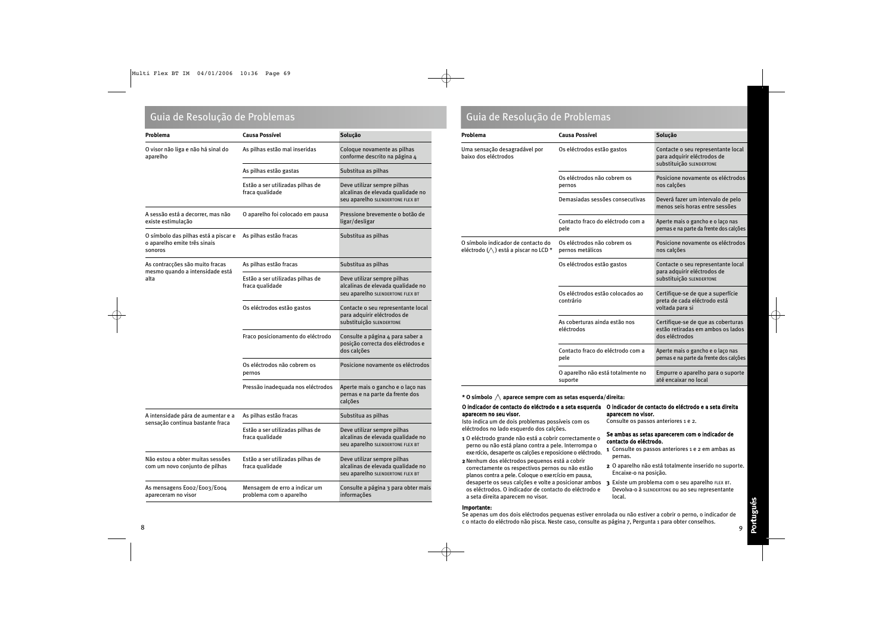### Guia de Resolução de Problemas Guia de Resolução de Problemas

| Problema                                                                        | <b>Causa Possível</b>                                    | Solução                                                                                              |
|---------------------------------------------------------------------------------|----------------------------------------------------------|------------------------------------------------------------------------------------------------------|
| O visor não liga e não há sinal do<br>aparelho                                  | As pilhas estão mal inseridas                            | Coloque novamente as pilhas<br>conforme descrito na página 4                                         |
|                                                                                 | As pilhas estão gastas                                   | Substitua as pilhas                                                                                  |
|                                                                                 | Estão a ser utilizadas pilhas de<br>fraca qualidade      | Deve utilizar sempre pilhas<br>alcalinas de elevada qualidade no<br>seu aparelho SLENDERTONE FLEX BT |
| A sessão está a decorrer, mas não<br>existe estimulação                         | O aparelho foi colocado em pausa                         | Pressione brevemente o botão de<br>ligar/desligar                                                    |
| O símbolo das pilhas está a piscar e<br>o aparelho emite três sinais<br>sonoros | As pilhas estão fracas                                   | Substitua as pilhas                                                                                  |
| As contracções são muito fracas<br>mesmo quando a intensidade está              | As pilhas estão fracas                                   | Substitua as pilhas                                                                                  |
| alta                                                                            | Estão a ser utilizadas pilhas de<br>fraca qualidade      | Deve utilizar sempre pilhas<br>alcalinas de elevada qualidade no<br>seu aparelho SLENDERTONE FLEX BT |
|                                                                                 | Os eléctrodos estão gastos                               | Contacte o seu representante local<br>para adquirir eléctrodos de<br>substituição SLENDERTONE        |
|                                                                                 | Fraco posicionamento do eléctrodo                        | Consulte a página 4 para saber a<br>posição correcta dos eléctrodos e<br>dos calções                 |
|                                                                                 | Os eléctrodos não cobrem os<br>pernos                    | Posicione novamente os eléctrodos                                                                    |
|                                                                                 | Pressão inadequada nos eléctrodos                        | Aperte mais o gancho e o laço nas<br>pernas e na parte da frente dos<br>calções                      |
| A intensidade pára de aumentar e a<br>sensação continua bastante fraca          | As pilhas estão fracas                                   | Substitua as pilhas                                                                                  |
|                                                                                 | Estão a ser utilizadas pilhas de<br>fraca qualidade      | Deve utilizar sempre pilhas<br>alcalinas de elevada qualidade no<br>seu aparelho SLENDERTONE FLEX BT |
| Não estou a obter muitas sessões<br>com um novo conjunto de pilhas              | Estão a ser utilizadas pilhas de<br>fraca qualidade      | Deve utilizar sempre pilhas<br>alcalinas de elevada qualidade no<br>seu aparelho SLENDERTONE FLEX BT |
| As mensagens Eoo2/Eoo3/Eoo4<br>apareceram no visor                              | Mensagem de erro a indicar um<br>problema com o aparelho | Consulte a página 3 para obter mais<br>informações                                                   |

| Problema                                                                             | <b>Causa Possível</b>                           | Solução                                                                                       |
|--------------------------------------------------------------------------------------|-------------------------------------------------|-----------------------------------------------------------------------------------------------|
| Uma sensação desagradável por<br>baixo dos eléctrodos                                | Os eléctrodos estão gastos                      | Contacte o seu representante local<br>para adquirir eléctrodos de<br>Substituição SLENDERTONE |
|                                                                                      | Os eléctrodos não cobrem os<br>pernos           | Posicione novamente os eléctrodos<br>nos calções                                              |
|                                                                                      | Demasiadas sessões consecutivas                 | Deverá fazer um intervalo de pelo<br>menos seis horas entre sessões                           |
|                                                                                      | Contacto fraco do eléctrodo com a<br>pele       | Aperte mais o gancho e o laço nas<br>pernas e na parte da frente dos calções                  |
| O símbolo indicador de contacto do<br>eléctrodo $(\triangle)$ está a piscar no LCD * | Os eléctrodos não cobrem os<br>pernos metálicos | Posicione novamente os eléctrodos<br>nos calções                                              |
|                                                                                      | Os eléctrodos estão gastos                      | Contacte o seu representante local<br>para adquirir eléctrodos de<br>Substituição SLENDERTONE |
|                                                                                      | Os eléctrodos estão colocados ao<br>contrário   | Certifique-se de que a superfície<br>preta de cada eléctrodo está<br>voltada para si          |
|                                                                                      | As coberturas ainda estão nos<br>eléctrodos     | Certifique-se de que as coberturas<br>estão retiradas em ambos os lados<br>dos eléctrodos     |
|                                                                                      | Contacto fraco do eléctrodo com a<br>pele       | Aperte mais o gancho e o laço nas<br>pernas e na parte da frente dos calções                  |
|                                                                                      | O aparelho não está totalmente no<br>suporte    | Empurre o aparelho para o suporte<br>até encaixar no local                                    |

**\* O símbolo aparece sempre com as setas esquerda/direita:**

### O indicador de contacto do eléctrodo e a seta esquerda O indicador de contacto do eléctrodo e a seta direita aparecem no seu visor.

Isto indica um de dois problemas possíveis com os eléctrodos no lado esquerdo dos calções.

- 1 O eléctrodo grande não está a cobrir correctamente o perno ou não está plano contra a pele. Interrompa o exe raício, desaperte os calções e reposicione o eléctrodo.
- 2Nenhum dos eléctrodos pequenos está a cobrir correctamente os respectivos pernos ou não estão planos contra a pele. Coloque o exe rcício em pausa, desaperte os seus calções e volte a posicionar ambos os eléctrodos. O indicador de contacto do eléctrodo e a seta direita aparecem no visor.

### aparecem no visor. Consulte os passos anteriores 1 e 2.

### Se ambas as setas aparecerem com o indicador de contacto do eléctrodo.

- 1 Consulte os passos anteriores 1 e 2 em ambas as pernas.
- 2 O aparelho não está totalmente inserido no suporte. Encaixe-o na posição.
- 3 Existe um problema com o seu aparelho FLEX BT. Devolva-o à SLENDERTONE ou ao seu representante local.

### Importante:

Se apenas um dos dois eléctrodos pequenas estiver enrolada ou não estiver a cobrir o perno, o indicador de c o ntacto do eléctrodo não pisca. Neste caso, consulte as página 7, Pergunta 1 para obter conselhos. <sup>8</sup> <sup>9</sup>